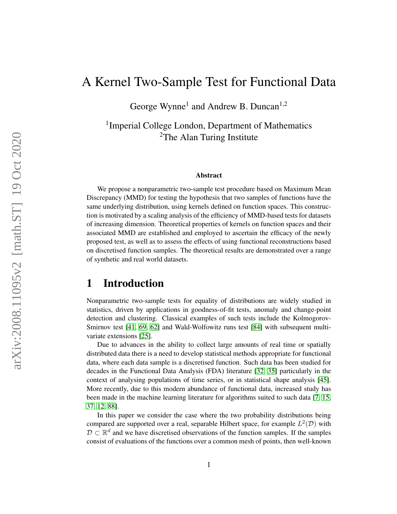# A Kernel Two-Sample Test for Functional Data

George Wynne<sup>1</sup> and Andrew B. Duncan<sup>1,2</sup>

<sup>1</sup> Imperial College London, Department of Mathematics <sup>2</sup>The Alan Turing Institute

#### Abstract

We propose a nonparametric two-sample test procedure based on Maximum Mean Discrepancy (MMD) for testing the hypothesis that two samples of functions have the same underlying distribution, using kernels defined on function spaces. This construction is motivated by a scaling analysis of the efficiency of MMD-based tests for datasets of increasing dimension. Theoretical properties of kernels on function spaces and their associated MMD are established and employed to ascertain the efficacy of the newly proposed test, as well as to assess the effects of using functional reconstructions based on discretised function samples. The theoretical results are demonstrated over a range of synthetic and real world datasets.

## 1 Introduction

Nonparametric two-sample tests for equality of distributions are widely studied in statistics, driven by applications in goodness-of-fit tests, anomaly and change-point detection and clustering. Classical examples of such tests include the Kolmogorov-Smirnov test [\[41,](#page-29-0) [69,](#page-30-0) [62\]](#page-30-1) and Wald-Wolfowitz runs test [\[84\]](#page-30-2) with subsequent multivariate extensions [\[25\]](#page-28-0).

Due to advances in the ability to collect large amounts of real time or spatially distributed data there is a need to develop statistical methods appropriate for functional data, where each data sample is a discretised function. Such data has been studied for decades in the Functional Data Analysis (FDA) literature [\[32,](#page-29-1) [35\]](#page-29-2) particularly in the context of analysing populations of time series, or in statistical shape analysis [\[45\]](#page-29-3). More recently, due to this modern abundance of functional data, increased study has been made in the machine learning literature for algorithms suited to such data [\[7,](#page-28-1) [15,](#page-28-2) [37,](#page-29-4) [12,](#page-28-3) [88\]](#page-30-3).

In this paper we consider the case where the two probability distributions being compared are supported over a real, separable Hilbert space, for example  $L^2(\mathcal{D})$  with  $\mathcal{D} \subset \mathbb{R}^d$  and we have discretised observations of the function samples. If the samples consist of evaluations of the functions over a common mesh of points, then well-known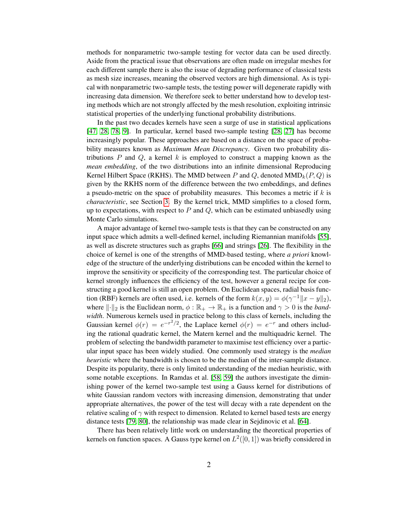methods for nonparametric two-sample testing for vector data can be used directly. Aside from the practical issue that observations are often made on irregular meshes for each different sample there is also the issue of degrading performance of classical tests as mesh size increases, meaning the observed vectors are high dimensional. As is typical with nonparametric two-sample tests, the testing power will degenerate rapidly with increasing data dimension. We therefore seek to better understand how to develop testing methods which are not strongly affected by the mesh resolution, exploiting intrinsic statistical properties of the underlying functional probability distributions.

In the past two decades kernels have seen a surge of use in statistical applications [\[47,](#page-29-5) [28,](#page-29-6) [78,](#page-30-4) [9\]](#page-28-4). In particular, kernel based two-sample testing [\[28,](#page-29-6) [27\]](#page-29-7) has become increasingly popular. These approaches are based on a distance on the space of probability measures known as *Maximum Mean Discrepancy*. Given two probability distributions  $P$  and  $Q$ , a kernel k is employed to construct a mapping known as the *mean embedding*, of the two distributions into an infinite dimensional Reproducing Kernel Hilbert Space (RKHS). The MMD between P and Q, denoted  $MMD_k(P,Q)$  is given by the RKHS norm of the difference between the two embeddings, and defines a pseudo-metric on the space of probability measures. This becomes a metric if  $k$  is *characteristic*, see Section [3.](#page-4-0) By the kernel trick, MMD simplifies to a closed form, up to expectations, with respect to  $P$  and  $Q$ , which can be estimated unbiasedly using Monte Carlo simulations.

A major advantage of kernel two-sample tests is that they can be constructed on any input space which admits a well-defined kernel, including Riemannian manifolds [\[55\]](#page-29-8), as well as discrete structures such as graphs [\[66\]](#page-30-5) and strings [\[26\]](#page-28-5). The flexibility in the choice of kernel is one of the strengths of MMD-based testing, where *a priori* knowledge of the structure of the underlying distributions can be encoded within the kernel to improve the sensitivity or specificity of the corresponding test. The particular choice of kernel strongly influences the efficiency of the test, however a general recipe for constructing a good kernel is still an open problem. On Euclidean spaces, radial basis function (RBF) kernels are often used, i.e. kernels of the form  $k(x, y) = \phi(\gamma^{-1} ||x - y||_2)$ , where  $\lVert \cdot \rVert_2$  is the Euclidean norm,  $\phi : \mathbb{R}_+ \to \mathbb{R}_+$  is a function and  $\gamma > 0$  is the *bandwidth*. Numerous kernels used in practice belong to this class of kernels, including the Gaussian kernel  $\phi(r) = e^{-r^2/2}$ , the Laplace kernel  $\phi(r) = e^{-r}$  and others including the rational quadratic kernel, the Matern kernel and the multiquadric kernel. The problem of selecting the bandwidth parameter to maximise test efficiency over a particular input space has been widely studied. One commonly used strategy is the *median heuristic* where the bandwidth is chosen to be the median of the inter-sample distance. Despite its popularity, there is only limited understanding of the median heuristic, with some notable exceptions. In Ramdas et al. [\[58,](#page-29-9) [59\]](#page-29-10) the authors investigate the diminishing power of the kernel two-sample test using a Gauss kernel for distributions of white Gaussian random vectors with increasing dimension, demonstrating that under appropriate alternatives, the power of the test will decay with a rate dependent on the relative scaling of  $\gamma$  with respect to dimension. Related to kernel based tests are energy distance tests [\[79,](#page-30-6) [80\]](#page-30-7), the relationship was made clear in Sejdinovic et al. [\[64\]](#page-30-8).

There has been relatively little work on understanding the theoretical properties of kernels on function spaces. A Gauss type kernel on  $L^2([0,1])$  was briefly considered in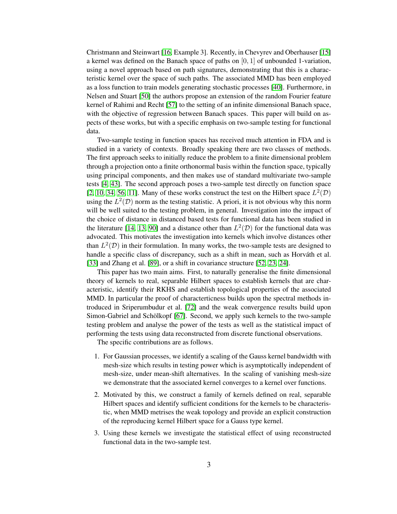Christmann and Steinwart [\[16,](#page-28-6) Example 3]. Recently, in Chevyrev and Oberhauser [\[15\]](#page-28-2) a kernel was defined on the Banach space of paths on  $[0, 1]$  of unbounded 1-variation, using a novel approach based on path signatures, demonstrating that this is a characteristic kernel over the space of such paths. The associated MMD has been employed as a loss function to train models generating stochastic processes [\[40\]](#page-29-11). Furthermore, in Nelsen and Stuart [\[50\]](#page-29-12) the authors propose an extension of the random Fourier feature kernel of Rahimi and Recht [\[57\]](#page-29-13) to the setting of an infinite dimensional Banach space, with the objective of regression between Banach spaces. This paper will build on aspects of these works, but with a specific emphasis on two-sample testing for functional data.

Two-sample testing in function spaces has received much attention in FDA and is studied in a variety of contexts. Broadly speaking there are two classes of methods. The first approach seeks to initially reduce the problem to a finite dimensional problem through a projection onto a finite orthonormal basis within the function space, typically using principal components, and then makes use of standard multivariate two-sample tests [\[4,](#page-28-7) [43\]](#page-29-14). The second approach poses a two-sample test directly on function space [\[2,](#page-28-8) [10,](#page-28-9) [34,](#page-29-15) [56,](#page-29-16) [11\]](#page-28-10). Many of these works construct the test on the Hilbert space  $L^2(\mathcal{D})$ using the  $L^2(\mathcal{D})$  norm as the testing statistic. A priori, it is not obvious why this norm will be well suited to the testing problem, in general. Investigation into the impact of the choice of distance in distanced based tests for functional data has been studied in the literature [\[14,](#page-28-11) [13,](#page-28-12) [90\]](#page-30-9) and a distance other than  $L^2(\mathcal{D})$  for the functional data was advocated. This motivates the investigation into kernels which involve distances other than  $L^2(\mathcal{D})$  in their formulation. In many works, the two-sample tests are designed to handle a specific class of discrepancy, such as a shift in mean, such as Horváth et al. [\[33\]](#page-29-17) and Zhang et al. [\[89\]](#page-30-10), or a shift in covariance structure [\[52,](#page-29-18) [23,](#page-28-13) [24\]](#page-28-14).

This paper has two main aims. First, to naturally generalise the finite dimensional theory of kernels to real, separable Hilbert spaces to establish kernels that are characteristic, identify their RKHS and establish topological properties of the associated MMD. In particular the proof of characterticness builds upon the spectral methods introduced in Sriperumbudur et al. [\[72\]](#page-30-11) and the weak convergence results build upon Simon-Gabriel and Schölkopf [\[67\]](#page-30-12). Second, we apply such kernels to the two-sample testing problem and analyse the power of the tests as well as the statistical impact of performing the tests using data reconstructed from discrete functional observations.

The specific contributions are as follows.

- 1. For Gaussian processes, we identify a scaling of the Gauss kernel bandwidth with mesh-size which results in testing power which is asymptotically independent of mesh-size, under mean-shift alternatives. In the scaling of vanishing mesh-size we demonstrate that the associated kernel converges to a kernel over functions.
- 2. Motivated by this, we construct a family of kernels defined on real, separable Hilbert spaces and identify sufficient conditions for the kernels to be characteristic, when MMD metrises the weak topology and provide an explicit construction of the reproducing kernel Hilbert space for a Gauss type kernel.
- 3. Using these kernels we investigate the statistical effect of using reconstructed functional data in the two-sample test.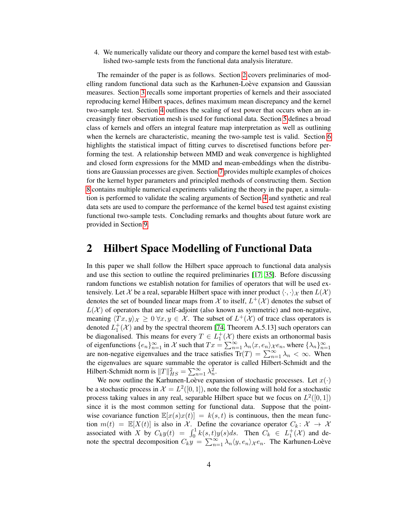4. We numerically validate our theory and compare the kernel based test with established two-sample tests from the functional data analysis literature.

The remainder of the paper is as follows. Section [2](#page-3-0) covers preliminaries of modelling random functional data such as the Karhunen-Loève expansion and Gaussian measures. Section [3](#page-4-0) recalls some important properties of kernels and their associated reproducing kernel Hilbert spaces, defines maximum mean discrepancy and the kernel two-sample test. Section [4](#page-7-0) outlines the scaling of test power that occurs when an increasingly finer observation mesh is used for functional data. Section [5](#page-10-0) defines a broad class of kernels and offers an integral feature map interpretation as well as outlining when the kernels are characteristic, meaning the two-sample test is valid. Section [6](#page-13-0) highlights the statistical impact of fitting curves to discretised functions before performing the test. A relationship between MMD and weak convergence is highlighted and closed form expressions for the MMD and mean-embeddings when the distributions are Gaussian processes are given. Section [7](#page-17-0) provides multiple examples of choices for the kernel hyper parameters and principled methods of constructing them. Section [8](#page-19-0) contains multiple numerical experiments validating the theory in the paper, a simulation is performed to validate the scaling arguments of Section [4](#page-7-0) and synthetic and real data sets are used to compare the performance of the kernel based test against existing functional two-sample tests. Concluding remarks and thoughts about future work are provided in Section [9.](#page-27-0)

## <span id="page-3-0"></span>2 Hilbert Space Modelling of Functional Data

In this paper we shall follow the Hilbert space approach to functional data analysis and use this section to outline the required preliminaries [\[17,](#page-28-15) [35\]](#page-29-2). Before discussing random functions we establish notation for families of operators that will be used extensively. Let X be a real, separable Hilbert space with inner product  $\langle \cdot, \cdot \rangle_{\mathcal{X}}$  then  $L(\mathcal{X})$ denotes the set of bounded linear maps from  $\mathcal X$  to itself,  $L^+(\mathcal X)$  denotes the subset of  $L(\mathcal{X})$  of operators that are self-adjoint (also known as symmetric) and non-negative, meaning  $\langle Tx, y \rangle_{\mathcal{X}} \geq 0 \ \forall x, y \in \mathcal{X}$ . The subset of  $L^+(\mathcal{X})$  of trace class operators is denoted  $L_1^+(\mathcal{X})$  and by the spectral theorem [\[74,](#page-30-13) Theorem A.5.13] such operators can 1 be diagonalised. This means for every  $T \in L_1^+(\mathcal{X})$  there exists an orthonormal basis of eigenfunctions  $\{e_n\}_{n=1}^{\infty}$  in X such that  $Tx = \sum_{n=1}^{\infty} \lambda_n \langle x, e_n \rangle_{\mathcal{X}} e_n$ , where  $\{\lambda_n\}_{n=1}^{\infty}$  are non-negative eigenvalues and the trace satisfies  $Tr(T) = \sum_{n=1}^{\infty} \lambda_n < \infty$ . When the eigenvalues are square summable the operator is called Hilbert-Schmidt and the Hilbert-Schmidt norm is  $||T||_{HS}^2 = \sum_{n=1}^{\infty} \lambda_n^2$ .

We now outline the Karhunen-Loève expansion of stochastic processes. Let  $x(\cdot)$ be a stochastic process in  $\mathcal{X} = L^2([0,1])$ , note the following will hold for a stochastic process taking values in any real, separable Hilbert space but we focus on  $L^2([0,1])$ since it is the most common setting for functional data. Suppose that the pointwise covariance function  $\mathbb{E}[x(s)x(t)] = k(s,t)$  is continuous, then the mean function  $m(t) = \mathbb{E}[X(t)]$  is also in X. Define the covariance operator  $C_k: \mathcal{X} \to \mathcal{X}$ associated with X by  $C_k y(t) = \int_0^1 k(s,t)y(s)ds$ . Then  $C_k \in L_1^+(\mathcal{X})$  and denote the spectral decomposition  $C_k y = \sum_{n=1}^{\infty} \lambda_n \langle y, e_n \rangle_{\mathcal{X}} e_n$ . The Karhunen-Loève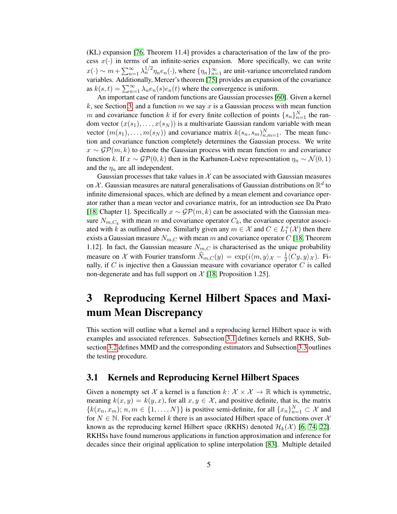(KL) expansion [\[76,](#page-30-14) Theorem 11.4] provides a characterisation of the law of the process  $x(\cdot)$  in terms of an infinite-series expansion. More specifically, we can write  $x(\cdot) \sim m + \sum_{n=1}^{\infty} \lambda_n^{1/2} \eta_n e_n(\cdot)$ , where  $\{\eta_n\}_{n=1}^{\infty}$  are unit-variance uncorrelated random variables. Additionally, Mercer's theorem [\[75\]](#page-30-15) provides an expansion of the covariance as  $k(s,t) = \sum_{n=1}^{\infty} \lambda_n e_n(s) e_n(t)$  where the convergence is uniform.

An important case of random functions are Gaussian processes [\[60\]](#page-30-16). Given a kernel k, see Section [3,](#page-4-0) and a function  $m$  we say  $x$  is a Gaussian process with mean function m and covariance function k if for every finite collection of points  $\{s_n\}_{n=1}^N$  the random vector  $(x(s_1),...,x(s_N))$  is a multivariate Gaussian random variable with mean vector  $(m(s_1), \ldots, m(s_N))$  and covariance matrix  $k(s_n, s_m)_{n,m=1}^N$ . The mean function and covariance function completely determines the Gaussian process. We write  $x \sim \mathcal{GP}(m, k)$  to denote the Gaussian process with mean function m and covariance function k. If  $x \sim \mathcal{GP}(0, k)$  then in the Karhunen-Loève representation  $\eta_n \sim \mathcal{N}(0, 1)$ and the  $\eta_n$  are all independent.

Gaussian processes that take values in  $X$  can be associated with Gaussian measures on X. Gaussian measures are natural generalisations of Gaussian distributions on  $\mathbb{R}^d$  to infinite dimensional spaces, which are defined by a mean element and covariance operator rather than a mean vector and covariance matrix, for an introduction see Da Prato [\[18,](#page-28-16) Chapter 1]. Specifically  $x \sim \mathcal{GP}(m, k)$  can be associated with the Gaussian measure  $N_{m,C_k}$  with mean m and covariance operator  $C_k$ , the covariance operator associated with k as outlined above. Similarly given any  $m \in \mathcal{X}$  and  $C \in L_1^+(\mathcal{X})$  then there exists a Gaussian measure  $N_{m,C}$  with mean m and covariance operator C [\[18,](#page-28-16) Theorem 1.12]. In fact, the Gaussian measure  $N_{m,C}$  is characterised as the unique probability measure on X with Fourier transform  $\widehat{N}_{m,C}(y) = \exp(i\langle m, y \rangle_{\mathcal{X}} - \frac{1}{2})$  $\frac{1}{2} \langle Cy, y \rangle_{\mathcal{X}}$ ). Finally, if  $C$  is injective then a Gaussian measure with covariance operator  $C$  is called non-degenerate and has full support on  $\mathcal{X}$  [\[18,](#page-28-16) Proposition 1.25].

# <span id="page-4-0"></span>3 Reproducing Kernel Hilbert Spaces and Maximum Mean Discrepancy

This section will outline what a kernel and a reproducing kernel Hilbert space is with examples and associated references. Subsection [3.1](#page-4-1) defines kernels and RKHS, Subsection [3.2](#page-5-0) defines MMD and the corresponding estimators and Subsection [3.3](#page-6-0) outlines the testing procedure.

### <span id="page-4-1"></span>3.1 Kernels and Reproducing Kernel Hilbert Spaces

Given a nonempty set X a kernel is a function  $k: \mathcal{X} \times \mathcal{X} \to \mathbb{R}$  which is symmetric, meaning  $k(x, y) = k(y, x)$ , for all  $x, y \in \mathcal{X}$ , and positive definite, that is, the matrix  $\{k(x_n, x_m); n, m \in \{1, ..., N\}\}\$ is positive semi-definite, for all  $\{x_n\}_{n=1}^N \subset \mathcal{X}$  and for  $N \in \mathbb{N}$ . For each kernel k there is an associated Hilbert space of functions over X known as the reproducing kernel Hilbert space (RKHS) denoted  $\mathcal{H}_k(\mathcal{X})$  [\[6,](#page-28-17) [74,](#page-30-13) [22\]](#page-28-18). RKHSs have found numerous applications in function approximation and inference for decades since their original application to spline interpolation [\[83\]](#page-30-17). Multiple detailed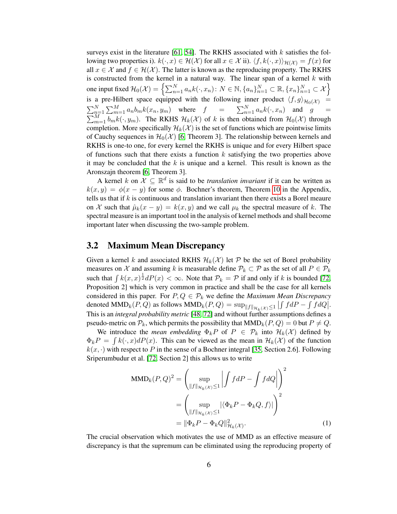surveys exist in the literature [\[61,](#page-30-18) [54\]](#page-29-19). The RKHS associated with  $k$  satisfies the following two properties i).  $k(\cdot, x) \in \mathcal{H}(\mathcal{X})$  for all  $x \in \mathcal{X}$  ii).  $\langle f, k(\cdot, x) \rangle_{\mathcal{H}(\mathcal{X})} = f(x)$  for all  $x \in \mathcal{X}$  and  $f \in \mathcal{H}(\mathcal{X})$ . The latter is known as the reproducing property. The RKHS is constructed from the kernel in a natural way. The linear span of a kernel  $k$  with one input fixed  $\mathcal{H}_0(\mathcal{X}) = \left\{ \sum_{n=1}^N a_n k(\cdot, x_n) \colon N \in \mathbb{N}, \{a_n\}_{n=1}^N \subset \mathbb{R}, \{x_n\}_{n=1}^N \subset \mathcal{X} \right\}$ is a pre-Hilbert space equipped with the following inner product  $\langle f, g \rangle_{\mathcal{H}_0(\mathcal{X})}$  =  $\sum_{n=1}^{N} \sum_{m=1}^{M} a_n b_m k(x_n, y_m)$  where  $f = \sum_{n=1}^{N} a_n k(\cdot, x_n)$  and  $g = \sum_{m=1}^{M} b_m k(\cdot, y_m)$ . The RKHS  $\mathcal{H}_k(\mathcal{X})$  of k is then obtained from  $\mathcal{H}_0(\mathcal{X})$  through completion. More specifically  $\mathcal{H}_k(\mathcal{X})$  is the set of functions which are pointwise limits of Cauchy sequences in  $\mathcal{H}_0(\mathcal{X})$  [\[6,](#page-28-17) Theorem 3]. The relationship between kernels and RKHS is one-to one, for every kernel the RKHS is unique and for every Hilbert space of functions such that there exists a function  $k$  satisfying the two properties above it may be concluded that the  $k$  is unique and a kernel. This result is known as the Aronszajn theorem [\[6,](#page-28-17) Theorem 3].

A kernel k on  $\mathcal{X} \subseteq \mathbb{R}^d$  is said to be *translation invariant* if it can be written as  $k(x, y) = \phi(x - y)$  for some  $\phi$ . Bochner's theorem, Theorem [10](#page-31-0) in the Appendix, tells us that if  $k$  is continuous and translation invariant then there exists a Borel meaure on X such that  $\hat{\mu}_k(x - y) = k(x, y)$  and we call  $\mu_k$  the spectral measure of k. The spectral measure is an important tool in the analysis of kernel methods and shall become important later when discussing the two-sample problem.

### <span id="page-5-0"></span>3.2 Maximum Mean Discrepancy

Given a kernel k and associated RKHS  $\mathcal{H}_k(\mathcal{X})$  let P be the set of Borel probability measures on X and assuming k is measurable define  $\mathcal{P}_k \subset \mathcal{P}$  as the set of all  $P \in \mathcal{P}_k$ such that  $\int k(x, x)^{\frac{1}{2}} dP(x) < \infty$ . Note that  $\mathcal{P}_k = \mathcal{P}$  if and only if k is bounded [\[72,](#page-30-11) Proposition 2] which is very common in practice and shall be the case for all kernels considered in this paper. For  $P, Q \in \mathcal{P}_k$  we define the *Maximum Mean Discrepancy* denoted  $\text{MMD}_k(P, Q)$  as follows  $\text{MMD}_k(P, Q) = \sup_{\|f\|_{\mathcal{H}_k(\mathcal{X})} \leq 1} |\int f dP - \int f dQ|$ . This is an *integral probability metric* [\[48,](#page-29-20) [72\]](#page-30-11) and without further assumptions defines a pseudo-metric on  $\mathcal{P}_k$ , which permits the possibility that  $\text{MMD}_k(P,Q) = 0$  but  $P \neq Q$ .

We introduce the *mean embedding*  $\Phi_k P$  of  $P \in \mathcal{P}_k$  into  $\mathcal{H}_k(\mathcal{X})$  defined by  $\Phi_k P = \int k(\cdot, x) dP(x)$ . This can be viewed as the mean in  $\mathcal{H}_k(\mathcal{X})$  of the function  $k(x, \cdot)$  with respect to P in the sense of a Bochner integral [\[35,](#page-29-2) Section 2.6]. Following Sriperumbudur et al. [\[72,](#page-30-11) Section 2] this allows us to write

$$
\text{MMD}_k(P,Q)^2 = \left(\sup_{\|f\|_{\mathcal{H}_k(\mathcal{X})} \le 1} \left| \int f dP - \int f dQ \right| \right)^2
$$

$$
= \left(\sup_{\|f\|_{\mathcal{H}_k(\mathcal{X})} \le 1} |\langle \Phi_k P - \Phi_k Q, f \rangle| \right)^2
$$

$$
= \|\Phi_k P - \Phi_k Q\|_{\mathcal{H}_k(\mathcal{X})}^2. \tag{1}
$$

The crucial observation which motivates the use of MMD as an effective measure of discrepancy is that the supremum can be eliminated using the reproducing property of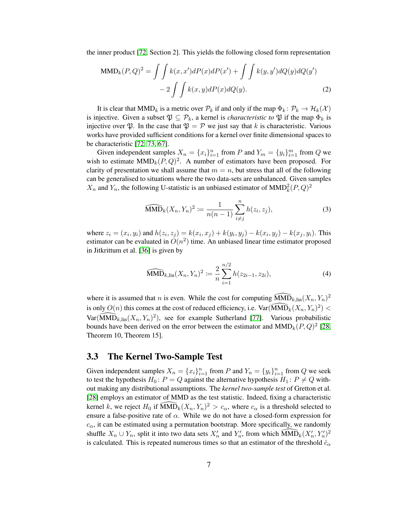the inner product [\[72,](#page-30-11) Section 2]. This yields the following closed form representation

$$
\text{MMD}_k(P,Q)^2 = \iint k(x,x')dP(x)dP(x') + \iint k(y,y')dQ(y)dQ(y') - 2\iint k(x,y)dP(x)dQ(y).
$$
\n(2)

It is clear that  $MMD_k$  is a metric over  $\mathcal{P}_k$  if and only if the map  $\Phi_k: \mathcal{P}_k \to \mathcal{H}_k(\mathcal{X})$ is injective. Given a subset  $\mathfrak{P} \subseteq \mathcal{P}_k$ , a kernel is *characteristic to*  $\mathfrak{P}$  if the map  $\Phi_k$  is injective over  $\mathfrak{P}$ . In the case that  $\mathfrak{P} = \mathcal{P}$  we just say that k is characteristic. Various works have provided sufficient conditions for a kernel over finite dimensional spaces to be characteristic [\[72,](#page-30-11) [73,](#page-30-19) [67\]](#page-30-12).

Given independent samples  $X_n = \{x_i\}_{i=1}^n$  from P and  $Y_m = \{y_i\}_{i=1}^m$  from Q we wish to estimate  $MMD_k(P,Q)^2$ . A number of estimators have been proposed. For clarity of presentation we shall assume that  $m = n$ , but stress that all of the following can be generalised to situations where the two data-sets are unbalanced. Given samples  $X_n$  and  $Y_n$ , the following U-statistic is an unbiased estimator of  $MMD_k^2(P,Q)^2$ 

<span id="page-6-2"></span><span id="page-6-1"></span>
$$
\widehat{\text{MMD}}_k(X_n, Y_n)^2 := \frac{1}{n(n-1)} \sum_{i \neq j}^n h(z_i, z_j), \tag{3}
$$

where  $z_i = (x_i, y_i)$  and  $h(z_i, z_j) = k(x_i, x_j) + k(y_i, y_j) - k(x_i, y_j) - k(x_j, y_i)$ . This estimator can be evaluated in  $O(n^2)$  time. An unbiased linear time estimator proposed in Jitkrittum et al. [\[36\]](#page-29-21) is given by

$$
\widehat{\text{MMD}}_{k,\text{lin}}(X_n, Y_n)^2 := \frac{2}{n} \sum_{i=1}^{n/2} h(z_{2i-1}, z_{2i}),
$$
\n(4)

where it is assumed that *n* is even. While the cost for computing  $\widehat{\text{MMD}}_{k,lin}(X_n, Y_n)^2$ is only  $O(n)$  this comes at the cost of reduced efficiency, i.e.  $\widehat{\text{Var}(\text{MMD}_k(X_n, Y_n)^2)}$  $\widehat{\text{Var}(MMD}_{k,lin}(X_n, Y_n)^2)$ , see for example Sutherland [\[77\]](#page-30-20). Various probabilistic bounds have been derived on the error between the estimator and  $\text{MMD}_k(P,Q)^2$  [\[28,](#page-29-6) Theorem 10, Theorem 15].

### <span id="page-6-0"></span>3.3 The Kernel Two-Sample Test

Given independent samples  $X_n = \{x_i\}_{i=1}^n$  from P and  $Y_n = \{y_i\}_{i=1}^n$  from Q we seek to test the hypothesis  $H_0$ :  $P = Q$  against the alternative hypothesis  $H_1$ :  $P \neq Q$  without making any distributional assumptions. The *kernel two-sample test* of Gretton et al. [\[28\]](#page-29-6) employs an estimator of MMD as the test statistic. Indeed, fixing a characteristic kernel k, we reject  $H_0$  if  $\widehat{\text{MMD}}_k(X_n, Y_n)^2 > c_\alpha$ , where  $c_\alpha$  is a threshold selected to ensure a false-positive rate of  $\alpha$ . While we do not have a closed-form expression for  $c_{\alpha}$ , it can be estimated using a permutation bootstrap. More specifically, we randomly shuffle  $X_n \cup Y_n$ , split it into two data sets  $X'_n$  and  $Y'_n$ , from which  $\widehat{MMD}_k(X'_n, Y'_n)^2$ is calculated. This is repeated numerous times so that an estimator of the threshold  $\hat{c}_{\alpha}$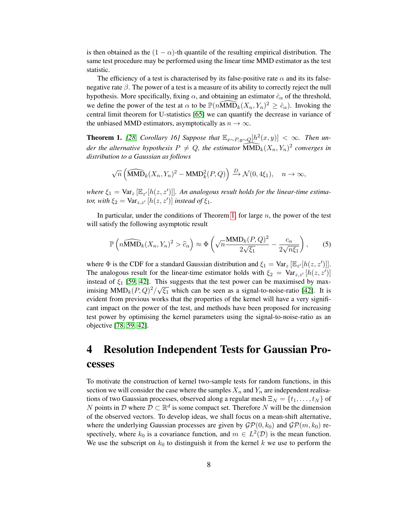is then obtained as the  $(1 - \alpha)$ -th quantile of the resulting empirical distribution. The same test procedure may be performed using the linear time MMD estimator as the test statistic.

The efficiency of a test is characterised by its false-positive rate  $\alpha$  and its its falsenegative rate  $\beta$ . The power of a test is a measure of its ability to correctly reject the null hypothesis. More specifically, fixing  $\alpha$ , and obtaining an estimator  $\hat{c}_{\alpha}$  of the threshold, we define the power of the test at  $\alpha$  to be  $\mathbb{P}(n\widetilde{MMD}_k(X_n, Y_n)^2 \geq \hat{c}_\alpha)$ . Invoking the central limit theorem for U-statistics [\[65\]](#page-30-21) we can quantify the decrease in variance of the unbiased MMD estimators, asymptotically as  $n \to \infty$ .

<span id="page-7-1"></span>**Theorem 1.** [\[28,](#page-29-6) *Corollary 16]* Suppose that  $\mathbb{E}_{x \sim P, y \sim Q}[h^2(x, y)] < \infty$ . Then un*der the alternative hypothesis*  $P \neq Q$ , the estimator  $\widehat{MMD}_k(X_n, Y_n)^2$  converges in *distribution to a Gaussian as follows*

$$
\sqrt{n}\left(\widehat{\text{MMD}}_k(X_n, Y_n)^2 - \text{MMD}_k^2(P, Q)\right) \xrightarrow{D} \mathcal{N}(0, 4\xi_1), \quad n \to \infty,
$$

where  $\xi_1 = \text{Var}_z [\mathbb{E}_{z'}[h(z, z')]]$ . An analogous result holds for the linear-time estima*tor, with*  $\xi_2 = \text{Var}_{z,z'} [h(z,z')]$  *instead of*  $\xi_1$ *.* 

In particular, under the conditions of Theorem [1,](#page-7-1) for large  $n$ , the power of the test will satisfy the following asymptotic result

<span id="page-7-2"></span>
$$
\mathbb{P}\left(n\widehat{\text{MMD}}_k(X_n, Y_n)^2 > \widehat{c}_{\alpha}\right) \approx \Phi\left(\sqrt{n}\frac{\text{MMD}_k(P, Q)^2}{2\sqrt{\xi_1}} - \frac{c_{\alpha}}{2\sqrt{n\xi_1}}\right),\tag{5}
$$

where  $\Phi$  is the CDF for a standard Gaussian distribution and  $\xi_1 = \text{Var}_z [\mathbb{E}_{z'}[h(z, z')]].$ The analogous result for the linear-time estimator holds with  $\xi_2 = \text{Var}_{z,z'} [h(z, z')]$ instead of  $\xi_1$  [\[59,](#page-29-10) [42\]](#page-29-22). This suggests that the test power can be maximised by maximising  $MMD_k(P,Q)^2/\sqrt{\xi_1}$  which can be seen as a signal-to-noise-ratio [\[42\]](#page-29-22). It is evident from previous works that the properties of the kernel will have a very significant impact on the power of the test, and methods have been proposed for increasing test power by optimising the kernel parameters using the signal-to-noise-ratio as an objective [\[78,](#page-30-4) [59,](#page-29-10) [42\]](#page-29-22).

# <span id="page-7-0"></span>4 Resolution Independent Tests for Gaussian Processes

To motivate the construction of kernel two-sample tests for random functions, in this section we will consider the case where the samples  $X_n$  and  $Y_n$  are independent realisations of two Gaussian processes, observed along a regular mesh  $\Xi_N = \{t_1, \ldots, t_N\}$  of N points in D where  $\mathcal{D} \subset \mathbb{R}^d$  is some compact set. Therefore N will be the dimension of the observed vectors. To develop ideas, we shall focus on a mean-shift alternative, where the underlying Gaussian processes are given by  $\mathcal{GP}(0, k_0)$  and  $\mathcal{GP}(m, k_0)$  respectively, where  $k_0$  is a covariance function, and  $m \in L^2(\mathcal{D})$  is the mean function. We use the subscript on  $k_0$  to distinguish it from the kernel k we use to perform the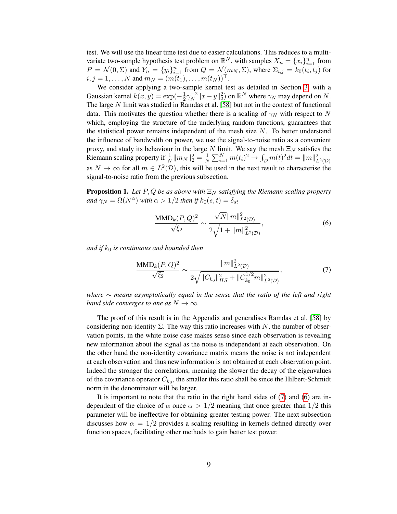test. We will use the linear time test due to easier calculations. This reduces to a multivariate two-sample hypothesis test problem on  $\mathbb{R}^N$ , with samples  $X_n = \{x_i\}_{i=1}^n$  from  $P = \mathcal{N}(0, \Sigma)$  and  $Y_n = \{y_i\}_{i=1}^n$  from  $Q = \mathcal{N}(m_N, \Sigma)$ , where  $\Sigma_{i,j} = k_0(t_i, t_j)$  for  $i, j = 1, \ldots, N$  and  $m_N = (m(t_1), \ldots, m(t_N))^{\top}$ .

We consider applying a two-sample kernel test as detailed in Section [3,](#page-4-0) with a Gaussian kernel  $k(x, y) = \exp(-\frac{1}{2})$  $\frac{1}{2}\gamma_N^{-2}$  $\int_N^{-2} \|x - y\|_2^2$  on  $\mathbb{R}^N$  where  $\gamma_N$  may depend on N. The large  $N$  limit was studied in Ramdas et al. [\[58\]](#page-29-9) but not in the context of functional data. This motivates the question whether there is a scaling of  $\gamma_N$  with respect to N which, employing the structure of the underlying random functions, guarantees that the statistical power remains independent of the mesh size  $N$ . To better understand the influence of bandwidth on power, we use the signal-to-noise ratio as a convenient proxy, and study its behaviour in the large N limit. We say the mesh  $\Xi_N$  satisfies the Riemann scaling property if  $\frac{1}{N} ||m_N||_2^2 = \frac{1}{N}$  $\frac{1}{N} \sum_{i=1}^{N} m(t_i)^2 \to \int_{\mathcal{D}} m(t)^2 dt = ||m||^2_{L^2(\mathcal{D})}$ as  $N \to \infty$  for all  $m \in L^2(\mathcal{D})$ , this will be used in the next result to characterise the signal-to-noise ratio from the previous subsection.

<span id="page-8-2"></span>**Proposition 1.** Let P, Q be as above with  $\Xi_N$  satisfying the Riemann scaling property *and*  $\gamma_N = \Omega(N^{\alpha})$  *with*  $\alpha > 1/2$  *then if*  $k_0(s,t) = \delta_{st}$ 

<span id="page-8-1"></span><span id="page-8-0"></span>
$$
\frac{\text{MMD}_k(P,Q)^2}{\sqrt{\xi_2}} \sim \frac{\sqrt{N}||m||^2_{L^2(\mathcal{D})}}{2\sqrt{1+||m||^2_{L^2(\mathcal{D})}}},\tag{6}
$$

*and if*  $k_0$  *is continuous and bounded then* 

$$
\frac{\text{MMD}_k(P,Q)^2}{\sqrt{\xi_2}} \sim \frac{\|m\|_{L^2(\mathcal{D})}^2}{2\sqrt{\|C_{k_0}\|_{HS}^2 + \|C_{k_0}^{1/2}m\|_{L^2(\mathcal{D})}^2}},\tag{7}
$$

*where* ∼ *means asymptotically equal in the sense that the ratio of the left and right hand side converges to one as*  $N \to \infty$ *.* 

The proof of this result is in the Appendix and generalises Ramdas et al. [\[58\]](#page-29-9) by considering non-identity  $\Sigma$ . The way this ratio increases with N, the number of observation points, in the white noise case makes sense since each observation is revealing new information about the signal as the noise is independent at each observation. On the other hand the non-identity covariance matrix means the noise is not independent at each observation and thus new information is not obtained at each observation point. Indeed the stronger the correlations, meaning the slower the decay of the eigenvalues of the covariance operator  $C_{k_0}$ , the smaller this ratio shall be since the Hilbert-Schmidt norm in the denominator will be larger.

It is important to note that the ratio in the right hand sides of [\(7\)](#page-8-0) and [\(6\)](#page-8-1) are independent of the choice of  $\alpha$  once  $\alpha > 1/2$  meaning that once greater than  $1/2$  this parameter will be ineffective for obtaining greater testing power. The next subsection discusses how  $\alpha = 1/2$  provides a scaling resulting in kernels defined directly over function spaces, facilitating other methods to gain better test power.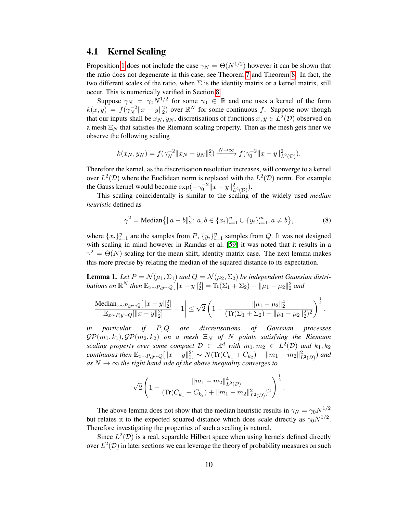### 4.1 Kernel Scaling

Proposition [1](#page-8-2) does not include the case  $\gamma_N = \Theta(N^{1/2})$  however it can be shown that the ratio does not degenerate in this case, see Theorem [7](#page-16-0) and Theorem [8.](#page-17-1) In fact, the two different scales of the ratio, when  $\Sigma$  is the identity matrix or a kernel matrix, still occur. This is numerically verified in Section [8.](#page-19-0)

Suppose  $\gamma_N = \gamma_0 N^{1/2}$  for some  $\gamma_0 \in \mathbb{R}$  and one uses a kernel of the form  $k(x, y) = f(\gamma_N^{-2})$  $\int_N^{-2}$  ||x − y||<sup>2</sup>/<sub>2</sub>) over  $\mathbb{R}^N$  for some continuous f. Suppose now though that our inputs shall be  $x_N, y_N$ , discretisations of functions  $x, y \in L^2(\mathcal{D})$  observed on a mesh  $\Xi_N$  that satisfies the Riemann scaling property. Then as the mesh gets finer we observe the following scaling

$$
k(x_N, y_N) = f(\gamma_N^{-2} \|x_N - y_N\|_2^2) \xrightarrow{N \to \infty} f(\gamma_0^{-2} \|x - y\|_{L^2(\mathcal{D})}^2).
$$

Therefore the kernel, as the discretisation resolution increases, will converge to a kernel over  $L^2(\mathcal{D})$  where the Euclidean norm is replaced with the  $L^2(\mathcal{D})$  norm. For example the Gauss kernel would become  $\exp(-\gamma_0^{-2} \|x-y\|_{L^2(\mathcal{D})}^2)$ .

This scaling coincidentally is similar to the scaling of the widely used *median heuristic* defined as

$$
\gamma^2 = \text{Median}\{||a - b||_2^2 : a, b \in \{x_i\}_{i=1}^n \cup \{y_i\}_{i=1}^m, a \neq b\},\tag{8}
$$

where  $\{x_i\}_{i=1}^n$  are the samples from P,  $\{y_i\}_{i=1}^n$  samples from Q. It was not designed with scaling in mind however in Ramdas et al. [\[59\]](#page-29-10) it was noted that it results in a  $\gamma^2 = \Theta(N)$  scaling for the mean shift, identity matrix case. The next lemma makes this more precise by relating the median of the squared distance to its expectation.

<span id="page-9-0"></span>**Lemma 1.** Let  $P = \mathcal{N}(\mu_1, \Sigma_1)$  and  $Q = \mathcal{N}(\mu_2, \Sigma_2)$  be independent Gaussian distri*butions on*  $\mathbb{R}^N$  *then*  $\mathbb{E}_{x \sim P, y \sim Q}[\|x - y\|_2^2] = \text{Tr}(\Sigma_1 + \Sigma_2) + \|\mu_1 - \mu_2\|_2^2$  and

$$
\left|\frac{\text{Median}_{x\sim P,y\sim Q}[\|x-y\|_2^2]}{\mathbb{E}_{x\sim P,y\sim Q}[\|x-y\|_2^2]}-1\right|\leq \sqrt{2}\left(1-\frac{\|\mu_1-\mu_2\|_2^4}{(\text{Tr}(\Sigma_1+\Sigma_2)+\|\mu_1-\mu_2\|_2^2)^2}\right)^{\frac{1}{2}},
$$

*in particular if* P, Q *are discretisations of Gaussian processes*  $\mathcal{GP}(m_1, k_1), \mathcal{GP}(m_2, k_2)$  on a mesh  $\Xi_N$  of N points satisfying the Riemann *scaling property over some compact*  $D \subset \mathbb{R}^d$  *with*  $m_1, m_2 \in L^2(\mathcal{D})$  *and*  $k_1, k_2$ *continuous then*  $\mathbb{E}_{x \sim P, y \sim Q}[\|x - y\|_2^2] \sim N(\text{Tr}(C_{k_1} + C_{k_2}) + \|m_1 - m_2\|_{L^2(\mathcal{D})}^2)$  and as  $N \to \infty$  *the right hand side of the above inequality converges to* 

$$
\sqrt{2}\left(1-\frac{\|m_1-m_2\|_{L^2(\mathcal{D})}^4}{(\text{Tr}(C_{k_1}+C_{k_2})+\|m_1-m_2\|_{L^2(\mathcal{D})}^2)}\right)^{\frac{1}{2}}
$$

.

The above lemma does not show that the median heuristic results in  $\gamma_N = \gamma_0 N^{1/2}$ but relates it to the expected squared distance which does scale directly as  $\gamma_0 N^{1/2}$ . Therefore investigating the properties of such a scaling is natural.

Since  $L^2(\mathcal{D})$  is a real, separable Hilbert space when using kernels defined directly over  $L^2(\mathcal{D})$  in later sections we can leverage the theory of probability measures on such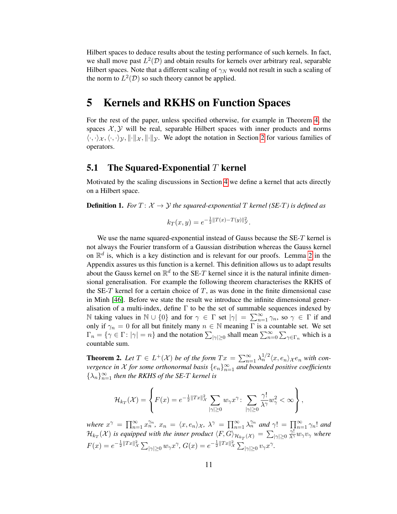Hilbert spaces to deduce results about the testing performance of such kernels. In fact, we shall move past  $L^2(\mathcal{D})$  and obtain results for kernels over arbitrary real, separable Hilbert spaces. Note that a different scaling of  $\gamma_N$  would not result in such a scaling of the norm to  $L^2(\mathcal{D})$  so such theory cannot be applied.

## <span id="page-10-0"></span>5 Kernels and RKHS on Function Spaces

For the rest of the paper, unless specified otherwise, for example in Theorem [4,](#page-11-0) the spaces  $X, Y$  will be real, separable Hilbert spaces with inner products and norms  $\langle \cdot, \cdot \rangle_{\mathcal{X}}, \langle \cdot, \cdot \rangle_{\mathcal{Y}}, \|\cdot\|_{\mathcal{X}}, \|\cdot\|_{\mathcal{Y}}$ . We adopt the notation in Section [2](#page-3-0) for various families of operators.

### **5.1** The Squared-Exponential  $T$  kernel

Motivated by the scaling discussions in Section [4](#page-7-0) we define a kernel that acts directly on a Hilbert space.

**Definition 1.** *For*  $T: \mathcal{X} \rightarrow \mathcal{Y}$  *the squared-exponential*  $T$  *kernel* (*SE-T*) *is defined as* 

$$
k_T(x, y) = e^{-\frac{1}{2}||T(x) - T(y)||^2_{\mathcal{Y}}}.
$$

We use the name squared-exponential instead of Gauss because the SE-T kernel is not always the Fourier transform of a Gaussian distribution whereas the Gauss kernel on  $\mathbb{R}^d$  is, which is a key distinction and is relevant for our proofs. Lemma [2](#page-35-0) in the Appendix assures us this function is a kernel. This definition allows us to adapt results about the Gauss kernel on  $\mathbb{R}^d$  to the SE-T kernel since it is the natural infinite dimensional generalisation. For example the following theorem characterises the RKHS of the SE-T kernel for a certain choice of  $T$ , as was done in the finite dimensional case in Minh [\[46\]](#page-29-23). Before we state the result we introduce the infinite dimensional generalisation of a multi-index, define  $\Gamma$  to be the set of summable sequences indexed by N taking values in  $\mathbb{N} \cup \{0\}$  and for  $\gamma \in \Gamma$  set  $|\gamma| = \sum_{n=1}^{\infty} \gamma_n$ , so  $\gamma \in \Gamma$  if and only if  $\gamma_n = 0$  for all but finitely many  $n \in \mathbb{N}$  meaning  $\Gamma$  is a countable set. We set  $\Gamma_n = \{ \gamma \in \Gamma : |\gamma| = n \}$  and the notation  $\sum_{|\gamma| \ge 0}$  shall mean  $\sum_{n=0}^{\infty} \sum_{\gamma \in \Gamma_n}$  which is a countable sum.

<span id="page-10-1"></span>**Theorem 2.** Let  $T \in L^+(\mathcal{X})$  be of the form  $Tx = \sum_{n=1}^{\infty} \lambda_n^{1/2} \langle x, e_n \rangle_{\mathcal{X}} e_n$  with con*vergence in X for some orthonormal basis*  $\{e_n\}_{n=1}^{\infty}$  *and bounded positive coefficients*  $\{\lambda_n\}_{n=1}^{\infty}$  *then the RKHS of the SE-T kernel is* 

$$
\mathcal{H}_{k_T}(\mathcal{X}) = \left\{ F(x) = e^{-\frac{1}{2}||Tx||_{\mathcal{X}}^2} \sum_{|\gamma| \ge 0} w_{\gamma} x^{\gamma} \colon \sum_{|\gamma| \ge 0} \frac{\gamma!}{\lambda^{\gamma}} w_{\gamma}^2 < \infty \right\},\,
$$

*where*  $x^{\gamma} = \prod_{n=1}^{\infty} x_n^{\gamma_n}$ ,  $x_n = \langle x, e_n \rangle_{\mathcal{X}}$ ,  $\lambda^{\gamma} = \prod_{n=1}^{\infty} \lambda_n^{\gamma_n}$  and  $\gamma! = \prod_{n=1}^{\infty} \gamma_n!$  and  $\mathcal{H}_{k_T}(\mathcal{X})$  is equipped with the inner product  $\langle F, G\rangle_{\mathcal{H}_{k_T}(\mathcal{X})}=\sum_{|\gamma|\geq 0}$  $\frac{\gamma !}{\lambda^{\gamma}} w_{\gamma} v_{\gamma}$  where  $F(x) = e^{-\frac{1}{2}||Tx||^2_{\mathcal{X}}} \sum_{|\gamma| \geq 0} w_{\gamma} x^{\gamma}, G(x) = e^{-\frac{1}{2}||Tx||^2_{\mathcal{X}}} \sum_{|\gamma| \geq 0} v_{\gamma} x^{\gamma}.$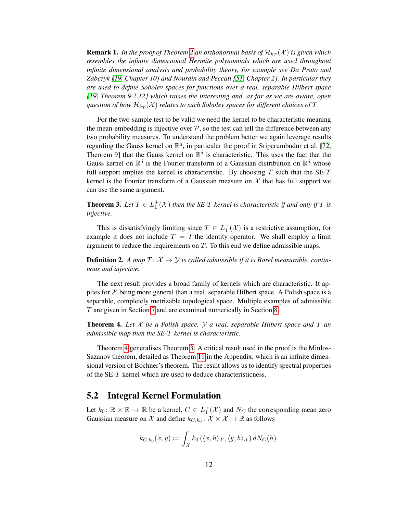${\bf Remark~1.}$  In the proof of Theorem [2](#page-10-1) an orthonormal basis of  $\mathcal{H}_{k_T}(\mathcal{X})$  is given which *resembles the infinite dimensional Hermite polynomials which are used throughout infinite dimensional analysis and probability theory, for example see Da Prato and Zabczyk [\[19,](#page-28-19) Chapter 10] and Nourdin and Peccati [\[51,](#page-29-24) Chapter 2]. In particular they are used to define Sobolev spaces for functions over a real, separable Hilbert space [\[19,](#page-28-19) Theorem 9.2.12] which raises the interesting and, as far as we are aware, open* question of how  $\mathcal{H}_{k_T}(\mathcal{X})$  *relates to such Sobolev spaces for different choices of*  $T$ *.* 

For the two-sample test to be valid we need the kernel to be characteristic meaning the mean-embedding is injective over  $P$ , so the test can tell the difference between any two probability measures. To understand the problem better we again leverage results regarding the Gauss kernel on  $\mathbb{R}^d$ , in particular the proof in Sriperumbudur et al. [\[72,](#page-30-11) Theorem 9] that the Gauss kernel on  $\mathbb{R}^d$  is characteristic. This uses the fact that the Gauss kernel on  $\mathbb{R}^d$  is the Fourier transform of a Gaussian distribution on  $\mathbb{R}^d$  whose full support implies the kernel is characteristic. By choosing  $T$  such that the SE- $T$ kernel is the Fourier transform of a Gaussian measure on  $X$  that has full support we can use the same argument.

<span id="page-11-1"></span>**Theorem 3.** Let  $T \in L_1^+(\mathcal{X})$  then the SE-T kernel is characteristic if and only if T is *injective.*

This is dissatisfyingly limiting since  $T \in L_1^+(\mathcal{X})$  is a restrictive assumption, for example it does not include  $T = I$  the identity operator. We shall employ a limit argument to reduce the requirements on  $T$ . To this end we define admissible maps.

**Definition 2.** A map  $T: \mathcal{X} \to \mathcal{Y}$  is called admissible if it is Borel measurable, contin*uous and injective.*

The next result provides a broad family of kernels which are characteristic. It applies for  $\mathcal X$  being more general than a real, separable Hilbert space. A Polish space is a separable, completely metrizable topological space. Multiple examples of admissible T are given in Section [7](#page-17-0) and are examined numerically in Section [8.](#page-19-0)

<span id="page-11-0"></span>**Theorem 4.** Let  $X$  be a Polish space,  $Y$  a real, separable Hilbert space and  $T$  an *admissible map then the SE-*T *kernel is characteristic.*

Theorem [4](#page-11-0) generalises Theorem [3.](#page-11-1) A critical result used in the proof is the Minlos-Sazanov theorem, detailed as Theorem [11](#page-31-1) in the Appendix, which is an infinite dimensional version of Bochner's theorem. The result allows us to identify spectral properties of the SE-T kernel which are used to deduce characteristicness.

### <span id="page-11-2"></span>5.2 Integral Kernel Formulation

Let  $k_0: \mathbb{R} \times \mathbb{R} \to \mathbb{R}$  be a kernel,  $C \in L_1^+(\mathcal{X})$  and  $N_C$  the corresponding mean zero Gaussian measure on X and define  $k_{C,k_0}$ :  $\mathcal{X} \times \mathcal{X} \to \mathbb{R}$  as follows

$$
k_{C,k_0}(x,y) := \int_{\mathcal{X}} k_0(\langle x,h\rangle_{\mathcal{X}}, \langle y,h\rangle_{\mathcal{X}}) dN_C(h).
$$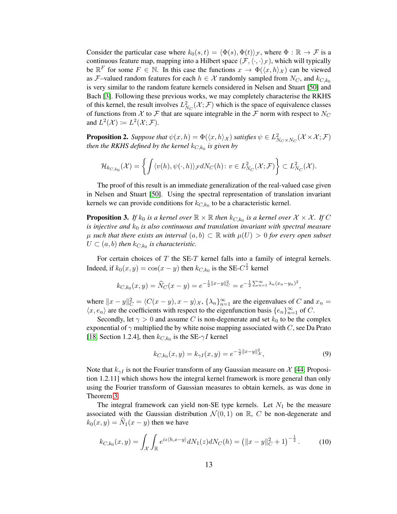Consider the particular case where  $k_0(s, t) = \langle \Phi(s), \Phi(t) \rangle \mathcal{F}$ , where  $\Phi : \mathbb{R} \to \mathcal{F}$  is a continuous feature map, mapping into a Hilbert space  $(\mathcal{F}, \langle \cdot, \cdot \rangle_{\mathcal{F}})$ , which will typically be  $\mathbb{R}^F$  for some  $F \in \mathbb{N}$ . In this case the functions  $x \to \Phi(\langle x, h \rangle_{\mathcal{X}})$  can be viewed as F–valued random features for each  $h \in \mathcal{X}$  randomly sampled from  $N_C$ , and  $k_{C,k_0}$ is very similar to the random feature kernels considered in Nelsen and Stuart [\[50\]](#page-29-12) and Bach [\[3\]](#page-28-20). Following these previous works, we may completely characterise the RKHS of this kernel, the result involves  $L^2_{N_C}(\mathcal{X}; \mathcal{F})$  which is the space of equivalence classes of functions from X to F that are square integrable in the F norm with respect to  $N_C$ and  $L^2(\mathcal{X}) \coloneqq L^2(\mathcal{X}; \mathcal{F})$ .

**Proposition 2.** Suppose that  $\psi(x, h) = \Phi(\langle x, h \rangle_{\mathcal{X}})$  satisfies  $\psi \in L^2_{N_C \times N_C}(\mathcal{X} \times \mathcal{X}; \mathcal{F})$ *then the RKHS defined by the kernel* kC,k<sup>0</sup> *is given by*

$$
\mathcal{H}_{k_{C,k_0}}(\mathcal{X})=\left\{\int \langle v(h),\psi(\cdot,h)\rangle_{\mathcal{F}}dN_C(h)\colon v\in L^2_{N_C}(\mathcal{X};\mathcal{F})\right\}\subset L^2_{N_C}(\mathcal{X}).
$$

The proof of this result is an immediate generalization of the real-valued case given in Nelsen and Stuart [\[50\]](#page-29-12). Using the spectral representation of translation invariant kernels we can provide conditions for  $k_{C,k_0}$  to be a characteristic kernel.

<span id="page-12-0"></span>**Proposition 3.** If  $k_0$  is a kernel over  $\mathbb{R} \times \mathbb{R}$  then  $k_{C,k_0}$  is a kernel over  $\mathcal{X} \times \mathcal{X}$ . If C *is injective and*  $k_0$  *is also continuous and translation invariant with spectral measure*  $\mu$  such that there exists an interval  $(a, b)$  ⊂ R with  $\mu$ (U) > 0 for every open subset  $U \subset (a, b)$  then  $k_{C, k_0}$  is characteristic.

For certain choices of  $T$  the SE- $T$  kernel falls into a family of integral kernels. Indeed, if  $k_0(x, y) = \cos(x - y)$  then  $k_{C, k_0}$  is the SE- $C^{\frac{1}{2}}$  kernel

$$
k_{C,k_0}(x,y) = \widehat{N}_C(x-y) = e^{-\frac{1}{2}||x-y||_C^2} = e^{-\frac{1}{2}\sum_{n=1}^{\infty}\lambda_n(x_n-y_n)^2},
$$

where  $||x - y||_C^2 = \langle C(x - y), x - y \rangle_{\mathcal{X}}, \{\lambda_n\}_{n=1}^{\infty}$  are the eigenvalues of C and  $x_n =$  $\langle x, e_n \rangle$  are the coefficients with respect to the eigenfunction basis  $\{e_n\}_{n=1}^{\infty}$  of C.

Secondly, let  $\gamma > 0$  and assume C is non-degenerate and set  $k_0$  to be the complex exponential of  $\gamma$  multiplied the by white noise mapping associated with C, see Da Prato [\[18,](#page-28-16) Section 1.2.4], then  $k_{C,k_0}$  is the SE- $\gamma I$  kernel

$$
k_{C,k_0}(x,y) = k_{\gamma I}(x,y) = e^{-\frac{\gamma}{2}||x-y||_{\mathcal{X}}^2},\tag{9}
$$

Note that  $k_{\gamma I}$  is not the Fourier transform of any Gaussian measure on X [\[44,](#page-29-25) Proposition 1.2.11] which shows how the integral kernel framework is more general than only using the Fourier transform of Gaussian measures to obtain kernels, as was done in Theorem [3.](#page-11-1)

The integral framework can yield non-SE type kernels. Let  $N_1$  be the measure associated with the Gaussian distribution  $\mathcal{N}(0,1)$  on  $\mathbb{R}$ , C be non-degenerate and  $k_0(x, y) = \hat{N}_1(x - y)$  then we have

<span id="page-12-1"></span>
$$
k_{C,k_0}(x,y) = \int_{\mathcal{X}} \int_{\mathbb{R}} e^{iz \langle h, x-y \rangle} dN_1(z) dN_C(h) = \left( \|x-y\|_{C}^2 + 1 \right)^{-\frac{1}{2}}.
$$
 (10)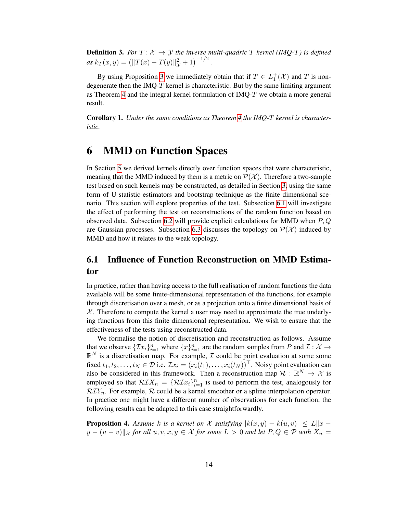**Definition 3.** For  $T: \mathcal{X} \to \mathcal{Y}$  the inverse multi-quadric T kernel (IMQ-T) is defined  $as k_T(x, y) = (||T(x) - T(y)||_y^2 + 1)^{-1/2}.$ 

By using Proposition [3](#page-12-0) we immediately obtain that if  $T \in L_1^+(\mathcal{X})$  and T is nondegenerate then the IMQ- $T$  kernel is characteristic. But by the same limiting argument as Theorem [4](#page-11-0) and the integral kernel formulation of IMQ-T we obtain a more general result.

<span id="page-13-3"></span>Corollary 1. *Under the same conditions as Theorem [4](#page-11-0) the IMQ-*T *kernel is characteristic.*

## <span id="page-13-0"></span>6 MMD on Function Spaces

In Section [5](#page-10-0) we derived kernels directly over function spaces that were characteristic, meaning that the MMD induced by them is a metric on  $\mathcal{P}(\mathcal{X})$ . Therefore a two-sample test based on such kernels may be constructed, as detailed in Section [3,](#page-4-0) using the same form of U-statistic estimators and bootstrap technique as the finite dimensional scenario. This section will explore properties of the test. Subsection [6.1](#page-13-1) will investigate the effect of performing the test on reconstructions of the random function based on observed data. Subsection [6.2](#page-16-1) will provide explicit calculations for MMD when  $P, Q$ are Gaussian processes. Subsection [6.3](#page-17-2) discusses the topology on  $\mathcal{P}(\mathcal{X})$  induced by MMD and how it relates to the weak topology.

### <span id="page-13-1"></span>6.1 Influence of Function Reconstruction on MMD Estimator

In practice, rather than having access to the full realisation of random functions the data available will be some finite-dimensional representation of the functions, for example through discretisation over a mesh, or as a projection onto a finite dimensional basis of  $X$ . Therefore to compute the kernel a user may need to approximate the true underlying functions from this finite dimensional representation. We wish to ensure that the effectiveness of the tests using reconstructed data.

We formalise the notion of discretisation and reconstruction as follows. Assume that we observe  ${\{\mathcal{I}x_i\}_{i=1}^n}$  where  ${x\}_{i=1}^n$  are the random samples from P and  $\mathcal{I}: \mathcal{X} \to \mathcal{Y}$  $\mathbb{R}^N$  is a discretisation map. For example,  $\mathcal I$  could be point evaluation at some some fixed  $t_1, t_2, \ldots, t_N \in \mathcal{D}$  i.e.  $\mathcal{I}x_i = (x_i(t_1), \ldots, x_i(t_N))^{\top}$ . Noisy point evaluation can also be considered in this framework. Then a reconstruction map  $\mathcal{R}: \mathbb{R}^N \to \mathcal{X}$  is employed so that  $\mathcal{RIX}_n = \{ \mathcal{RIx}_i \}_{i=1}^n$  is used to perform the test, analogously for  $\mathcal{R} I Y_n$ . For example, R could be a kernel smoother or a spline interpolation operator. In practice one might have a different number of observations for each function, the following results can be adapted to this case straightforwardly.

<span id="page-13-2"></span>**Proposition 4.** Assume k is a kernel on X satisfying  $|k(x, y) - k(u, v)| \le L ||x - y||$  $y - (u - v)$ <sup> $||$ </sup> x *for all*  $u, v, x, y \in X$  *for some*  $L > 0$  *and let*  $P, Q \in \mathcal{P}$  *with*  $X_n =$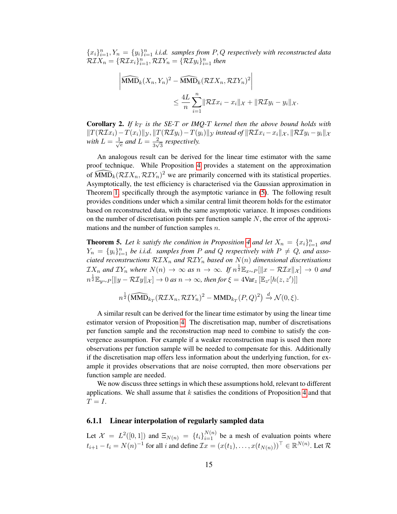${x_i}_{i=1}^n, Y_n = {y_i}_{i=1}^n$  *i.i.d.* samples from P, Q respectively with reconstructed data  $\mathcal{RIX}_n = \{\mathcal{RIx}_i\}_{i=1}^n, \mathcal{RIV}_n = \{\mathcal{RI}y_i\}_{i=1}^n$  then

$$
\left| \widehat{\text{MMD}}_k(X_n, Y_n)^2 - \widehat{\text{MMD}}_k(\mathcal{RIX}_n, \mathcal{RIV}_n)^2 \right|
$$
  

$$
\leq \frac{4L}{n} \sum_{i=1}^n \|\mathcal{RIx}_i - x_i\|_{\mathcal{X}} + \|\mathcal{RI}y_i - y_i\|_{\mathcal{X}}.
$$

<span id="page-14-1"></span>**Corollary 2.** If  $k_T$  is the SE-T or IMQ-T kernel then the above bound holds with  $\|T(\mathcal{R}I x_i)-T(x_i)\|_{\mathcal{Y}}, \|T(\mathcal{R}I y_i)-T(y_i)\|_{\mathcal{Y}}$  *instead of*  $\|\mathcal{R}I x_i-x_i\|_{\mathcal{X}}, \|\mathcal{R}I y_i-y_i\|_{\mathcal{X}}$ with  $L = \frac{1}{\sqrt{2}}$  $\frac{1}{e}$  and  $L = \frac{2}{3\sqrt{2}}$  $\frac{2}{3\sqrt{3}}$  respectively.

An analogous result can be derived for the linear time estimator with the same proof technique. While Proposition [4](#page-13-2) provides a statement on the approximation of  $\widehat{\text{MMD}}_k(\mathcal{RIX}_n, \mathcal{RIV}_n)^2$  we are primarily concerned with its statistical properties. Asymptotically, the test efficiency is characterised via the Gaussian approximation in Theorem [1,](#page-7-1) specifically through the asymptotic variance in [\(5\)](#page-7-2). The following result provides conditions under which a similar central limit theorem holds for the estimator based on reconstructed data, with the same asymptotic variance. It imposes conditions on the number of discretisation points per function sample  $N$ , the error of the approximations and the number of function samples *n*.

<span id="page-14-0"></span>**Theorem 5.** Let k satisfy the condition in Proposition [4](#page-13-2) and let  $X_n = \{x_i\}_{i=1}^n$  and  $Y_n = \{y_i\}_{i=1}^n$  be *i.i.d.* samples from P and Q respectively with  $P \neq Q$ , and asso*ciated reconstructions*  $\mathcal{RIX}_n$  *and*  $\mathcal{RIX}_n$  *based on*  $N(n)$  *dimensional discretisations*  $\mathcal{I}X_n$  and  $\mathcal{I}Y_n$  where  $N(n) \to \infty$  as  $n \to \infty$ . If  $n^{\frac{1}{2}}\mathbb{E}_{x\sim P}[\|x-\mathcal{R}\mathcal{I}x\|_{\mathcal{X}}] \to 0$  and  $n^{\frac{1}{2}}\mathbb{E}_{y\sim P}[\|y-\mathcal{R}\mathcal{I}y\|_{\mathcal{X}}]\to 0$  as  $n\to\infty$ , then for  $\xi=4\text{Var}_{z}\left[\mathbb{E}_{z'}[h(z,z')]\right]$ 

$$
n^{\frac{1}{2}}(\widehat{\text{MMD}}_{k_T}(\mathcal{RIX}_n, \mathcal{RIV}_n)^2 - \text{MMD}_{k_T}(P,Q)^2) \xrightarrow{d} \mathcal{N}(0,\xi).
$$

A similar result can be derived for the linear time estimator by using the linear time estimator version of Proposition [4.](#page-13-2) The discretisation map, number of discretisations per function sample and the reconstruction map need to combine to satisfy the convergence assumption. For example if a weaker reconstruction map is used then more observations per function sample will be needed to compensate for this. Additionally if the discretisation map offers less information about the underlying function, for example it provides observations that are noise corrupted, then more observations per function sample are needed.

We now discuss three settings in which these assumptions hold, relevant to different applications. We shall assume that  $k$  satisfies the conditions of Proposition [4](#page-13-2) and that  $T = I$ .

#### 6.1.1 Linear interpolation of regularly sampled data

Let  $\mathcal{X} = L^2([0,1])$  and  $\Xi_{N(n)} = \{t_i\}_{i=1}^{N(n)}$  be a mesh of evaluation points where  $t_{i+1} - t_i = N(n)^{-1}$  for all i and define  $\mathcal{I}x = (x(t_1), \dots, x(t_{N(n)}))^{\top} \in \mathbb{R}^{N(n)}$ . Let  $\mathcal{R}$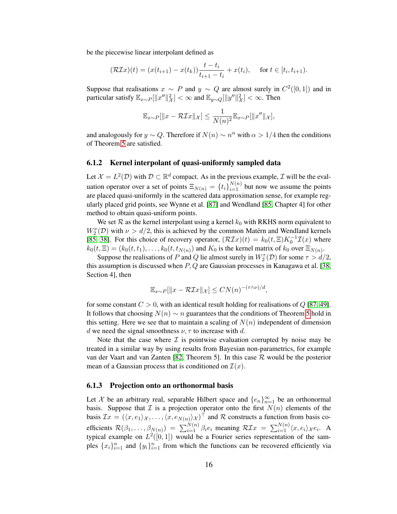be the piecewise linear interpolant defined as

$$
(\mathcal{R}\mathcal{I}x)(t) = (x(t_{i+1}) - x(t_k))\frac{t - t_i}{t_{i+1} - t_i} + x(t_i), \quad \text{ for } t \in [t_i, t_{i+1}).
$$

Suppose that realisations  $x \sim P$  and  $y \sim Q$  are almost surely in  $C^2([0,1])$  and in particular satisfy  $\mathbb{E}_{x \sim P}[\|x''\|_{\mathcal{X}}^2] < \infty$  and  $\mathbb{E}_{y \sim Q}[\|y''\|_{\mathcal{X}}^2] < \infty$ . Then

$$
\mathbb{E}_{x \sim P}[\|x - \mathcal{R} \mathcal{I} x\|_{\mathcal{X}}] \le \frac{1}{N(n)^2} \mathbb{E}_{x \sim P}[\|x''\|_{\mathcal{X}}],
$$

and analogously for  $y \sim Q$ . Therefore if  $N(n) \sim n^{\alpha}$  with  $\alpha > 1/4$  then the conditions of Theorem [5](#page-14-0) are satisfied.

#### 6.1.2 Kernel interpolant of quasi-uniformly sampled data

Let  $\mathcal{X} = L^2(\mathcal{D})$  with  $\mathcal{D} \subset \mathbb{R}^d$  compact. As in the previous example,  $\mathcal{I}$  will be the evaluation operator over a set of points  $\Xi_{N(n)} = \{t_i\}_{i=1}^{N(n)}$  but now we assume the points are placed quasi-uniformly in the scattered data approximation sense, for example regularly placed grid points, see Wynne et al. [\[87\]](#page-30-22) and Wendland [\[85,](#page-30-23) Chapter 4] for other method to obtain quasi-uniform points.

We set  $R$  as the kernel interpolant using a kernel  $k_0$  with RKHS norm equivalent to  $W_2^{\nu}(\mathcal{D})$  with  $\nu > d/2$ , this is achieved by the common Matérn and Wendland kernels [\[85,](#page-30-23) [38\]](#page-29-26). For this choice of recovery operator,  $(\mathcal{R}I x)(t) = k_0(t, \Xi) K_0^{-1} \mathcal{I}(x)$  where  $k_0(t, \Xi) = (k_0(t, t_1), \dots, k_0(t, t_{N(n)})$  and  $K_0$  is the kernel matrix of  $k_0$  over  $\Xi_{N(n)}$ .

Suppose the realisations of P and Q lie almost surely in  $W_2^{\tau}(\mathcal{D})$  for some  $\tau > d/2$ , this assumption is discussed when  $P, Q$  are Gaussian processes in Kanagawa et al. [\[38,](#page-29-26) Section 4], then

$$
\mathbb{E}_{x \sim P}[\|x - \mathcal{R} \mathcal{I} x\|_{\mathcal{X}}] \leq C N(n)^{-(\tau \wedge \nu)/d},
$$

for some constant  $C > 0$ , with an identical result holding for realisations of Q [\[87,](#page-30-22) [49\]](#page-29-27). It follows that choosing  $N(n) \sim n$  guarantees that the conditions of Theorem [5](#page-14-0) hold in this setting. Here we see that to maintain a scaling of  $N(n)$  independent of dimension d we need the signal smoothness  $\nu$ ,  $\tau$  to increase with d.

Note that the case where  $\mathcal I$  is pointwise evaluation corrupted by noise may be treated in a similar way by using results from Bayesian non-parametrics, for example van der Vaart and van Zanten [\[82,](#page-30-24) Theorem 5]. In this case R would be the posterior mean of a Gaussian process that is conditioned on  $\mathcal{I}(x)$ .

#### 6.1.3 Projection onto an orthonormal basis

Let X be an arbitrary real, separable Hilbert space and  $\{e_n\}_{n=1}^{\infty}$  be an orthonormal basis. Suppose that  $\mathcal I$  is a projection operator onto the first  $N(n)$  elements of the basis  $\mathcal{I}x = (\langle x, e_1 \rangle \chi, \dots, \langle x, e_{N(n)} \rangle \chi)^\top$  and R constructs a function from basis coefficients  $\mathcal{R}(\beta_1,\ldots,\beta_{N(n)}) = \sum_{i=1}^{N(n)} \beta_i e_i$  meaning  $\mathcal{R I}x = \sum_{i=1}^{N(n)} \langle x, e_i \rangle_{\mathcal{X}} e_i$ . A typical example on  $L^2([0,1])$  would be a Fourier series representation of the samples  $\{x_i\}_{i=1}^n$  and  $\{y_i\}_{i=1}^n$  from which the functions can be recovered efficiently via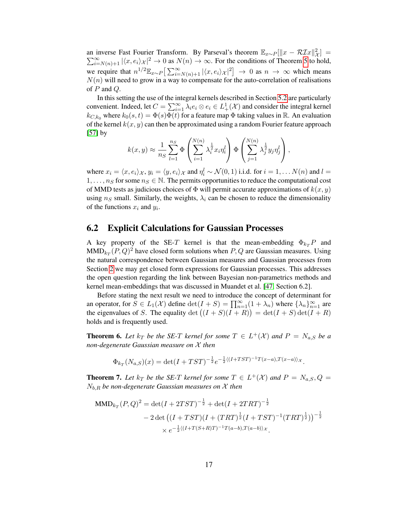an inverse Fast Fourier Transform. By Parseval's theorem  $\mathbb{E}_{x \sim P} [\Vert x - \mathcal{R} \mathcal{I} x \Vert_{\mathcal{X}}^2] =$  $\sum_{i=N(n)+1}^{\infty} |\langle x, e_i \rangle_{\mathcal{X}}|^2 \to 0$  as  $N(n) \to \infty$ . For the conditions of Theorem [5](#page-14-0) to hold, we require that  $n^{1/2} \mathbb{E}_{x \sim P} \left[ \sum_{i=N(n)+1}^{\infty} |\langle x, e_i \rangle_{\mathcal{X}}|^2 \right] \to 0$  as  $n \to \infty$  which means  $N(n)$  will need to grow in a way to compensate for the auto-correlation of realisations of  $P$  and  $Q$ .

In this setting the use of the integral kernels described in Section [5.2](#page-11-2) are particularly convenient. Indeed, let  $C = \sum_{i=1}^{\infty} \lambda_i e_i \otimes e_i \in L^1_+(\mathcal{X})$  and consider the integral kernel  $k_{C,k_0}$  where  $k_0(s,t) = \Phi(s)\Phi(t)$  for a feature map  $\Phi$  taking values in  $\mathbb{R}$ . An evaluation of the kernel  $k(x, y)$  can then be approximated using a random Fourier feature approach  $[57]$  by

$$
k(x,y) \approx \frac{1}{n_S} \sum_{l=1}^{n_S} \Phi\left(\sum_{i=1}^{N(n)} \lambda_i^{\frac{1}{2}} x_i \eta_i^l\right) \Phi\left(\sum_{j=1}^{N(n)} \lambda_j^{\frac{1}{2}} y_j \eta_j^l\right),
$$

where  $x_i = \langle x, e_i \rangle_{\mathcal{X}}$ ,  $y_i = \langle y, e_i \rangle_{\mathcal{X}}$  and  $\eta_i^l \sim \mathcal{N}(0, 1)$  i.i.d. for  $i = 1, \dots N(n)$  and  $l =$  $1, \ldots, n_S$  for some  $n_S \in \mathbb{N}$ . The permits opportunities to reduce the computational cost of MMD tests as judicious choices of  $\Phi$  will permit accurate approximations of  $k(x, y)$ using  $n<sub>S</sub>$  small. Similarly, the weights,  $\lambda<sub>i</sub>$  can be chosen to reduce the dimensionality of the functions  $x_i$  and  $y_i$ .

### <span id="page-16-1"></span>6.2 Explicit Calculations for Gaussian Processes

A key property of the SE-T kernel is that the mean-embedding  $\Phi_{kT}P$  and  $\text{MMD}_{k_T}(P,Q)^2$  have closed form solutions when  $P,Q$  are Gaussian measures. Using the natural correspondence between Gaussian measures and Gaussian processes from Section [2](#page-3-0) we may get closed form expressions for Gaussian processes. This addresses the open question regarding the link between Bayesian non-parametrics methods and kernel mean-embeddings that was discussed in Muandet et al. [\[47,](#page-29-5) Section 6.2].

Before stating the next result we need to introduce the concept of determinant for an operator, for  $S \in L_1(\mathcal{X})$  define  $\det(I + S) = \prod_{n=1}^{\infty} (1 + \lambda_n)$  where  $\{\lambda_n\}_{n=1}^{\infty}$  are the eigenvalues of S. The equality  $\det((I + S)(I + R)) = \det(I + S) \det(I + R)$ holds and is frequently used.

<span id="page-16-2"></span>**Theorem 6.** Let  $k_T$  be the SE-T kernel for some  $T \in L^+(\mathcal{X})$  and  $P = N_{a,S}$  be a *non-degenerate Gaussian measure on* X *then*

$$
\Phi_{k_T}(N_{a,S})(x) = \det(I + TST)^{-\frac{1}{2}}e^{-\frac{1}{2}\langle (I + TST)^{-1}T(x-a), T(x-a)\rangle x}.
$$

<span id="page-16-0"></span>**Theorem 7.** Let  $k_T$  be the SE-T kernel for some  $T \in L^+(\mathcal{X})$  and  $P = N_{a,S}, Q =$ Nb,R *be non-degenerate Gaussian measures on* X *then*

MMD<sub>$$
k_T
$$</sub>(*P*, *Q*)<sup>2</sup> = det(*I* + 2TST)<sup>- $\frac{1}{2}$</sup>  + det(*I* + 2TRT)<sup>- $\frac{1}{2}$</sup>   
\n- 2 det ((*I* + TST)(*I* + (TRT) <sup>$\frac{1}{2}$</sup> (*I* + TST)<sup>-1</sup>(TRT) <sup>$\frac{1}{2}$</sup> ))<sup>- $\frac{1}{2}$</sup>   
\n×  $e^{-\frac{1}{2}((I+T(S+R)T)^{-1}T(a-b),T(a-b))x}$ .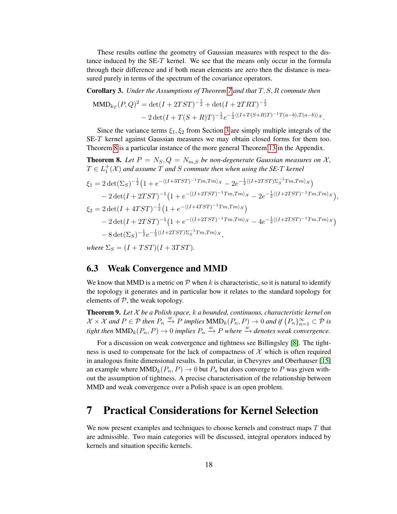These results outline the geometry of Gaussian measures with respect to the distance induced by the SE-T kernel. We see that the means only occur in the formula through their difference and if both mean elements are zero then the distance is measured purely in terms of the spectrum of the covariance operators.

<span id="page-17-3"></span>Corollary 3. *Under the Assumptions of Theorem [7](#page-16-0) and that* T, S, R *commute then*

$$
\text{MMD}_{k_T}(P,Q)^2 = \det(I + 2TST)^{-\frac{1}{2}} + \det(I + 2TRT)^{-\frac{1}{2}} - 2\det(I + T(S + R)T)^{-\frac{1}{2}}e^{-\frac{1}{2}\langle(I + T(S + R)T)^{-1}T(a - b), T(a - b)\rangle_{\mathcal{X}}}.
$$

Since the variance terms  $\xi_1, \xi_2$  from Section [3](#page-4-0) are simply multiple integrals of the SE-T kernel against Gaussian measures we may obtain closed forms for them too. Theorem [8](#page-17-1) is a particular instance of the more general Theorem [13](#page-43-0) in the Appendix.

<span id="page-17-1"></span>**Theorem 8.** Let  $P = N_S, Q = N_{m,S}$  be non-degenerate Gaussian measures on X,  $T \in L^+_1(\mathcal{X})$  and assume  $T$  and  $S$  commute then when using the SE-T kernel

$$
\xi_1 = 2 \det(\Sigma_S)^{-\frac{1}{2}} \left( 1 + e^{-\langle (I+3TST)^{-1}Tm, Tm \rangle_{\mathcal{X}}} - 2e^{-\frac{1}{2}\langle (I+2TST)\Sigma_S^{-1}Tm, Tm \rangle_{\mathcal{X}}} \right) - 2 \det(I + 2TST)^{-1} \left( 1 + e^{-\langle (I+2TST)^{-1}Tm, Tm \rangle_{\mathcal{X}}} - 2e^{-\frac{1}{2}\langle (I+2TST)^{-1}Tm, Tm \rangle_{\mathcal{X}}} \right), \n\xi_2 = 2 \det(I + 4TST)^{-\frac{1}{2}} \left( 1 + e^{-\langle (I+4TST)^{-1}Tm, Tm \rangle_{\mathcal{X}}} \right) - 2 \det(I + 2TST)^{-1} \left( 1 + e^{-\langle (I+2TST)^{-1}Tm, Tm \rangle_{\mathcal{X}}} - 4e^{-\frac{1}{2}\langle (I+2TST)^{-1}Tm, Tm \rangle_{\mathcal{X}}} \right) - 8 \det(\Sigma_S)^{-\frac{1}{2}} e^{-\frac{1}{2}\langle (I+2TST)\Sigma_S^{-1}Tm, Tm \rangle_{\mathcal{X}}},
$$

*where*  $\Sigma_S = (I + TST)(I + 3TST)$ .

### <span id="page-17-2"></span>6.3 Weak Convergence and MMD

We know that MMD is a metric on  $P$  when k is characteristic, so it is natural to identify the topology it generates and in particular how it relates to the standard topology for elements of  $P$ , the weak topology.

<span id="page-17-4"></span>Theorem 9. *Let* X *be a Polish space,* k *a bounded, continuous, characteristic kernel on*  $\mathcal{X} \times \mathcal{X}$  and  $P \in \mathcal{P}$  then  $P_n \stackrel{w}{\rightarrow} P$  implies  $\text{MMD}_k(P_n, P) \rightarrow 0$  and if  $\{P_n\}_{n=1}^{\infty} \subset \mathcal{P}$  is  $\text{tight}$  then  $\text{MMD}_k(P_n, P) \to 0$  *implies*  $P_n \xrightarrow{w} P$  *where*  $\xrightarrow{w}$  *denotes weak convergence.* 

For a discussion on weak convergence and tightness see Billingsley [\[8\]](#page-28-21). The tightness is used to compensate for the lack of compactness of  $\mathcal X$  which is often required in analogous finite dimensional results. In particular, in Chevyrev and Oberhauser [\[15\]](#page-28-2) an example where  $\text{MMD}_k(P_n, P) \to 0$  but  $P_n$  but does converge to P was given without the assumption of tightness. A precise characterisation of the relationship between MMD and weak convergence over a Polish space is an open problem.

# <span id="page-17-0"></span>7 Practical Considerations for Kernel Selection

We now present examples and techniques to choose kernels and construct maps  $T$  that are admissible. Two main categories will be discussed, integral operators induced by kernels and situation specific kernels.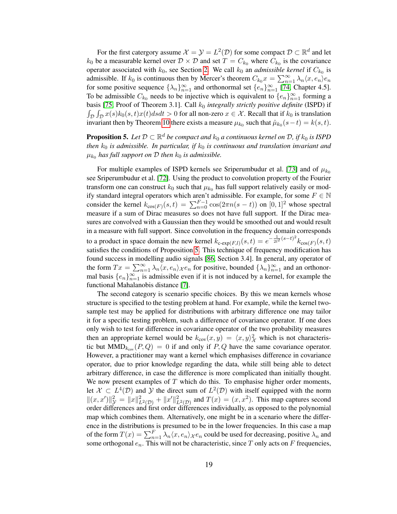For the first catergory assume  $\mathcal{X} = \mathcal{Y} = L^2(\mathcal{D})$  for some compact  $\mathcal{D} \subset \mathbb{R}^d$  and let  $k_0$  be a measurable kernel over  $D \times D$  and set  $T = C_{k_0}$  where  $C_{k_0}$  is the covariance operator associated with  $k_0$ , see Section [2.](#page-3-0) We call  $k_0$  an *admissible kernel* if  $C_{k_0}$  is admissible. If  $k_0$  is continuous then by Mercer's theorem  $C_{k_0}x = \sum_{n=1}^{\infty} \lambda_n \langle x, e_n \rangle e_n$ for some positive sequence  $\{\lambda_n\}_{n=1}^{\infty}$  and orthonormal set  $\{e_n\}_{n=1}^{\infty}$  [\[74,](#page-30-13) Chapter 4.5]. To be admissible  $C_{k_0}$  needs to be injective which is equivalent to  $\{e_n\}_{n=1}^{\infty}$  forming a basis [\[75,](#page-30-15) Proof of Theorem 3.1]. Call  $k_0$  *integrally strictly positive definite* (ISPD) if  $\int_{\mathcal{D}} \int_{\mathcal{D}} x(s)k_0(s,t)x(t)dsdt > 0$  for all non-zero  $x \in \mathcal{X}$ . Recall that if  $k_0$  is translation invariant then by Theorem [10](#page-31-0) there exists a measure  $\mu_{k_0}$  such that  $\hat{\mu}_{k_0}(s-t) = k(s, t)$ .

<span id="page-18-0"></span>**Proposition 5.** Let  $\mathcal{D} \subset \mathbb{R}^d$  be compact and  $k_0$  a continuous kernel on  $\mathcal{D}$ , if  $k_0$  is ISPD *then*  $k_0$  *is admissible. In particular, if*  $k_0$  *is continuous and translation invariant and*  $\mu_{k_0}$  has full support on  ${\cal D}$  then  $k_0$  is admissible.

For multiple examples of ISPD kernels see Sriperumbudur et al. [\[73\]](#page-30-19) and of  $\mu_{k_0}$ see Sriperumbudur et al. [\[72\]](#page-30-11). Using the product to convolution property of the Fourier transform one can construct  $k_0$  such that  $\mu_{k_0}$  has full support relatively easily or modify standard integral operators which aren't admissible. For example, for some  $F \in \mathbb{N}$ consider the kernel  $k_{\cos(F)}(s,t) = \sum_{n=0}^{F-1} \cos(2\pi n(s-t))$  on  $[0,1]^2$  whose spectral measure if a sum of Dirac measures so does not have full support. If the Dirac measures are convolved with a Gaussian then they would be smoothed out and would result in a measure with full support. Since convolution in the frequency domain corresponds to a product in space domain the new kernel  $k_{c\text{-}exp(F,l)}(s,t) = e^{-\frac{1}{2l^2}(s-t)^2}k_{\text{cos}(F)}(s,t)$ satisfies the conditions of Proposition [5.](#page-18-0) This technique of frequency modification has found success in modelling audio signals [\[86,](#page-30-25) Section 3.4]. In general, any operator of the form  $Tx = \sum_{n=1}^{\infty} \lambda_n \langle x, e_n \rangle_{\mathcal{X}} e_n$  for positive, bounded  $\{\lambda_n\}_{n=1}^{\infty}$  and an orthonormal basis  $\{e_n\}_{n=1}^{\infty}$  is admissible even if it is not induced by a kernel, for example the functional Mahalanobis distance [\[7\]](#page-28-1).

The second category is scenario specific choices. By this we mean kernels whose structure is specified to the testing problem at hand. For example, while the kernel twosample test may be applied for distributions with arbitrary difference one may tailor it for a specific testing problem, such a difference of covariance operator. If one does only wish to test for difference in covariance operator of the two probability measures then an appropriate kernel would be  $k_{cov}(x, y) = \langle x, y \rangle^2_{\mathcal{X}}$  which is not characteristic but  $\text{MMD}_{k_{\text{cov}}}(P,Q) = 0$  if and only if  $P,Q$  have the same covariance operator. However, a practitioner may want a kernel which emphasises difference in covariance operator, due to prior knowledge regarding the data, while still being able to detect arbitrary difference, in case the difference is more complicated than initially thought. We now present examples of  $T$  which do this. To emphasise higher order moments, let  $\mathcal{X} \subset L^4(\mathcal{D})$  and  $\mathcal Y$  the direct sum of  $L^2(\mathcal{D})$  with itself equipped with the norm  $||(x, x')||^2_{\mathcal{Y}} = ||x||^2_{L^2(\mathcal{D})} + ||x'||^2_{L^2(\mathcal{D})}$  and  $T(x) = (x, x^2)$ . This map captures second order differences and first order differences individually, as opposed to the polynomial map which combines them. Alternatively, one might be in a scenario where the difference in the distributions is presumed to be in the lower frequencies. In this case a map of the form  $T(x) = \sum_{n=1}^{F} \lambda_n \langle x, e_n \rangle_{\mathcal{X}} e_n$  could be used for decreasing, positive  $\lambda_n$  and some orthogonal  $e_n$ . This will not be characteristic, since T only acts on F frequencies,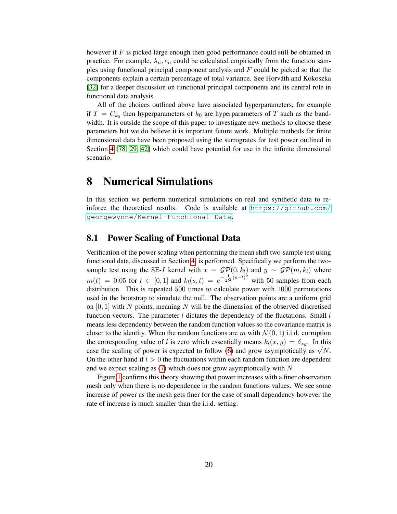however if  $F$  is picked large enough then good performance could still be obtained in practice. For example,  $\lambda_n$ ,  $e_n$  could be calculated empirically from the function samples using functional principal component analysis and F could be picked so that the components explain a certain percentage of total variance. See Horvath and Kokoszka ´ [\[32\]](#page-29-1) for a deeper discussion on functional principal components and its central role in functional data analysis.

All of the choices outlined above have associated hyperparameters, for example if  $T = C_{k_0}$  then hyperparameters of  $k_0$  are hyperparameters of T such as the bandwidth. It is outside the scope of this paper to investigate new methods to choose these parameters but we do believe it is important future work. Multiple methods for finite dimensional data have been proposed using the surrogrates for test power outlined in Section [4](#page-7-0) [\[78,](#page-30-4) [29,](#page-29-28) [42\]](#page-29-22) which could have potential for use in the infinite dimensional scenario.

## <span id="page-19-0"></span>8 Numerical Simulations

In this section we perform numerical simulations on real and synthetic data to reinforce the theoretical results. Code is available at [https://github.com/](https://github.com/georgewynne/Kernel-Functional-Data) [georgewynne/Kernel-Functional-Data](https://github.com/georgewynne/Kernel-Functional-Data).

### 8.1 Power Scaling of Functional Data

Verification of the power scaling when performing the mean shift two-sample test using functional data, discussed in Section [4,](#page-7-0) is performed. Specifically we perform the twosample test using the SE-I kernel with  $x \sim \mathcal{GP}(0, k_l)$  and  $y \sim \mathcal{GP}(m, k_l)$  where  $m(t) = 0.05$  for  $t \in [0, 1]$  and  $k_l(s, t) = e^{-\frac{1}{2l^2}(s-t)^2}$  with 50 samples from each distribution. This is repeated 500 times to calculate power with 1000 permutations used in the bootstrap to simulate the null. The observation points are a uniform grid on  $[0, 1]$  with N points, meaning N will be the dimension of the observed discretised function vectors. The parameter  $l$  dictates the dependency of the fluctations. Small  $l$ means less dependency between the random function values so the covariance matrix is closer to the identity. When the random functions are m with  $\mathcal{N}(0, 1)$  i.i.d. corruption the corresponding value of l is zero which essentially means  $k_l(x, y) = \delta_{xy}$ . In this case the scaling of power is expected to follow [\(6\)](#page-8-1) and grow asymptotically as  $\sqrt{N}$ . On the other hand if  $l > 0$  the fluctuations within each random function are dependent and we expect scaling as [\(7\)](#page-8-0) which does not grow asymptotically with N.

Figure [1](#page-20-0) confirms this theory showing that power increases with a finer observation mesh only when there is no dependence in the random functions values. We see some increase of power as the mesh gets finer for the case of small dependency however the rate of increase is much smaller than the i.i.d. setting.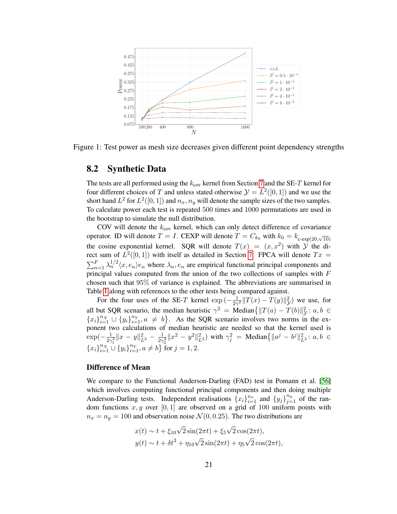<span id="page-20-0"></span>

Figure 1: Test power as mesh size decreases given different point dependency strengths

### 8.2 Synthetic Data

The tests are all performed using the  $k_{\text{cov}}$  kernel from Section [7](#page-17-0) and the SE-T kernel for four different choices of T and unless stated otherwise  $\mathcal{Y} = L^2([0,1])$  and we use the short hand  $L^2$  for  $L^2([0,1])$  and  $n_x, n_y$  will denote the sample sizes of the two samples. To calculate power each test is repeated 500 times and 1000 permutations are used in the bootstrap to simulate the null distribution.

COV will denote the  $k_{\text{cov}}$  kernel, which can only detect difference of covariance operator. ID will denote  $T = I$ . CEXP will denote  $T = C_{k_0}$  with  $k_0 = k_{\text{c-exp}(20, \sqrt{10})}$ the cosine exponential kernel. SQR will denote  $T(x) = (x, x^2)$  with  $\hat{y}$  the direct sum of  $L^2([0,1])$  with itself as detailed in Section [7.](#page-17-0) FPCA will denote  $Tx =$  $\sum_{n=1}^F \lambda_n^{1/2} \langle x, e_n \rangle e_n$  where  $\lambda_n, e_n$  are empirical functional principal components and principal values computed from the union of the two collections of samples with F chosen such that 95% of variance is explained. The abbreviations are summarised in Table [1](#page-21-0) along with references to the other tests being compared against.

For the four uses of the SE-T kernel  $\exp(-\frac{1}{2\gamma})$  $\frac{1}{2\gamma^2}$   $||T(x) - T(y)||^2$  we use, for all but SQR scenario, the median heuristic  $\gamma^2$  = Median $\{\|T(a) - T(b)\|_{\mathcal{Y}}^2 : a, b \in$  ${x_i}_{i=1}^{n_X} \cup {y_i}_{i=1}^{n_Y}, a \neq b$ . As the SQR scenario involves two norms in the exponent two calculations of median heuristic are needed so that the kernel used is  $\exp(-\frac{1}{2\gamma})$  $\frac{1}{2\gamma_1^2} \|x-y\|_{L^2}^2 - \frac{1}{2\gamma}$  $\frac{1}{2\gamma_2^2} \|x^2 - y^2\|_{L^2}^2$  with  $\gamma_j^2 = \text{Median}\{\|a^j - b^j\|_{L^2}^2 : a, b \in$  ${x_i}_{i=1}^{n_X} \cup {y_i}_{i=1}^{n_Y}, a \neq b$  for  $j = 1, 2$ .

#### Difference of Mean

We compare to the Functional Anderson-Darling (FAD) test in Pomann et al. [\[56\]](#page-29-16) which involves computing functional principal components and then doing multiple Anderson-Darling tests. Independent realisations  $\{x_i\}_{i=1}^{n_x}$  and  $\{y_j\}_{j=1}^{n_y}$  of the random functions  $x, y$  over [0, 1] are observed on a grid of 100 uniform points with  $n_x = n_y = 100$  and observation noise  $\mathcal{N}(0, 0.25)$ . The two distributions are

$$
x(t) \sim t + \xi_{10}\sqrt{2}\sin(2\pi t) + \xi_5\sqrt{2}\cos(2\pi t),
$$
  

$$
y(t) \sim t + \delta t^3 + \eta_{10}\sqrt{2}\sin(2\pi t) + \eta_5\sqrt{2}\cos(2\pi t),
$$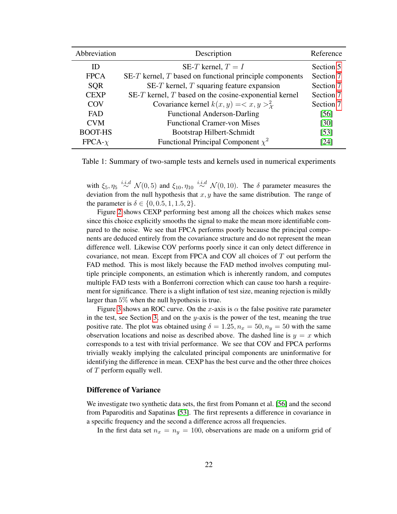<span id="page-21-0"></span>

| Abbreviation   | Description                                                 | Reference          |
|----------------|-------------------------------------------------------------|--------------------|
| ID)            | SE-T kernel, $T = I$                                        | Section 5          |
| <b>FPCA</b>    | $SE-T$ kernel, $T$ based on functional principle components | Section 7          |
| <b>SQR</b>     | SE-T kernel, $T$ squaring feature expansion                 | Section 7          |
| <b>CEXP</b>    | SE- $T$ kernel, $T$ based on the cosine-exponential kernel  | Section 7          |
| COV            | Covariance kernel $k(x, y) = \langle x, y \rangle^2$        | Section 7          |
| <b>FAD</b>     | <b>Functional Anderson-Darling</b>                          | $\left[56\right]$  |
| <b>CVM</b>     | <b>Functional Cramer-von Mises</b>                          | $\lceil 30 \rceil$ |
| <b>BOOT-HS</b> | Bootstrap Hilbert-Schmidt                                   | $[53]$             |
| $FPCA-\chi$    | Functional Principal Component $\chi^2$                     | [24]               |

Table 1: Summary of two-sample tests and kernels used in numerical experiments

with  $\xi_5, \eta_5 \stackrel{i.i.d}{\sim} \mathcal{N}(0, 5)$  and  $\xi_{10}, \eta_{10} \stackrel{i.i.d}{\sim} \mathcal{N}(0, 10)$ . The  $\delta$  parameter measures the deviation from the null hypothesis that  $x, y$  have the same distribution. The range of the parameter is  $\delta \in \{0, 0.5, 1, 1.5, 2\}.$ 

Figure [2](#page-22-0) shows CEXP performing best among all the choices which makes sense since this choice explicitly smooths the signal to make the mean more identifiable compared to the noise. We see that FPCA performs poorly because the principal components are deduced entirely from the covariance structure and do not represent the mean difference well. Likewise COV performs poorly since it can only detect difference in covariance, not mean. Except from FPCA and COV all choices of  $T$  out perform the FAD method. This is most likely because the FAD method involves computing multiple principle components, an estimation which is inherently random, and computes multiple FAD tests with a Bonferroni correction which can cause too harsh a requirement for significance. There is a slight inflation of test size, meaning rejection is mildly larger than 5% when the null hypothesis is true.

Figure [3](#page-22-1) shows an ROC curve. On the x-axis is  $\alpha$  the false positive rate parameter in the test, see Section [3,](#page-4-0) and on the  $y$ -axis is the power of the test, meaning the true positive rate. The plot was obtained using  $\delta = 1.25$ ,  $n_x = 50$ ,  $n_y = 50$  with the same observation locations and noise as described above. The dashed line is  $y = x$  which corresponds to a test with trivial performance. We see that COV and FPCA performs trivially weakly implying the calculated principal components are uninformative for identifying the difference in mean. CEXP has the best curve and the other three choices of  $T$  perform equally well.

#### Difference of Variance

We investigate two synthetic data sets, the first from Pomann et al. [\[56\]](#page-29-16) and the second from Paparoditis and Sapatinas [\[53\]](#page-29-30). The first represents a difference in covariance in a specific frequency and the second a difference across all frequencies.

In the first data set  $n_x = n_y = 100$ , observations are made on a uniform grid of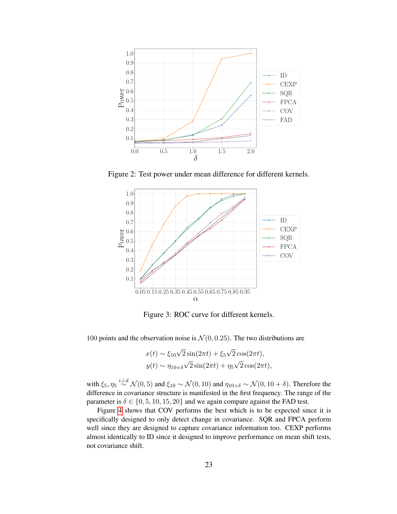<span id="page-22-0"></span>

<span id="page-22-1"></span>Figure 2: Test power under mean difference for different kernels.



Figure 3: ROC curve for different kernels.

100 points and the observation noise is  $\mathcal{N}(0, 0.25)$ . The two distributions are

$$
x(t) \sim \xi_{10}\sqrt{2}\sin(2\pi t) + \xi_5\sqrt{2}\cos(2\pi t),
$$
  

$$
y(t) \sim \eta_{10+\delta}\sqrt{2}\sin(2\pi t) + \eta_5\sqrt{2}\cos(2\pi t),
$$

with  $\xi_5$ ,  $\eta_5 \stackrel{i.i.d}{\sim} \mathcal{N}(0, 5)$  and  $\xi_{10} \sim \mathcal{N}(0, 10)$  and  $\eta_{10+\delta} \sim \mathcal{N}(0, 10+\delta)$ . Therefore the difference in covariance structure is manifested in the first frequency. The range of the parameter is  $\delta \in \{0, 5, 10, 15, 20\}$  and we again compare against the FAD test.

Figure [4](#page-23-0) shows that COV performs the best which is to be expected since it is specifically designed to only detect change in covariance. SQR and FPCA perform well since they are designed to capture covariance information too. CEXP performs almost identically to ID since it designed to improve performance on mean shift tests, not covariance shift.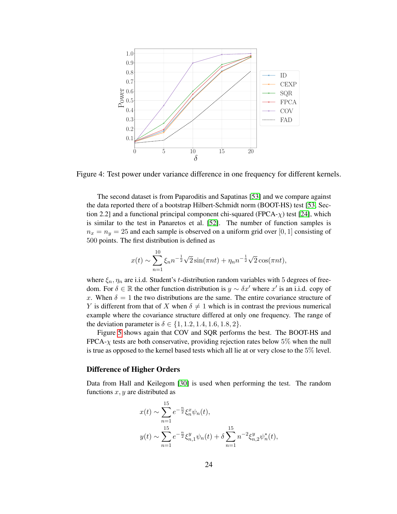<span id="page-23-0"></span>



The second dataset is from Paparoditis and Sapatinas [\[53\]](#page-29-30) and we compare against the data reported there of a bootstrap Hilbert-Schmidt norm (BOOT-HS) test [\[53,](#page-29-30) Section 2.2] and a functional principal component chi-squared (FPCA- $\chi$ ) test [\[24\]](#page-28-14), which is similar to the test in Panaretos et al. [\[52\]](#page-29-18). The number of function samples is  $n_x = n_y = 25$  and each sample is observed on a uniform grid over [0, 1] consisting of 500 points. The first distribution is defined as

$$
x(t) \sim \sum_{n=1}^{10} \xi_n n^{-\frac{1}{2}} \sqrt{2} \sin(\pi nt) + \eta_n n^{-\frac{1}{2}} \sqrt{2} \cos(\pi nt),
$$

where  $\xi_n$ ,  $\eta_n$  are i.i.d. Student's t-distribution random variables with 5 degrees of freedom. For  $\delta \in \mathbb{R}$  the other function distribution is  $y \sim \delta x'$  where  $x'$  is an i.i.d. copy of x. When  $\delta = 1$  the two distributions are the same. The entire covariance structure of Y is different from that of X when  $\delta \neq 1$  which is in contrast the previous numerical example where the covariance structure differed at only one frequency. The range of the deviation parameter is  $\delta \in \{1, 1.2, 1.4, 1.6, 1.8, 2\}.$ 

Figure [5](#page-24-0) shows again that COV and SQR performs the best. The BOOT-HS and  $FPCA-\gamma$  tests are both conservative, providing rejection rates below 5% when the null is true as opposed to the kernel based tests which all lie at or very close to the 5% level.

#### Difference of Higher Orders

Data from Hall and Keilegom [\[30\]](#page-29-29) is used when performing the test. The random functions  $x, y$  are distributed as

$$
x(t) \sim \sum_{n=1}^{15} e^{-\frac{n}{2}} \xi_n^x \psi_n(t),
$$
  

$$
y(t) \sim \sum_{n=1}^{15} e^{-\frac{n}{2}} \xi_{n,1}^y \psi_n(t) + \delta \sum_{n=1}^{15} n^{-2} \xi_{n,2}^y \psi_n^*(t),
$$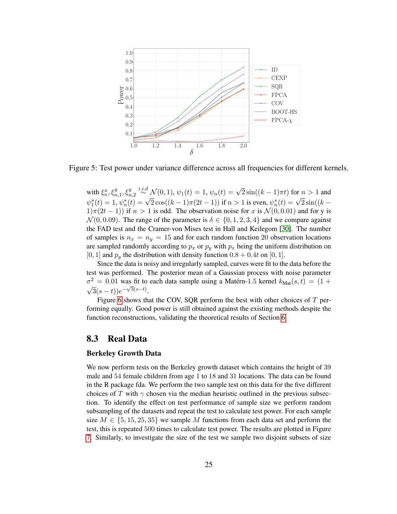<span id="page-24-0"></span>

Figure 5: Test power under variance difference across all frequencies for different kernels.

with  $\xi_n^x, \xi_{n,1}^y, \xi_{n,2}^y \stackrel{i.i.d}{\sim} \mathcal{N}(0,1)$ ,  $\psi_1(t) = 1$ ,  $\psi_n(t) = \sqrt{2} \sin((k-1)\pi t)$  for  $n > 1$  and  $\psi_1^*(t) = 1, \psi_n^*(t) = \sqrt{2} \cos((k-1)\pi(2t-1))$  if  $n > 1$  is even,  $\psi_n^*(t) = \sqrt{2} \sin((k-1)\pi(2t-1))$  $1\pi(2t-1)$  if  $n>1$  is odd. The observation noise for x is  $\mathcal{N}(0,0.01)$  and for y is  $\mathcal{N}(0, 0.09)$ . The range of the parameter is  $\delta \in \{0, 1, 2, 3, 4\}$  and we compare against the FAD test and the Cramer-von Mises test in Hall and Keilegom [\[30\]](#page-29-29). The number of samples is  $n_x = n_y = 15$  and for each random function 20 observation locations are sampled randomly according to  $p_x$  or  $p_y$  with  $p_x$  being the uniform distribution on [0, 1] and  $p_y$  the distribution with density function  $0.8 + 0.4t$  on [0, 1].

Since the data is noisy and irregularly sampled, curves were fit to the data before the test was performed. The posterior mean of a Gaussian process with noise parameter  $\sigma^2 = 0.01$  was fit to each data sample using a Matérn-1.5 kernel  $k_{\text{Mat}}(s,t) = (1 +$  $\sqrt{3}(s-t))e^{-\sqrt{3}(s-t)}$ .

Figure [6](#page-25-0) shows that the COV, SQR perform the best with other choices of  $T$  performing equally. Good power is still obtained against the existing methods despite the function reconstructions, validating the theoretical results of Section [6.](#page-13-0)

### 8.3 Real Data

#### Berkeley Growth Data

We now perform tests on the Berkeley growth dataset which contains the height of 39 male and 54 female children from age 1 to 18 and 31 locations. The data can be found in the R package fda. We perform the two sample test on this data for the five different choices of T with  $\gamma$  chosen via the median heuristic outlined in the previous subsection. To identify the effect on test performance of sample size we perform random subsampling of the datasets and repeat the test to calculate test power. For each sample size  $M \in \{5, 15, 25, 35\}$  we sample M functions from each data set and perform the test, this is repeated 500 times to calculate test power. The results are plotted in Figure [7.](#page-25-1) Similarly, to investigate the size of the test we sample two disjoint subsets of size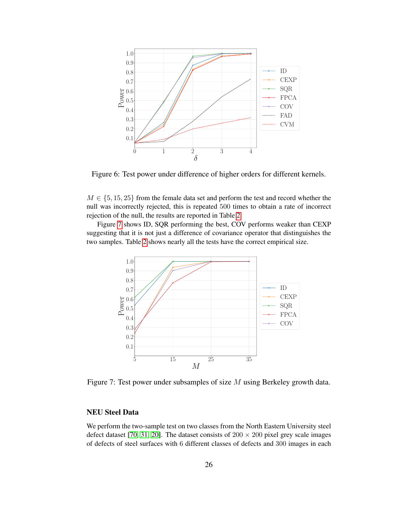<span id="page-25-0"></span>

Figure 6: Test power under difference of higher orders for different kernels.

 $M \in \{5, 15, 25\}$  from the female data set and perform the test and record whether the null was incorrectly rejected, this is repeated 500 times to obtain a rate of incorrect rejection of the null, the results are reported in Table [2.](#page-26-0)

<span id="page-25-1"></span>Figure [7](#page-25-1) shows ID, SQR performing the best, COV performs weaker than CEXP suggesting that it is not just a difference of covariance operator that distinguishes the two samples. Table [2](#page-26-0) shows nearly all the tests have the correct empirical size.



Figure 7: Test power under subsamples of size M using Berkeley growth data.

### NEU Steel Data

We perform the two-sample test on two classes from the North Eastern University steel defect dataset [\[70,](#page-30-26) [31,](#page-29-31) [20\]](#page-28-22). The dataset consists of  $200 \times 200$  pixel grey scale images of defects of steel surfaces with 6 different classes of defects and 300 images in each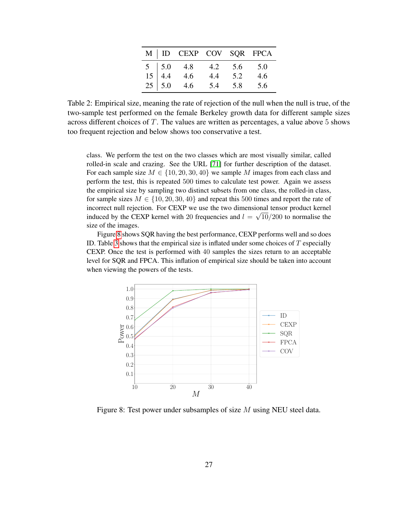|  | M   ID CEXP COV SQR FPCA                                                                                |         |     |
|--|---------------------------------------------------------------------------------------------------------|---------|-----|
|  | $\begin{array}{c cc}\n5 & 5.0 & 4.8 & 4.2 \\ 15 & 4.4 & 4.6 & 4.4 \\ 25 & 5.0 & 4.6 & 5.4\n\end{array}$ | 5.6 5.0 |     |
|  |                                                                                                         | 5.2     | 4.6 |
|  |                                                                                                         | 5.8     | 5.6 |

<span id="page-26-0"></span>Table 2: Empirical size, meaning the rate of rejection of the null when the null is true, of the two-sample test performed on the female Berkeley growth data for different sample sizes across different choices of T. The values are written as percentages, a value above 5 shows too frequent rejection and below shows too conservative a test.

class. We perform the test on the two classes which are most visually similar, called rolled-in scale and crazing. See the URL [\[71\]](#page-30-27) for further description of the dataset. For each sample size  $M \in \{10, 20, 30, 40\}$  we sample M images from each class and perform the test, this is repeated 500 times to calculate test power. Again we assess the empirical size by sampling two distinct subsets from one class, the rolled-in class, for sample sizes  $M \in \{10, 20, 30, 40\}$  and repeat this 500 times and report the rate of incorrect null rejection. For CEXP we use the two dimensional tensor product kernel induced by the CEXP kernel with 20 frequencies and  $l = \sqrt{10}/200$  to normalise the size of the images.

Figure [8](#page-26-1) shows SQR having the best performance, CEXP performs well and so does ID. Table [3](#page-27-1) shows that the empirical size is inflated under some choices of  $T$  especially CEXP. Once the test is performed with 40 samples the sizes return to an acceptable level for SQR and FPCA. This inflation of empirical size should be taken into account when viewing the powers of the tests.

<span id="page-26-1"></span>

Figure 8: Test power under subsamples of size M using NEU steel data.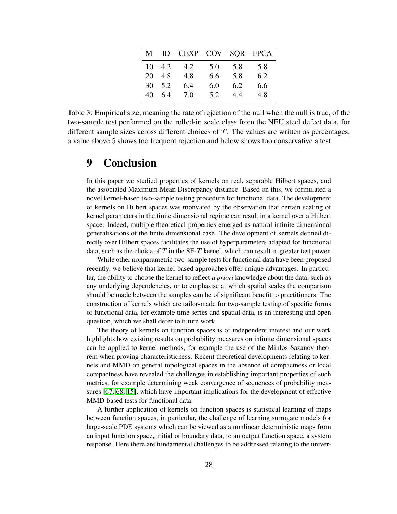|  | M   ID CEXP COV SQR FPCA                                                                                    |     |             |     |
|--|-------------------------------------------------------------------------------------------------------------|-----|-------------|-----|
|  | $\begin{array}{c ccccc}\n10 & 4.2 & 4.2 & 5.0 & 5.8 & 5.8 \\ 20 & 4.8 & 4.8 & 6.6 & 5.8 & 6.2\n\end{array}$ |     |             |     |
|  |                                                                                                             |     |             |     |
|  | $\begin{array}{c cc} 30 & 5.2 & 6.4 \\ 40 & 6.4 & 7.0 \end{array}$                                          | 6.0 | 6.2         | 6.6 |
|  |                                                                                                             | 5.2 | $4.4$ $4.8$ |     |

<span id="page-27-1"></span>Table 3: Empirical size, meaning the rate of rejection of the null when the null is true, of the two-sample test performed on the rolled-in scale class from the NEU steel defect data, for different sample sizes across different choices of  $T$ . The values are written as percentages, a value above 5 shows too frequent rejection and below shows too conservative a test.

## <span id="page-27-0"></span>9 Conclusion

In this paper we studied properties of kernels on real, separable Hilbert spaces, and the associated Maximum Mean Discrepancy distance. Based on this, we formulated a novel kernel-based two-sample testing procedure for functional data. The development of kernels on Hilbert spaces was motivated by the observation that certain scaling of kernel parameters in the finite dimensional regime can result in a kernel over a Hilbert space. Indeed, multiple theoretical properties emerged as natural infinite dimensional generalisations of the finite dimensional case. The development of kernels defined directly over Hilbert spaces facilitates the use of hyperparameters adapted for functional data, such as the choice of T in the SE-T kernel, which can result in greater test power.

While other nonparametric two-sample tests for functional data have been proposed recently, we believe that kernel-based approaches offer unique advantages. In particular, the ability to choose the kernel to reflect *a priori* knowledge about the data, such as any underlying dependencies, or to emphasise at which spatial scales the comparison should be made between the samples can be of significant benefit to practitioners. The construction of kernels which are tailor-made for two-sample testing of specific forms of functional data, for example time series and spatial data, is an interesting and open question, which we shall defer to future work.

The theory of kernels on function spaces is of independent interest and our work highlights how existing results on probability measures on infinite dimensional spaces can be applied to kernel methods, for example the use of the Minlos-Sazanov theorem when proving characteristicness. Recent theoretical developments relating to kernels and MMD on general topological spaces in the absence of compactness or local compactness have revealed the challenges in establishing important properties of such metrics, for example determining weak convergence of sequences of probability measures [\[67,](#page-30-12) [68,](#page-30-28) [15\]](#page-28-2), which have important implications for the development of effective MMD-based tests for functional data.

A further application of kernels on function spaces is statistical learning of maps between function spaces, in particular, the challenge of learning surrogate models for large-scale PDE systems which can be viewed as a nonlinear deterministic maps from an input function space, initial or boundary data, to an output function space, a system response. Here there are fundamental challenges to be addressed relating to the univer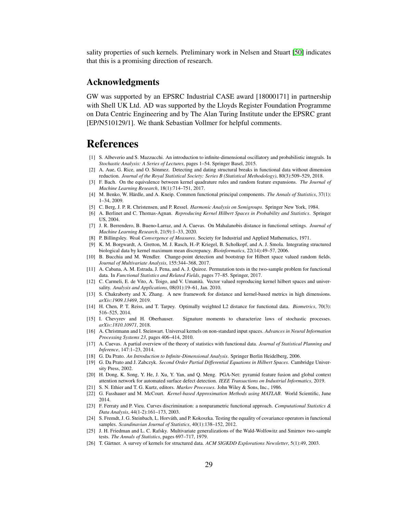sality properties of such kernels. Preliminary work in Nelsen and Stuart [\[50\]](#page-29-12) indicates that this is a promising direction of research.

### Acknowledgments

GW was supported by an EPSRC Industrial CASE award [18000171] in partnership with Shell UK Ltd. AD was supported by the Lloyds Register Foundation Programme on Data Centric Engineering and by The Alan Turing Institute under the EPSRC grant [EP/N510129/1]. We thank Sebastian Vollmer for helpful comments.

## References

- <span id="page-28-23"></span>[1] S. Albeverio and S. Mazzucchi. An introduction to infinite-dimensional oscillatory and probabilistic integrals. In *Stochastic Analysis: A Series of Lectures*, pages 1–54. Springer Basel, 2015.
- <span id="page-28-8"></span>[2] A. Aue, G. Rice, and O. Sönmez. Detecting and dating structural breaks in functional data without dimension reduction. *Journal of the Royal Statistical Society: Series B (Statistical Methodology)*, 80(3):509–529, 2018.
- <span id="page-28-20"></span>[3] F. Bach. On the equivalence between kernel quadrature rules and random feature expansions. *The Journal of Machine Learning Research*, 18(1):714–751, 2017.
- <span id="page-28-7"></span>[4] M. Benko, W. Härdle, and A. Kneip. Common functional principal components. *The Annals of Statistics*, 37(1): 1–34, 2009.
- <span id="page-28-24"></span>[5] C. Berg, J. P. R. Christensen, and P. Ressel. *Harmonic Analysis on Semigroups*. Springer New York, 1984.
- <span id="page-28-17"></span>[6] A. Berlinet and C. Thomas-Agnan. *Reproducing Kernel Hilbert Spaces in Probability and Statistics*. Springer US, 2004.
- <span id="page-28-1"></span>[7] J. R. Berrendero, B. Bueno-Larraz, and A. Cuevas. On Mahalanobis distance in functional settings. *Journal of Machine Learning Research*, 21(9):1–33, 2020.
- <span id="page-28-21"></span>[8] P. Billingsley. *Weak Convergence of Measures*. Society for Industrial and Applied Mathematics, 1971.
- <span id="page-28-4"></span>[9] K. M. Borgwardt, A. Gretton, M. J. Rasch, H.-P. Kriegel, B. Scholkopf, and A. J. Smola. Integrating structured biological data by kernel maximum mean discrepancy. *Bioinformatics*, 22(14):49–57, 2006.
- <span id="page-28-9"></span>[10] B. Bucchia and M. Wendler. Change-point detection and bootstrap for Hilbert space valued random fields. *Journal of Multivariate Analysis*, 155:344–368, 2017.
- <span id="page-28-10"></span>[11] A. Cabana, A. M. Estrada, J. Pena, and A. J. Quiroz. Permutation tests in the two-sample problem for functional data. In *Functional Statistics and Related Fields*, pages 77–85. Springer, 2017.
- <span id="page-28-3"></span>[12] C. Carmeli, E. de Vito, A. Toigo, and V. Umanità. Vector valued reproducing kernel hilbert spaces and universality. *Analysis and Applications*, 08(01):19–61, Jan. 2010.
- <span id="page-28-12"></span>[13] S. Chakraborty and X. Zhang. A new framework for distance and kernel-based metrics in high dimensions. *arXiv:1909.13469*, 2019.
- <span id="page-28-11"></span>[14] H. Chen, P. T. Reiss, and T. Tarpey. Optimally weighted L2 distance for functional data. *Biometrics*, 70(3): 516–525, 2014.
- <span id="page-28-2"></span>[15] I. Chevyrev and H. Oberhauser. Signature moments to characterize laws of stochastic processes. *arXiv:1810.10971*, 2018.
- <span id="page-28-6"></span>[16] A. Christmann and I. Steinwart. Universal kernels on non-standard input spaces. *Advances in Neural Information Processing Systems 23*, pages 406–414, 2010.
- <span id="page-28-15"></span>[17] A. Cuevas. A partial overview of the theory of statistics with functional data. *Journal of Statistical Planning and Inference*, 147:1–23, 2014.
- <span id="page-28-16"></span>[18] G. Da Prato. *An Introduction to Infinite-Dimensional Analysis*. Springer Berlin Heidelberg, 2006.
- <span id="page-28-19"></span>[19] G. Da Prato and J. Zabczyk. *Second Order Partial Differential Equations in Hilbert Spaces*. Cambridge University Press, 2002.
- <span id="page-28-22"></span>[20] H. Dong, K. Song, Y. He, J. Xu, Y. Yan, and Q. Meng. PGA-Net: pyramid feature fusion and global context attention network for automated surface defect detection. *IEEE Transactions on Industrial Informatics*, 2019.
- <span id="page-28-25"></span>[21] S. N. Ethier and T. G. Kurtz, editors. *Markov Processes*. John Wiley & Sons, Inc., 1986.
- <span id="page-28-18"></span>[22] G. Fasshauer and M. McCourt. *Kernel-based Approximation Methods using MATLAB*. World Scientific, June 2014.
- <span id="page-28-13"></span>[23] F. Ferraty and P. Vieu. Curves discrimination: a nonparametric functional approach. *Computational Statistics & Data Analysis*, 44(1-2):161–173, 2003.
- <span id="page-28-14"></span>[24] S. Fremdt, J. G. Steinbach, L. Horváth, and P. Kokoszka. Testing the equality of covariance operators in functional samples. *Scandinavian Journal of Statistics*, 40(1):138–152, 2012.
- <span id="page-28-0"></span>[25] J. H. Friedman and L. C. Rafsky. Multivariate generalizations of the Wald-Wolfowitz and Smirnov two-sample tests. *The Annals of Statistics*, pages 697–717, 1979.
- <span id="page-28-5"></span>[26] T. Gärtner. A survey of kernels for structured data. ACM SIGKDD Explorations Newsletter, 5(1):49, 2003.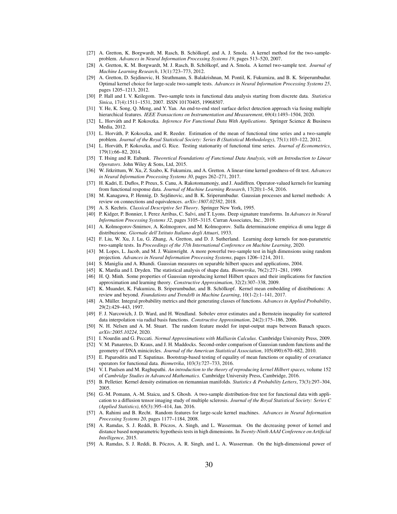- <span id="page-29-7"></span>[27] A. Gretton, K. Borgwardt, M. Rasch, B. Schölkopf, and A. J. Smola. A kernel method for the two-sampleproblem. *Advances in Neural Information Processing Systems 19*, pages 513–520, 2007.
- <span id="page-29-6"></span>[28] A. Gretton, K. M. Borgwardt, M. J. Rasch, B. Scholkopf, and A. Smola. A kernel two-sample test. ¨ *Journal of Machine Learning Research*, 13(1):723–773, 2012.
- <span id="page-29-28"></span>[29] A. Gretton, D. Sejdinovic, H. Strathmann, S. Balakrishnan, M. Pontil, K. Fukumizu, and B. K. Sriperumbudur. Optimal kernel choice for large-scale two-sample tests. *Advances in Neural Information Processing Systems 25*, pages 1205–1213, 2012.
- <span id="page-29-29"></span>[30] P. Hall and I. V. Keilegom. Two-sample tests in functional data analysis starting from discrete data. *Statistica Sinica*, 17(4):1511–1531, 2007. ISSN 10170405, 19968507.
- <span id="page-29-31"></span>[31] Y. He, K. Song, Q. Meng, and Y. Yan. An end-to-end steel surface defect detection approach via fusing multiple hierarchical features. *IEEE Transactions on Instrumentation and Measurement*, 69(4):1493–1504, 2020.
- <span id="page-29-1"></span>[32] L. Horváth and P. Kokoszka. *Inference For Functional Data With Applications*. Springer Science & Business Media, 2012.
- <span id="page-29-17"></span>[33] L. Horváth, P. Kokoszka, and R. Reeder. Estimation of the mean of functional time series and a two-sample problem. *Journal of the Royal Statistical Society: Series B (Statistical Methodology)*, 75(1):103–122, 2012.
- <span id="page-29-15"></span>[34] L. Horváth, P. Kokoszka, and G. Rice. Testing stationarity of functional time series. *Journal of Econometrics*, 179(1):66–82, 2014.
- <span id="page-29-2"></span>[35] T. Hsing and R. Eubank. *Theoretical Foundations of Functional Data Analysis, with an Introduction to Linear Operators*. John Wiley & Sons, Ltd, 2015.
- <span id="page-29-21"></span>[36] W. Jitkrittum, W. Xu, Z. Szabo, K. Fukumizu, and A. Gretton. A linear-time kernel goodness-of-fit test. *Advances in Neural Information Processing Systems 30*, pages 262–271, 2017.
- <span id="page-29-4"></span>[37] H. Kadri, E. Duflos, P. Preux, S. Canu, A. Rakotomamonjy, and J. Audiffren. Operator-valued kernels for learning from functional response data. *Journal of Machine Learning Research*, 17(20):1–54, 2016.
- <span id="page-29-26"></span>[38] M. Kanagawa, P. Hennig, D. Sejdinovic, and B. K. Sriperumbudur. Gaussian processes and kernel methods: A review on connections and equivalences. *arXiv:1807.02582*, 2018.
- <span id="page-29-32"></span>[39] A. S. Kechris. *Classical Descriptive Set Theory*. Springer New York, 1995.
- <span id="page-29-11"></span>[40] P. Kidger, P. Bonnier, I. Perez Arribas, C. Salvi, and T. Lyons. Deep signature transforms. In *Advances in Neural Information Processing Systems 32*, pages 3105–3115. Curran Associates, Inc., 2019.
- <span id="page-29-0"></span>[41] A. Kolmogorov-Smirnov, A. Kolmogorov, and M. Kolmogorov. Sulla determinazione empirica di uma legge di distribuzione. *Giornale dell'Istituto Italiano degli Attuari*, 1933.
- <span id="page-29-22"></span>[42] F. Liu, W. Xu, J. Lu, G. Zhang, A. Gretton, and D. J. Sutherland. Learning deep kernels for non-parametric two-sample tests. In *Proceedings of the 37th International Conference on Machine Learning*, 2020.
- <span id="page-29-14"></span>[43] M. Lopes, L. Jacob, and M. J. Wainwright. A more powerful two-sample test in high dimensions using random projection. *Advances in Neural Information Processing Systems*, pages 1206–1214, 2011.
- <span id="page-29-25"></span>[44] S. Maniglia and A. Rhandi. Gaussian measures on separable hilbert spaces and applications, 2004.
- <span id="page-29-3"></span>[45] K. Mardia and I. Dryden. The statistical analysis of shape data. *Biometrika*, 76(2):271–281, 1989.
- <span id="page-29-23"></span>[46] H. Q. Minh. Some properties of Gaussian reproducing kernel Hilbert spaces and their implications for function approximation and learning theory. *Constructive Approximation*, 32(2):307–338, 2009.
- <span id="page-29-5"></span>[47] K. Muandet, K. Fukumizu, B. Sriperumbudur, and B. Schölkopf. Kernel mean embedding of distributions: A review and beyond. *Foundations and Trends® in Machine Learning*, 10(1-2):1–141, 2017.
- <span id="page-29-20"></span>[48] A. Müller. Integral probability metrics and their generating classes of functions. *Advances in Applied Probability*, 29(2):429–443, 1997.
- <span id="page-29-27"></span>[49] F. J. Narcowich, J. D. Ward, and H. Wendland. Sobolev error estimates and a Bernstein inequality for scattered data interpolation via radial basis functions. *Constructive Approximation*, 24(2):175–186, 2006.
- <span id="page-29-12"></span>[50] N. H. Nelsen and A. M. Stuart. The random feature model for input-output maps between Banach spaces. *arXiv:2005.10224*, 2020.
- <span id="page-29-24"></span>[51] I. Nourdin and G. Peccati. *Normal Approximations with Malliavin Calculus*. Cambridge University Press, 2009.
- <span id="page-29-18"></span>[52] V. M. Panaretos, D. Kraus, and J. H. Maddocks. Second-order comparison of Gaussian random functions and the geometry of DNA minicircles. *Journal of the American Statistical Association*, 105(490):670–682, 2010.
- <span id="page-29-30"></span>[53] E. Paparoditis and T. Sapatinas. Bootstrap-based testing of equality of mean functions or equality of covariance operators for functional data. *Biometrika*, 103(3):727–733, 2016.
- <span id="page-29-19"></span>[54] V. I. Paulsen and M. Raghupathi. *An introduction to the theory of reproducing kernel Hilbert spaces*, volume 152 of *Cambridge Studies in Advanced Mathematics*. Cambridge University Press, Cambridge, 2016.
- <span id="page-29-8"></span>[55] B. Pelletier. Kernel density estimation on riemannian manifolds. *Statistics & Probability Letters*, 73(3):297–304, 2005.
- <span id="page-29-16"></span>[56] G.-M. Pomann, A.-M. Staicu, and S. Ghosh. A two-sample distribution-free test for functional data with application to a diffusion tensor imaging study of multiple sclerosis. *Journal of the Royal Statistical Society: Series C (Applied Statistics)*, 65(3):395–414, Jan. 2016.
- <span id="page-29-13"></span>[57] A. Rahimi and B. Recht. Random features for large-scale kernel machines. *Advances in Neural Information Processing Systems 20*, pages 1177–1184, 2008.
- <span id="page-29-9"></span>[58] A. Ramdas, S. J. Reddi, B. Póczos, A. Singh, and L. Wasserman. On the decreasing power of kernel and distance based nonparametric hypothesis tests in high dimensions. In *Twenty-Ninth AAAI Conference on Artificial Intelligence*, 2015.
- <span id="page-29-10"></span>[59] A. Ramdas, S. J. Reddi, B. Póczos, A. R. Singh, and L. A. Wasserman. On the high-dimensional power of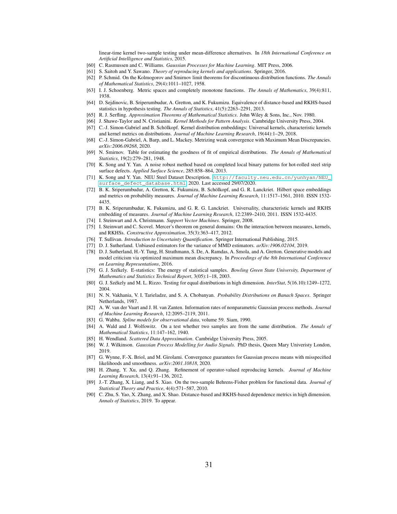linear-time kernel two-sample testing under mean-difference alternatives. In *18th International Conference on Artificial Intelligence and Statistics*, 2015.

- <span id="page-30-16"></span>[60] C. Rasmussen and C. Williams. *Gaussian Processes for Machine Learning*. MIT Press, 2006.
- <span id="page-30-18"></span>[61] S. Saitoh and Y. Sawano. *Theory of reproducing kernels and applications*. Springer, 2016.
- <span id="page-30-1"></span>[62] P. Schmid. On the Kolmogorov and Smirnov limit theorems for discontinuous distribution functions. *The Annals of Mathematical Statistics*, 29(4):1011–1027, 1958.
- <span id="page-30-30"></span>[63] I. J. Schoenberg. Metric spaces and completely monotone functions. *The Annals of Mathematics*, 39(4):811, 1938.
- <span id="page-30-8"></span>[64] D. Sejdinovic, B. Sriperumbudur, A. Gretton, and K. Fukumizu. Equivalence of distance-based and RKHS-based statistics in hypothesis testing. *The Annals of Statistics*, 41(5):2263–2291, 2013.
- <span id="page-30-21"></span>[65] R. J. Serfling. *Approximation Theorems of Mathematical Statistics*. John Wiley & Sons, Inc., Nov. 1980.
- <span id="page-30-5"></span>[66] J. Shawe-Taylor and N. Cristianini. *Kernel Methods for Pattern Analysis*. Cambridge University Press, 2004.
- <span id="page-30-12"></span>[67] C.-J. Simon-Gabriel and B. Schölkopf. Kernel distribution embeddings: Universal kernels, characteristic kernels and kernel metrics on distributions. *Journal of Machine Learning Research*, 19(44):1–29, 2018.
- <span id="page-30-28"></span>[68] C.-J. Simon-Gabriel, A. Barp, and L. Mackey. Metrizing weak convergence with Maximum Mean Discrepancies. *arXiv:2006.09268*, 2020.
- <span id="page-30-0"></span>[69] N. Smirnov. Table for estimating the goodness of fit of empirical distributions. *The Annals of Mathematical Statistics*, 19(2):279–281, 1948.
- <span id="page-30-26"></span>[70] K. Song and Y. Yan. A noise robust method based on completed local binary patterns for hot-rolled steel strip surface defects. *Applied Surface Science*, 285:858–864, 2013.
- <span id="page-30-27"></span>[71] K. Song and Y. Yan. NEU Steel Dataset Description. [http://faculty.neu.edu.cn/yunhyan/NEU\\_](http://faculty.neu.edu.cn/yunhyan/NEU_surface_defect_database.html) [surface\\_defect\\_database.html](http://faculty.neu.edu.cn/yunhyan/NEU_surface_defect_database.html), 2020. Last accessed 29/07/2020.
- <span id="page-30-11"></span>[72] B. K. Sriperumbudur, A. Gretton, K. Fukumizu, B. Schölkopf, and G. R. Lanckriet. Hilbert space embeddings and metrics on probability measures. *Journal of Machine Learning Research*, 11:1517–1561, 2010. ISSN 1532- 4435.
- <span id="page-30-19"></span>[73] B. K. Sriperumbudur, K. Fukumizu, and G. R. G. Lanckriet. Universality, characteristic kernels and RKHS embedding of measures. *Journal of Machine Learning Research*, 12:2389–2410, 2011. ISSN 1532-4435.
- <span id="page-30-13"></span>[74] I. Steinwart and A. Christmann. *Support Vector Machines*. Springer, 2008.
- <span id="page-30-15"></span>[75] I. Steinwart and C. Scovel. Mercer's theorem on general domains: On the interaction between measures, kernels, and RKHSs. *Constructive Approximation*, 35(3):363–417, 2012.
- <span id="page-30-14"></span>[76] T. Sullivan. *Introduction to Uncertainty Quantification*. Springer International Publishing, 2015.
- <span id="page-30-20"></span>[77] D. J. Sutherland. Unbiased estimators for the variance of MMD estimators. *arXiv:1906.02104*, 2019.
- <span id="page-30-4"></span>[78] D. J. Sutherland, H.-Y. Tung, H. Strathmann, S. De, A. Ramdas, A. Smola, and A. Gretton. Generative models and model criticism via optimized maximum mean discrepancy. In *Proceedings of the 8th International Conference on Learning Representations*, 2016.
- <span id="page-30-6"></span>[79] G. J. Székely. E-statistics: The energy of statistical samples. *Bowling Green State University, Department of Mathematics and Statistics Technical Report*, 3(05):1–18, 2003.
- <span id="page-30-7"></span>[80] G. J. Székely and M. L. Rizzo. Testing for equal distributions in high dimension. *InterStat*, 5(16.10):1249–1272, 2004.
- <span id="page-30-29"></span>[81] N. N. Vakhania, V. I. Tarieladze, and S. A. Chobanyan. *Probability Distributions on Banach Spaces*. Springer Netherlands, 1987.
- <span id="page-30-24"></span>[82] A. W. van der Vaart and J. H. van Zanten. Information rates of nonparametric Gaussian process methods. *Journal of Machine Learning Research*, 12:2095–2119, 2011.
- <span id="page-30-17"></span>[83] G. Wahba. *Spline models for observational data*, volume 59. Siam, 1990.
- <span id="page-30-2"></span>[84] A. Wald and J. Wolfowitz. On a test whether two samples are from the same distribution. *The Annals of Mathematical Statistics*, 11:147–162, 1940.
- <span id="page-30-23"></span>[85] H. Wendland. *Scattered Data Approximation*. Cambridge University Press, 2005.
- <span id="page-30-25"></span>[86] W. J. Wilkinson. *Gaussian Process Modelling for Audio Signals*. PhD thesis, Queen Mary Univeristy London, 2019.
- <span id="page-30-22"></span>[87] G. Wynne, F.-X. Briol, and M. Girolami. Convergence guarantees for Gaussian process means with misspecified likelihoods and smoothness. *arXiv:2001.10818*, 2020.
- <span id="page-30-3"></span>[88] H. Zhang, Y. Xu, and Q. Zhang. Refinement of operator-valued reproducing kernels. *Journal of Machine Learning Research*, 13(4):91–136, 2012.
- <span id="page-30-10"></span>[89] J.-T. Zhang, X. Liang, and S. Xiao. On the two-sample Behrens-Fisher problem for functional data. *Journal of Statistical Theory and Practice*, 4(4):571–587, 2010.
- <span id="page-30-9"></span>[90] C. Zhu, S. Yao, X. Zhang, and X. Shao. Distance-based and RKHS-based dependence metrics in high dimension. *Annals of Statistics*, 2019. To appear.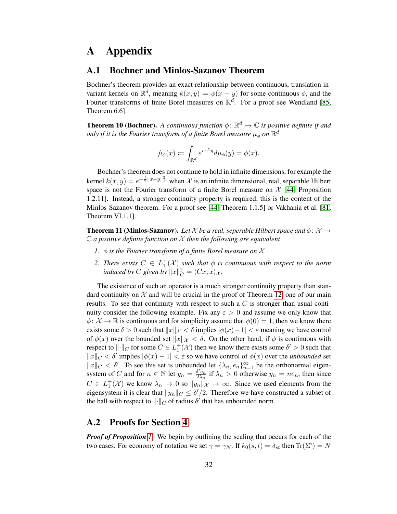## A Appendix

### A.1 Bochner and Minlos-Sazanov Theorem

Bochner's theorem provides an exact relationship between continuous, translation invariant kernels on  $\mathbb{R}^d$ , meaning  $k(x, y) = \phi(x - y)$  for some continuous  $\phi$ , and the Fourier transforms of finite Borel measures on  $\mathbb{R}^d$ . For a proof see Wendland [\[85,](#page-30-23) Theorem 6.6].

<span id="page-31-0"></span>**Theorem 10 (Bochner).** A continuous function  $\phi$ :  $\mathbb{R}^d \to \mathbb{C}$  is positive definite if and only if it is the Fourier transform of a finite Borel measure  $\mu_\phi$  on  $\mathbb{R}^d$ 

$$
\hat{\mu}_{\phi}(x) \coloneqq \int_{\mathbb{R}^d} e^{ix^T y} d\mu_{\phi}(y) = \phi(x).
$$

Bochner's theorem does not continue to hold in infinite dimensions, for example the kernel  $k(x, y) = e^{-\frac{1}{2}||x-y||^2}$  when X is an infinite dimensional, real, separable Hilbert space is not the Fourier transform of a finite Borel measure on  $\mathcal{X}$  [\[44,](#page-29-25) Proposition 1.2.11]. Instead, a stronger continuity property is required, this is the content of the Minlos-Sazanov theorem. For a proof see [\[44,](#page-29-25) Theorem 1.1.5] or Vakhania et al. [\[81,](#page-30-29) Theorem VI.1.1].

<span id="page-31-1"></span>**Theorem 11 (Minlos-Sazanov).** Let X be a real, seperable Hilbert space and  $\phi: \mathcal{X} \rightarrow$ <sup>C</sup> *a positive definite function on* <sup>X</sup> *then the following are equivalent*

- *1.* φ *is the Fourier transform of a finite Borel measure on* X
- 2. There exists  $C \in L_1^+(\mathcal{X})$  such that  $\phi$  is continuous with respect to the norm *induced by*  $C$  given by  $||x||_C^2 = \langle Cx, x \rangle_{\mathcal{X}}$ .

The existence of such an operator is a much stronger continuity property than standard continuity on  $\mathcal X$  and will be crucial in the proof of Theorem [12,](#page-36-0) one of our main results. To see that continuity with respect to such a  $C$  is stronger than usual continuity consider the following example. Fix any  $\varepsilon > 0$  and assume we only know that  $\phi: \mathcal{X} \to \mathbb{R}$  is continuous and for simplicity assume that  $\phi(0) = 1$ , then we know there exists some  $\delta > 0$  such that  $||x||_{\mathcal{X}} < \delta$  implies  $|\phi(x)-1| < \varepsilon$  meaning we have control of  $\phi(x)$  over the bounded set  $||x||_{\mathcal{X}} < \delta$ . On the other hand, if  $\phi$  is continuous with respect to  $\| \cdot \|_C$  for some  $C \in L_1^+(\mathcal{X})$  then we know there exists some  $\delta' > 0$  such that  $||x||_C < \delta'$  implies  $|\phi(x) - 1| < \varepsilon$  so we have control of  $\phi(x)$  over the *unbounded* set  $||x||_C < \delta'$ . To see this set is unbounded let  $\{\lambda_n, e_n\}_{n=1}^{\infty}$  be the orthonormal eigensystem of C and for  $n \in \mathbb{N}$  let  $y_n = \frac{\delta^{\prime} e_n}{2\lambda_n}$  $\frac{\partial^{\prime} e_n}{\partial \lambda_n}$  if  $\lambda_n > 0$  otherwise  $y_n = ne_n$ , then since  $C \in L_1^+(\mathcal{X})$  we know  $\lambda_n \to 0$  so  $||y_n||_{\mathcal{X}} \to \infty$ . Since we used elements from the eigensystem it is clear that  $||y_n||_C \le \delta'/2$ . Therefore we have constructed a subset of the ball with respect to  $\|\cdot\|_C$  of radius  $\delta'$  that has unbounded norm.

### A.2 Proofs for Section [4](#page-7-0)

*Proof of Proposition [1.](#page-8-2)* We begin by outlining the scaling that occurs for each of the two cases. For economy of notation we set  $\gamma = \gamma_N$ . If  $k_0(s,t) = \delta_{st}$  then  $\text{Tr}(\Sigma^i) = N$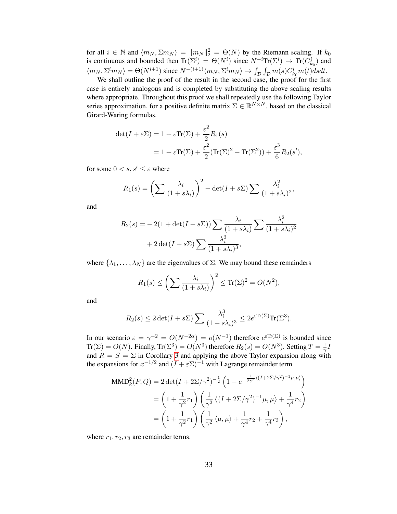for all  $i \in \mathbb{N}$  and  $\langle m_N, \Sigma m_N \rangle = ||m_N||_2^2 = \Theta(N)$  by the Riemann scaling. If  $k_0$ is continuous and bounded then  $\text{Tr}(\Sigma^i) = \Theta(N^i)$  since  $N^{-i}\text{Tr}(\Sigma^i) \to \text{Tr}(C_{k_0}^i)$  and  $\langle m_N, \Sigma^i m_N \rangle = \Theta(N^{i+1})$  since  $N^{-(i+1)}\langle m_N, \Sigma^i m_N \rangle \to \int_{\mathcal{D}} \int_{\mathcal{D}} m(s) C^i_{k_0} m(t) ds dt$ .

We shall outline the proof of the result in the second case, the proof for the first case is entirely analogous and is completed by substituting the above scaling results where appropriate. Throughout this proof we shall repeatedly use the following Taylor series approximation, for a positive definite matrix  $\Sigma \in \mathbb{R}^{N \times N}$ , based on the classical Girard-Waring formulas.

$$
\begin{aligned} \det(I + \varepsilon \Sigma) &= 1 + \varepsilon \text{Tr}(\Sigma) + \frac{\varepsilon^2}{2} R_1(s) \\ &= 1 + \varepsilon \text{Tr}(\Sigma) + \frac{\varepsilon^2}{2} (\text{Tr}(\Sigma)^2 - \text{Tr}(\Sigma^2)) + \frac{\varepsilon^3}{6} R_2(s'), \end{aligned}
$$

for some  $0 < s, s' \leq \varepsilon$  where

$$
R_1(s) = \left(\sum \frac{\lambda_i}{(1+s\lambda_i)}\right)^2 - \det(I+s\Sigma) \sum \frac{\lambda_i^2}{(1+s\lambda_i)^2},
$$

and

$$
R_2(s) = -2(1 + \det(I + s\Sigma)) \sum \frac{\lambda_i}{(1 + s\lambda_i)} \sum \frac{\lambda_i^2}{(1 + s\lambda_i)^2} + 2 \det(I + s\Sigma) \sum \frac{\lambda_i^3}{(1 + s\lambda_i)^3},
$$

where  $\{\lambda_1, \ldots, \lambda_N\}$  are the eigenvalues of  $\Sigma$ . We may bound these remainders

$$
R_1(s) \le \left(\sum \frac{\lambda_i}{(1+s\lambda_i)}\right)^2 \le \text{Tr}(\Sigma)^2 = O(N^2),
$$

and

$$
R_2(s) \le 2 \det(I + s\Sigma) \sum \frac{\lambda_i^3}{(1 + s\lambda_i)^3} \le 2e^{\varepsilon \text{Tr}(\Sigma)} \text{Tr}(\Sigma^3).
$$

In our scenario  $\varepsilon = \gamma^{-2} = O(N^{-2\alpha}) = o(N^{-1})$  therefore  $e^{\varepsilon Tr(\Sigma)}$  is bounded since  $\text{Tr}(\Sigma) = O(N)$ . Finally,  $\text{Tr}(\Sigma^3) = O(N^3)$  therefore  $R_2(s) = O(N^3)$ . Setting  $T = \frac{1}{\gamma}$  $\frac{1}{\gamma}I$ and  $R = S = \Sigma$  in Corollary [3](#page-17-3) and applying the above Taylor expansion along with the expansions for  $x^{-1/2}$  and  $(I + \varepsilon \Sigma)^{-1}$  with Lagrange remainder term

$$
\begin{split} \text{MMD}_k^2(P,Q) &= 2 \det(I + 2\Sigma/\gamma^2)^{-\frac{1}{2}} \left( 1 - e^{-\frac{1}{2\gamma^2} \langle (I + 2\Sigma/\gamma^2)^{-1} \mu, \mu \rangle} \right) \\ &= \left( 1 + \frac{1}{\gamma^2} r_1 \right) \left( \frac{1}{\gamma^2} \langle (I + 2\Sigma/\gamma^2)^{-1} \mu, \mu \rangle + \frac{1}{\gamma^4} r_2 \right) \\ &= \left( 1 + \frac{1}{\gamma^2} r_1 \right) \left( \frac{1}{\gamma^2} \langle \mu, \mu \rangle + \frac{1}{\gamma^4} r_2 + \frac{1}{\gamma^4} r_3 \right), \end{split}
$$

where  $r_1, r_2, r_3$  are remainder terms.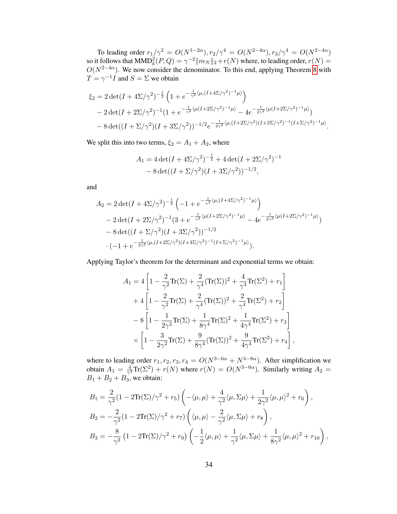To leading order  $r_1/\gamma^2 = O(N^{1-2\alpha})$ ,  $r_2/\gamma^4 = O(N^{2-4\alpha})$ ,  $r_3/\gamma^4 = O(N^{2-4\alpha})$ so it follows that  $\text{MMD}_k^2(P,Q) = \gamma^{-2} ||m_N||_2 + r(N)$  where, to leading order,  $r(N) =$  $O(N^{2-4\alpha})$ . We now consider the denominator. To this end, applying Theorem [8](#page-17-1) with  $T = \gamma^{-1} I$  and  $S = \Sigma$  we obtain

$$
\xi_2 = 2 \det(I + 4\Sigma/\gamma^2)^{-\frac{1}{2}} \left( 1 + e^{-\frac{1}{\gamma^2} \langle \mu, (I + 4\Sigma/\gamma^2)^{-1} \mu \rangle} \right)
$$
  
- 2 det $(I + 2\Sigma/\gamma^2)^{-1} (1 + e^{-\frac{1}{\gamma^2} \langle \mu (I + 2\Sigma/\gamma^2)^{-1} \mu \rangle} - 4e^{-\frac{1}{2\gamma^2} \langle \mu (I + 2\Sigma/\gamma^2)^{-1} \mu \rangle} \right)$   
- 8 det $((I + \Sigma/\gamma^2)(I + 3\Sigma/\gamma^2))^{-1/2} e^{-\frac{1}{2\gamma^2} \langle \mu, (I + 2\Sigma/\gamma^2)(I + 3\Sigma/\gamma^2)^{-1} (I + \Sigma/\gamma^2)^{-1} \mu \rangle}.$ 

We split this into two terms,  $\xi_2 = A_1 + A_2$ , where

$$
A_1 = 4 \det(I + 4\Sigma/\gamma^2)^{-\frac{1}{2}} + 4 \det(I + 2\Sigma/\gamma^2)^{-1}
$$
  
- 8 \det((I + \Sigma/\gamma^2)(I + 3\Sigma/\gamma^2))^{-1/2},

and

$$
A_2 = 2 \det(I + 4\Sigma/\gamma^2)^{-\frac{1}{2}} \left( -1 + e^{-\frac{1}{\gamma^2} \langle \mu, (I + 4\Sigma/\gamma^2)^{-1} \mu \rangle} \right)
$$
  
- 2 \det(I + 2\Sigma/\gamma^2)^{-1} (3 + e^{-\frac{1}{\gamma^2} \langle \mu(I + 2\Sigma/\gamma^2)^{-1} \mu \rangle} - 4e^{-\frac{1}{2\gamma^2} \langle \mu(I + 2\Sigma/\gamma^2)^{-1} \mu \rangle} - 8 \det((I + \Sigma/\gamma^2)(I + 3\Sigma/\gamma^2))^{-1/2}  
\cdot (-1 + e^{-\frac{1}{2\gamma^2} \langle \mu, (I + 2\Sigma/\gamma^2)(I + 3\Sigma/\gamma^2)^{-1}(I + \Sigma/\gamma^2)^{-1} \mu \rangle}).

Applying Taylor's theorem for the determinant and exponential terms we obtain:

$$
A_1 = 4\left[1 - \frac{2}{\gamma^2}\text{Tr}(\Sigma) + \frac{2}{\gamma^4}(\text{Tr}(\Sigma))^2 + \frac{4}{\gamma^4}\text{Tr}(\Sigma^2) + r_1\right] + 4\left[1 - \frac{2}{\gamma^2}\text{Tr}(\Sigma) + \frac{2}{\gamma^4}(\text{Tr}(\Sigma))^2 + \frac{2}{\gamma^4}\text{Tr}(\Sigma^2) + r_2\right] - 8\left[1 - \frac{1}{2\gamma^2}\text{Tr}(\Sigma) + \frac{1}{8\gamma^4}\text{Tr}(\Sigma)^2 + \frac{1}{4\gamma^4}\text{Tr}(\Sigma^2) + r_3\right] \times \left[1 - \frac{3}{2\gamma^2}\text{Tr}(\Sigma) + \frac{9}{8\gamma^4}(\text{Tr}(\Sigma))^2 + \frac{9}{4\gamma^4}\text{Tr}(\Sigma^2) + r_4\right],
$$

where to leading order  $r_1, r_2, r_3, r_4 = O(N^{3-6\alpha} + N^{4-8\alpha})$ . After simplification we obtain  $A_1 = \frac{4}{\gamma^4}$  $\frac{4}{\gamma^4} \text{Tr}(\Sigma^2) + r(N)$  where  $r(N) = O(N^{3-6\alpha})$ . Similarly writing  $A_2 =$  $B_1 + B_2 + B_3$ , we obtain:

$$
B_1 = \frac{2}{\gamma^2} (1 - 2\text{Tr}(\Sigma)/\gamma^2 + r_5) \left( -\langle \mu, \mu \rangle + \frac{4}{\gamma^2} \langle \mu, \Sigma \mu \rangle + \frac{1}{2\gamma^2} \langle \mu, \mu \rangle^2 + r_6 \right),
$$
  
\n
$$
B_2 = -\frac{2}{\gamma^2} (1 - 2\text{Tr}(\Sigma)/\gamma^2 + r_7) \left( \langle \mu, \mu \rangle - \frac{2}{\gamma^2} \langle \mu, \Sigma \mu \rangle + r_8 \right),
$$
  
\n
$$
B_3 = -\frac{8}{\gamma^2} (1 - 2\text{Tr}(\Sigma)/\gamma^2 + r_9) \left( -\frac{1}{2} \langle \mu, \mu \rangle + \frac{1}{\gamma^2} \langle \mu, \Sigma \mu \rangle + \frac{1}{8\gamma^2} \langle \mu, \mu \rangle^2 + r_{10} \right),
$$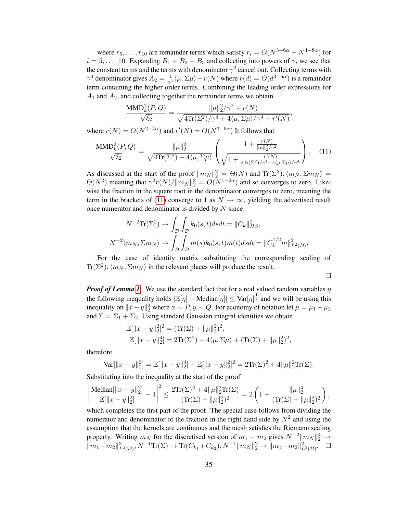where  $r_5, \ldots, r_{10}$  are remainder terms which satisfy  $r_i = O(N^{3-6\alpha} + N^{4-8\alpha})$  for  $i = 5, \ldots, 10$ . Expanding  $B_1 + B_2 + B_3$  and collecting into powers of  $\gamma$ , we see that the constant terms and the terms with denominator  $\gamma^2$  cancel out. Collecting terms with  $\gamma^4$  denominator gives  $A_2 = \frac{4}{\gamma^4}$  $\frac{4}{\gamma^4} \langle \mu, \Sigma \mu \rangle + r(N)$  where  $r(d) = O(d^{3-6\alpha})$  is a remainder term containing the higher order terms. Combining the leading order expressions for  $A_1$  and  $A_2$ , and collecting together the remainder terms we obtain

$$
\frac{\text{MMD}_k^2(P,Q)}{\sqrt{\xi_2}} = \frac{\|\mu\|_2^2/\gamma^2 + r(N)}{\sqrt{4\text{Tr}(\Sigma^2)/\gamma^4 + 4\langle \mu, \Sigma\mu \rangle/\gamma^4 + r'(N)}},
$$

where  $r(N) = O(N^{2-4\alpha})$  and  $r'(N) = O(N^{3-6\alpha})$  It follows that

<span id="page-34-0"></span>
$$
\frac{\text{MMD}_{k}^{2}(P,Q)}{\sqrt{\xi_{2}}} = \frac{\|\mu\|_{2}^{2}}{\sqrt{4\text{Tr}(\Sigma^{2}) + 4\langle\mu, \Sigma\mu\rangle}} \left(\frac{1 + \frac{r(N)}{\|\mu\|_{2}^{2}/\gamma^{2}}}{\sqrt{1 + \frac{r'(N)}{4\text{Tr}(\Sigma^{2})/\gamma^{4} + 4\langle\mu, \Sigma\mu\rangle/\gamma^{4}}}}\right). \quad (11)
$$

As discussed at the start of the proof  $||m_N||_2^2 = \Theta(N)$  and  $\text{Tr}(\Sigma^2)$ ,  $\langle m_N, \Sigma m_N \rangle =$  $\Theta(N^2)$  meaning that  $\gamma^2 r(N)/||m_N||_2^2 = O(N^{1-2\alpha})$  and so converges to zero. Likewise the fraction in the square root in the denominator converges to zero, meaning the term in the brackets of [\(11\)](#page-34-0) converge to 1 as  $N \to \infty$ , yielding the advertised result once numerator and denominator is divided by  $N$  since

$$
N^{-2}\text{Tr}(\Sigma^2) \to \int_{\mathcal{D}} \int_{\mathcal{D}} k_0(s,t)dsdt = ||C_k||_{HS}^2,
$$
  

$$
N^{-2}\langle m_N, \Sigma m_N \rangle \to \int_{\mathcal{D}} \int_{\mathcal{D}} m(s)k_0(s,t)m(t)dsdt = ||C_k^{1/2}m||_{L^2(\mathcal{D})}^2.
$$

For the case of identity matrix substituting the corresponding scaling of  $\text{Tr}(\Sigma^2), \langle m_N, \Sigma m_N \rangle$  in the relevant places will produce the result.

 $\Box$ 

*Proof of Lemma [1](#page-9-0)*. We use the standard fact that for a real valued random variables  $\eta$ the following inequality holds  $|\mathbb{E}[\eta] - \text{Median}[\eta]| \leq \text{Var}[\eta]^{\frac{1}{2}}$  and we will be using this inequality on  $||x - y||_2^2$  where  $x \sim P$ ,  $y \sim Q$ . For economy of notation let  $\mu = \mu_1 - \mu_2$ and  $\Sigma = \Sigma_1 + \Sigma_2$ . Using standard Gaussian integral identities we obtain

$$
\mathbb{E}[\|x - y\|_2^2]^2 = (\text{Tr}(\Sigma) + \|\mu\|_2^2)^2,
$$
  

$$
\mathbb{E}[\|x - y\|_2^4] = 2\text{Tr}(\Sigma^2) + 4\langle \mu, \Sigma\mu \rangle + (\text{Tr}(\Sigma) + \|\mu\|_2^2)^2,
$$

therefore

$$
\text{Var}[\|x-y\|_2^2] = \mathbb{E}[\|x-y\|_2^4] - \mathbb{E}[\|x-y\|_2^2]^2 = 2\text{Tr}(\Sigma)^2 + 4\|\mu\|_2^2\text{Tr}(\Sigma).
$$

Substituting into the inequality at the start of the proof

$$
\left|\frac{\text{Median}[||x-y||_2^2]}{\mathbb{E}[||x-y||_2^2]}-1\right|^2 \leq \frac{2\text{Tr}(\Sigma)^2+4||\mu||_2^2\text{Tr}(\Sigma)}{(\text{Tr}(\Sigma)+||\mu||_2^2)^2}=2\left(1-\frac{||\mu||_2^4}{(\text{Tr}(\Sigma)+||\mu||_2^2)^2}\right),
$$

which completes the first part of the proof. The special case follows from dividing the numerator and denominator of the fraction in the right hand side by  $N^2$  and using the assumption that the kernels are continuous and the mesh satisfies the Riemann scaling property. Writing  $m_N$  for the discretised version of  $m_1 - m_2$  gives  $N^{-2} || m_N ||_2^4 \rightarrow$  $||m_1 - m_2||^2_{L^2(\mathcal{D})}, N^{-1}\text{Tr}(\Sigma) \to \text{Tr}(C_{k_1} + C_{k_2}), N^{-1}||m_N||_2^2 \to ||m_1 - m_2||^2_{L^2(\mathcal{D})}.$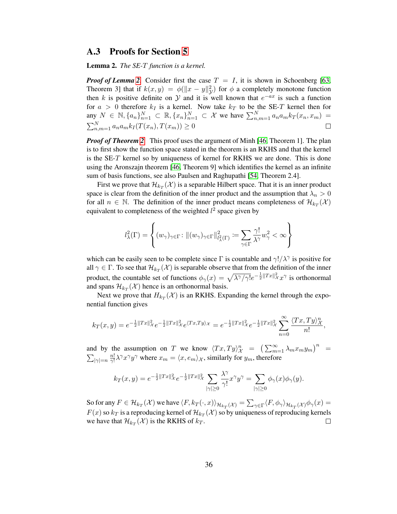#### A.3 Proofs for Section [5](#page-10-0)

<span id="page-35-0"></span>Lemma 2. *The SE-*T *function is a kernel.*

*Proof of Lemma* [2](#page-35-0). Consider first the case  $T = I$ , it is shown in Schoenberg [\[63,](#page-30-30) Theorem 3] that if  $k(x, y) = \phi(||x - y||_y^2)$  for  $\phi$  a completely monotone function then k is positive definite on  $\mathcal Y$  and it is well known that  $e^{-ax}$  is such a function for  $a > 0$  therefore  $k_I$  is a kernel. Now take  $k_T$  to be the SE-T kernel then for any  $N \in \mathbb{N}, \{a_n\}_{n=1}^N \subset \mathbb{R}, \{x_n\}_{n=1}^N \subset \mathcal{X}$  we have  $\sum_{n,m=1}^N a_n a_m k_T(x_n, x_m) =$  $\sum_{n,m=1}^{N} a_n a_m k_I(T(x_n), T(x_m)) \ge 0$  $\Box$ 

*Proof of Theorem [2](#page-10-1).* This proof uses the argument of Minh [\[46,](#page-29-23) Theorem 1]. The plan is to first show the function space stated in the theorem is an RKHS and that the kernel is the SE-T kernel so by uniqueness of kernel for RKHS we are done. This is done using the Aronszajn theorem [\[46,](#page-29-23) Theorem 9] which identifies the kernel as an infinite sum of basis functions, see also Paulsen and Raghupathi [\[54,](#page-29-19) Theorem 2.4].

First we prove that  $\mathcal{H}_{k_T}(\mathcal{X})$  is a separable Hilbert space. That it is an inner product space is clear from the definition of the inner product and the assumption that  $\lambda_n > 0$ for all  $n \in \mathbb{N}$ . The definition of the inner product means completeness of  $\mathcal{H}_{k_T}(\mathcal{X})$ equivalent to completeness of the weighted  $l^2$  space given by

$$
l^2_\lambda(\Gamma) = \left\{(w_\gamma)_{\gamma \in \Gamma} \colon \|(w_\gamma)_{\gamma \in \Gamma}\|_{l^2_\lambda(\Gamma)}^2 \coloneqq \sum_{\gamma \in \Gamma} \frac{\gamma!}{\lambda^\gamma} w_\gamma^2 < \infty \right\}
$$

which can be easily seen to be complete since  $\Gamma$  is countable and  $\gamma!/\lambda^{\gamma}$  is positive for all  $\gamma \in \Gamma$ . To see that  $\mathcal{H}_{k_T}(\mathcal{X})$  is separable observe that from the definition of the inner product, the countable set of functions  $\phi_\gamma(x) = \sqrt{\lambda^\gamma/\gamma!}e^{-\frac{1}{2}||Tx||^2_{\mathcal{X}}x^\gamma}$  is orthonormal and spans  $\mathcal{H}_{k_T}(\mathcal{X})$  hence is an orthonormal basis.

Next we prove that  $H_{k_T}(\mathcal{X})$  is an RKHS. Expanding the kernel through the exponential function gives

$$
k_T(x,y) = e^{-\frac{1}{2}||Tx||_{\mathcal{X}}^2} e^{-\frac{1}{2}||Tx||_{\mathcal{X}}^2} e^{\langle Tx,Ty\rangle_{\mathcal{X}}} = e^{-\frac{1}{2}||Tx||_{\mathcal{X}}^2} e^{-\frac{1}{2}||Tx||_{\mathcal{X}}^2} \sum_{n=0}^{\infty} \frac{\langle Tx,Ty\rangle_{\mathcal{X}}^n}{n!},
$$

and by the assumption on T we know  $\langle Tx, Ty \rangle_{\mathcal{X}}^n = (\sum_{m=1}^{\infty} \lambda_m x_m y_m)^n$  $\sum_{|\gamma|=n} \frac{n!}{\gamma!}$  $\frac{n!}{\gamma!} \lambda^{\gamma} x^{\gamma} y^{\gamma}$  where  $x_m = \langle x, e_m \rangle_{\mathcal{X}}$ , similarly for  $y_m$ , therefore

$$
k_T(x,y) = e^{-\frac{1}{2}||Tx||_{\mathcal{X}}^2}e^{-\frac{1}{2}||Tx||_{\mathcal{X}}^2}\sum_{|\gamma|\geq 0}\frac{\lambda^{\gamma}}{\gamma!}x^{\gamma}y^{\gamma} = \sum_{|\gamma|\geq 0}\phi_{\gamma}(x)\phi_{\gamma}(y).
$$

So for any  $F \in \mathcal{H}_{k_T}(\mathcal{X})$  we have  $\langle F, k_T(\cdot,x) \rangle_{\mathcal{H}_{k_T}(\mathcal{X})} = \sum_{\gamma \in \Gamma} \langle F, \phi_\gamma \rangle_{\mathcal{H}_{k_T}(\mathcal{X})} \phi_\gamma(x) =$  $F(x)$  so  $k_T$  is a reproducing kernel of  $\mathcal{H}_{k_T}(\mathcal{X})$  so by uniqueness of reproducing kernels we have that  $\mathcal{H}_{k_T}(\mathcal{X})$  is the RKHS of  $k_T$ .  $\Box$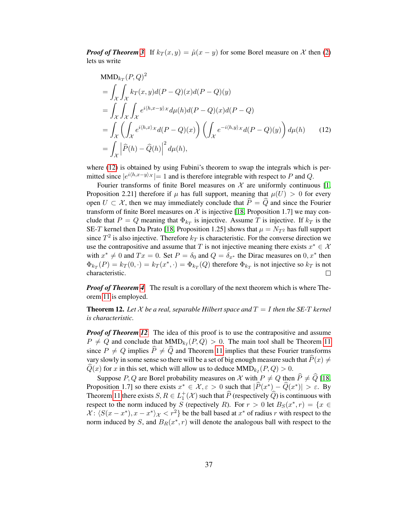*Proof of Theorem [3](#page-11-1).* If  $k_T(x, y) = \hat{\mu}(x - y)$  for some Borel measure on X then [\(2\)](#page-6-1) lets us write

<span id="page-36-1"></span>
$$
\begin{aligned}\n\text{MMD}_{k_T}(P,Q)^2 &= \int_{\mathcal{X}} \int_{\mathcal{X}} k_T(x,y) d(P-Q)(x) d(P-Q)(y) \\
&= \int_{\mathcal{X}} \int_{\mathcal{X}} \int_{\mathcal{X}} e^{i \langle h, x-y \rangle \times} d\mu(h) d(P-Q)(x) d(P-Q) \\
&= \int_{\mathcal{X}} \left( \int_{\mathcal{X}} e^{i \langle h, x \rangle \times} d(P-Q)(x) \right) \left( \int_{\mathcal{X}} e^{-i \langle h, y \rangle \times} d(P-Q)(y) \right) d\mu(h) \qquad (12) \\
&= \int_{\mathcal{X}} \left| \widehat{P}(h) - \widehat{Q}(h) \right|^2 d\mu(h),\n\end{aligned}
$$

where [\(12\)](#page-36-1) is obtained by using Fubini's theorem to swap the integrals which is permitted since  $|e^{i\langle h,x-y\rangle x}| = 1$  and is therefore integrable with respect to P and Q.

Fourier transforms of finite Borel measures on  $\mathcal X$  are uniformly continuous [\[1,](#page-28-23) Proposition 2.21] therefore if  $\mu$  has full support, meaning that  $\mu(U) > 0$  for every open  $U \subset \mathcal{X}$ , then we may immediately conclude that  $P = Q$  and since the Fourier transform of finite Borel measures on  $\mathcal X$  is injective [\[18,](#page-28-16) Proposition 1.7] we may conclude that  $P = Q$  meaning that  $\Phi_{k_T}$  is injective. Assume T is injective. If  $k_T$  is the SE-T kernel then Da Prato [\[18,](#page-28-16) Proposition 1.25] shows that  $\mu = N_T^2$  has full support since  $T^2$  is also injective. Therefore  $k_T$  is characteristic. For the converse direction we use the contrapositive and assume that T is not injective meaning there exists  $x^* \in \mathcal{X}$ with  $x^* \neq 0$  and  $Tx = 0$ . Set  $P = \delta_0$  and  $Q = \delta_{x^*}$  the Dirac measures on  $0, x^*$  then  $\Phi_{k_T}(P) = k_T(0, \cdot) = k_T(x^*, \cdot) = \Phi_{k_T}(Q)$  therefore  $\Phi_{k_T}$  is not injective so  $k_T$  is not characteristic.  $\Box$ 

*Proof of Theorem [4](#page-11-0).* The result is a corollary of the next theorem which is where Theorem [11](#page-31-1) is employed.

<span id="page-36-0"></span>**Theorem 12.** Let X be a real, separable Hilbert space and  $T = I$  then the SE-T kernel *is characteristic.*

*Proof of Theorem [12](#page-36-0).* The idea of this proof is to use the contrapositive and assume  $P \neq Q$  and conclude that  $MMD_{k} (P,Q) > 0$ . The main tool shall be Theorem [11](#page-31-1) since  $P \neq Q$  implies  $\hat{P} \neq \hat{Q}$  and Theorem [11](#page-31-1) implies that these Fourier transforms vary slowly in some sense so there will be a set of big enough measure such that  $\widehat{P}(x) \neq$  $Q(x)$  for x in this set, which will allow us to deduce  $MMD_{k}(P,Q) > 0$ .

Suppose P, Q are Borel probability measures on X with  $P \neq Q$  then  $\hat{P} \neq \hat{Q}$  [\[18,](#page-28-16) Proposition 1.7] so there exists  $x^* \in \mathcal{X}, \varepsilon > 0$  such that  $|\widehat{P}(x^*) - \widehat{Q}(x^*)| > \varepsilon$ . By Theorem [11](#page-31-1) there exists  $S, R \in L_1^+(\mathcal{X})$  such that  $\widehat{P}$  (respectively  $\widehat{Q}$ ) is continuous with respect to the norm induced by S (repectively R). For  $r > 0$  let  $B_S(x^*, r) = \{x \in$  $\mathcal{X}: \langle S(x - x^*) , x - x^* \rangle_{\mathcal{X}} < r^2 \}$  be the ball based at  $x^*$  of radius r with respect to the norm induced by S, and  $B_R(x^*, r)$  will denote the analogous ball with respect to the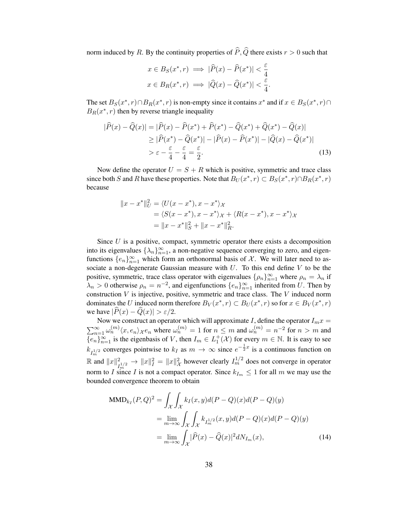norm induced by R. By the continuity properties of  $\hat{P}, \hat{Q}$  there exists  $r > 0$  such that

$$
x \in B_S(x^*, r) \implies |\hat{P}(x) - \hat{P}(x^*)| < \frac{\varepsilon}{4}
$$
\n
$$
x \in B_R(x^*, r) \implies |\hat{Q}(x) - \hat{Q}(x^*)| < \frac{\varepsilon}{4}
$$

<span id="page-37-1"></span>.

The set  $B_S(x^*, r) \cap B_R(x^*, r)$  is non-empty since it contains  $x^*$  and if  $x \in B_S(x^*, r) \cap B_R(x^*, r)$  $B_R(x^*, r)$  then by reverse triangle inequality

$$
|\widehat{P}(x) - \widehat{Q}(x)| = |\widehat{P}(x) - \widehat{P}(x^*) + \widehat{P}(x^*) - \widehat{Q}(x^*) + \widehat{Q}(x^*) - \widehat{Q}(x)|
$$
  
\n
$$
\geq |\widehat{P}(x^*) - \widehat{Q}(x^*)| - |\widehat{P}(x) - \widehat{P}(x^*)| - |\widehat{Q}(x) - \widehat{Q}(x^*)|
$$
  
\n
$$
> \varepsilon - \frac{\varepsilon}{4} - \frac{\varepsilon}{4} = \frac{\varepsilon}{2}.
$$
\n(13)

Now define the operator  $U = S + R$  which is positive, symmetric and trace class since both S and R have these properties. Note that  $B_U(x^*, r) \subset B_S(x^*, r) \cap B_R(x^*, r)$ because

$$
||x - x^*||_U^2 = \langle U(x - x^*), x - x^* \rangle_{\mathcal{X}}
$$
  
=  $\langle S(x - x^*), x - x^* \rangle_{\mathcal{X}} + \langle R(x - x^*), x - x^* \rangle_{\mathcal{X}}$   
=  $||x - x^*||_S^2 + ||x - x^*||_R^2$ .

Since  $U$  is a positive, compact, symmetric operator there exists a decomposition into its eigenvalues  $\{\lambda_n\}_{n=1}^{\infty}$ , a non-negative sequence converging to zero, and eigenfunctions  $\{e_n\}_{n=1}^{\infty}$  which form an orthonormal basis of X. We will later need to associate a non-degenerate Gaussian measure with  $U$ . To this end define  $V$  to be the positive, symmetric, trace class operator with eigenvalues  $\{\rho_n\}_{n=1}^{\infty}$  where  $\rho_n = \lambda_n$  if  $\lambda_n > 0$  otherwise  $\rho_n = n^{-2}$ , and eigenfunctions  $\{e_n\}_{n=1}^{\infty}$  inherited from U. Then by construction  $V$  is injective, positive, symmetric and trace class. The  $V$  induced norm dominates the U induced norm therefore  $B_V(x^*, r) \subset B_U(x^*, r)$  so for  $x \in B_V(x^*, r)$ we have  $|\widehat{P}(x) - \widehat{Q}(x)| > \varepsilon/2$ .

Now we construct an operator which will approximate I, define the operator  $I_m x =$  $\sum_{n=1}^{\infty} \omega_n^{(m)} \langle x, e_n \rangle_{\mathcal{X}} e_n$  where  $\omega_n^{(m)} = 1$  for  $n \le m$  and  $\omega_n^{(m)} = n^{-2}$  for  $n > m$  and  ${e_n \brace_{n=1}^{\infty}}$  is the eigenbasis of V, then  $I_m \in L_1^+(\mathcal{X})$  for every  $m \in \mathbb{N}$ . It is easy to see  $k_{I_m^{1/2}}$  converges pointwise to  $k_I$  as  $m \to \infty$  since  $e^{-\frac{1}{2}x}$  is a continuous function on R and  $||x||_L^2$  $I_{m}^{2} \rightarrow ||x||_{I}^{2} = ||x||_{\mathcal{X}}^{2}$  however clearly  $I_{m}^{1/2}$  does not converge in operator norm to I since I is not a compact operator. Since  $k_{I_m} \leq 1$  for all m we may use the bounded convergence theorem to obtain

<span id="page-37-0"></span>
$$
\text{MMD}_{k}(\{P,Q\}^2) = \int_{\mathcal{X}} \int_{\mathcal{X}} k_I(x,y) d(P-Q)(x) d(P-Q)(y)
$$
  
= 
$$
\lim_{m \to \infty} \int_{\mathcal{X}} \int_{\mathcal{X}} k_{I_m^{1/2}}(x,y) d(P-Q)(x) d(P-Q)(y)
$$
  
= 
$$
\lim_{m \to \infty} \int_{\mathcal{X}} |\widehat{P}(x) - \widehat{Q}(x)|^2 dN_{I_m}(x),
$$
 (14)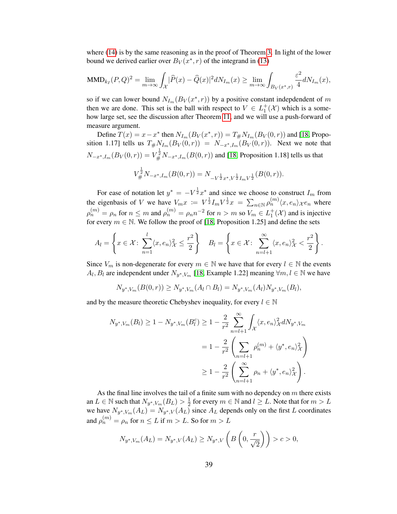where [\(14\)](#page-37-0) is by the same reasoning as in the proof of Theorem [3.](#page-11-1) In light of the lower bound we derived earlier over  $B_V(x^*, r)$  of the integrand in [\(13\)](#page-37-1)

$$
\text{MMD}_{k}(\mathbf{P},\mathbf{Q})^2 = \lim_{m \to \infty} \int_{\mathcal{X}} |\widehat{P}(x) - \widehat{Q}(x)|^2 dN_{I_m}(x) \ge \lim_{m \to \infty} \int_{B_V(x^*, r)} \frac{\varepsilon^2}{4} dN_{I_m}(x),
$$

so if we can lower bound  $N_{I_m}(B_V(x^*, r))$  by a positive constant indepdendent of m then we are done. This set is the ball with respect to  $V \in L_1^+(\mathcal{X})$  which is a somehow large set, see the discussion after Theorem [11,](#page-31-1) and we will use a push-forward of measure argument.

Define  $T(x) = x - x^*$  then  $N_{I_m}(B_V(x^*, r)) = T_{\#} N_{I_m}(B_V(0, r))$  and [\[18,](#page-28-16) Proposition 1.17] tells us  $T_{\#}N_{I_m}(B_V(0,r)) = N_{-x^*,I_m}(B_V(0,r))$ . Next we note that  $N_{-x^*,I_m}(B_V(0,r)) = V_{\#}^{\frac{1}{2}} N_{-x^*,I_m}(B(0,r))$  and [\[18,](#page-28-16) Proposition 1.18] tells us that 1 2

$$
V_{\#}^{\bar{2}}N_{-x^*,I_m}(B(0,r)) = N_{-V^{\frac{1}{2}}x^*,V^{\frac{1}{2}}I_mV^{\frac{1}{2}}}(B(0,r)).
$$

For ease of notation let  $y^* = -V^{\frac{1}{2}}x^*$  and since we choose to construct  $I_m$  from the eigenbasis of V we have  $V_m x = V^{\frac{1}{2}} I_m V^{\frac{1}{2}} x = \sum_{n \in \mathbb{N}} \rho_n^{(m)} \langle x, e_n \rangle_{\mathcal{X}} e_n$  where  $\rho_n^{(m)} = \rho_n$  for  $n \le m$  and  $\rho_n^{(m)} = \rho_n n^{-2}$  for  $n > m$  so  $V_m \in L_1^+(\mathcal{X})$  and is injective for every  $m \in \mathbb{N}$ . We follow the proof of [\[18,](#page-28-16) Proposition 1.25] and define the sets

$$
A_l = \left\{ x \in \mathcal{X} : \sum_{n=1}^l \langle x, e_n \rangle_{\mathcal{X}}^2 \le \frac{r^2}{2} \right\} \quad B_l = \left\{ x \in \mathcal{X} : \sum_{n=l+1}^\infty \langle x, e_n \rangle_{\mathcal{X}}^2 < \frac{r^2}{2} \right\}.
$$

Since  $V_m$  is non-degenerate for every  $m \in \mathbb{N}$  we have that for every  $l \in \mathbb{N}$  the events  $A_l, B_l$  are independent under  $N_{y^*, V_m}$  [\[18,](#page-28-16) Example 1.22] meaning  $\forall m, l \in \mathbb{N}$  we have

$$
N_{y^*,V_m}(B(0,r)) \ge N_{y^*,V_m}(A_l \cap B_l) = N_{y^*,V_m}(A_l)N_{y^*,V_m}(B_l),
$$

and by the measure theoretic Chebyshev inequality, for every  $l \in \mathbb{N}$ 

$$
N_{y^*,V_m}(B_l) \ge 1 - N_{y^*,V_m}(B_l^c) \ge 1 - \frac{2}{r^2} \sum_{n=l+1}^{\infty} \int_{\mathcal{X}} \langle x, e_n \rangle_{\mathcal{X}}^2 dN_{y^*,V_m}
$$
  
= 
$$
1 - \frac{2}{r^2} \left( \sum_{n=l+1}^{\infty} \rho_n^{(m)} + \langle y^*, e_n \rangle_{\mathcal{X}}^2 \right)
$$
  

$$
\ge 1 - \frac{2}{r^2} \left( \sum_{n=l+1}^{\infty} \rho_n + \langle y^*, e_n \rangle_{\mathcal{X}}^2 \right).
$$

As the final line involves the tail of a finite sum with no dependcy on  $m$  there exists an  $L \in \mathbb{N}$  such that  $N_{y^*,V_m}(B_L) > \frac{1}{2}$  $\frac{1}{2}$  for every  $m \in \mathbb{N}$  and  $l \geq L$ . Note that for  $m > L$ we have  $N_{y^*,V_m}(A_L) = N_{y^*,V}(A_L)$  since  $A_L$  depends only on the first L coordinates and  $\rho_n^{(m)} = \rho_n$  for  $n \le L$  if  $m > L$ . So for  $m > L$ 

$$
N_{y^*,V_m}(A_L) = N_{y^*,V}(A_L) \ge N_{y^*,V}\left(B\left(0,\frac{r}{\sqrt{2}}\right)\right) > c > 0,
$$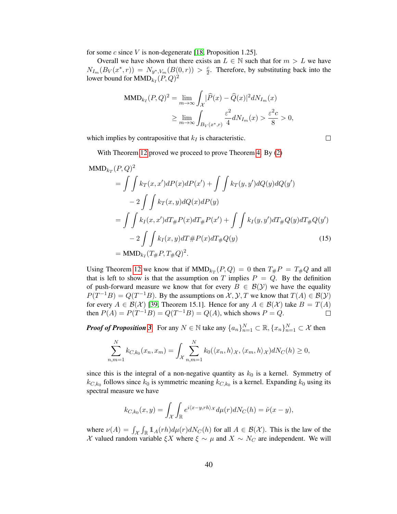for some c since V is non-degenerate [\[18,](#page-28-16) Proposition 1.25].

Overall we have shown that there exists an  $L \in \mathbb{N}$  such that for  $m > L$  we have  $N_{I_m}(B_V(x^*, r)) = N_{y^*, V_m}(B(0,r)) > \frac{c}{2}$  $\frac{c}{2}$ . Therefore, by substituting back into the lower bound for  $\mathrm{MMD}_{k_I}(P,Q)^2$ 

$$
\begin{aligned} \text{MMD}_{k}(\mathcal{P}, Q)^2 &= \lim_{m \to \infty} \int_{\mathcal{X}} |\widehat{\mathcal{P}}(x) - \widehat{Q}(x)|^2 dN_{I_m}(x) \\ &\geq \lim_{m \to \infty} \int_{B_V(x^*, r)} \frac{\varepsilon^2}{4} dN_{I_m}(x) > \frac{\varepsilon^2 c}{8} > 0, \end{aligned}
$$

which implies by contrapositive that  $k_I$  is characteristic.

 $\Box$ 

With Theorem [12](#page-36-0) proved we proceed to prove Theorem [4.](#page-11-0) By  $(2)$ 

$$
MMD_{k_T}(P,Q)^2
$$
  
=  $\iint k_T(x, x')dP(x)dP(x') + \iint k_T(y, y')dQ(y)dQ(y')$   
-  $2 \iint k_T(x, y)dQ(x)dP(y)$   
=  $\iint k_I(x, x')dT_{\#}P(x)dT_{\#}P(x') + \iint k_I(y, y')dT_{\#}Q(y)dT_{\#}Q(y')$   
-  $2 \iint k_I(x, y)dT_{\#}P(x)dT_{\#}Q(y)$  (15)  
=  $MMD_{k_I}(T_{\#}P, T_{\#}Q)^2$ .

Using Theorem [12](#page-36-0) we know that if  $MMD_{k_T}(P,Q) = 0$  then  $T_{\#}P = T_{\#}Q$  and all that is left to show is that the assumption on T implies  $P = Q$ . By the definition of push-forward measure we know that for every  $B \in \mathcal{B}(\mathcal{Y})$  we have the equality  $P(T^{-1}B) = Q(T^{-1}B)$ . By the assumptions on  $\mathcal{X}, \mathcal{Y}, T$  we know that  $T(A) \in \mathcal{B}(\mathcal{Y})$ for every  $A \in \mathcal{B}(\mathcal{X})$  [\[39,](#page-29-32) Theorem 15.1]. Hence for any  $A \in \mathcal{B}(\mathcal{X})$  take  $B = T(A)$ <br>then  $P(A) = P(T^{-1}B) = Q(T^{-1}B) = Q(A)$ , which shows  $P = Q$ . then  $P(A) = P(T^{-1}B) = Q(T^{-1}B) = Q(A)$ , which shows  $P = Q$ .

*Proof of Proposition* [3](#page-12-0). For any  $N \in \mathbb{N}$  take any  $\{a_n\}_{n=1}^N \subset \mathbb{R}, \{x_n\}_{n=1}^N \subset \mathcal{X}$  then

$$
\sum_{n,m=1}^{N} k_{C,k_0}(x_n, x_m) = \int_{\mathcal{X}} \sum_{n,m=1}^{N} k_0(\langle x_n, h \rangle_{\mathcal{X}}, \langle x_m, h \rangle_{\mathcal{X}}) dN_C(h) \ge 0,
$$

since this is the integral of a non-negative quantity as  $k_0$  is a kernel. Symmetry of  $k_{C,k_0}$  follows since  $k_0$  is symmetric meaning  $k_{C,k_0}$  is a kernel. Expanding  $k_0$  using its spectral measure we have

$$
k_{C,k_0}(x,y) = \int_{\mathcal{X}} \int_{\mathbb{R}} e^{i\langle x-y,rh\rangle_{\mathcal{X}}} d\mu(r) dN_C(h) = \hat{\nu}(x-y),
$$

where  $\nu(A) = \int_{\mathcal{X}} \int_{\mathbb{R}} 1\!\!1_{A}(rh) d\mu(r) dN_C(h)$  for all  $A \in \mathcal{B}(\mathcal{X})$ . This is the law of the X valued random variable  $\xi X$  where  $\xi \sim \mu$  and  $X \sim N_C$  are independent. We will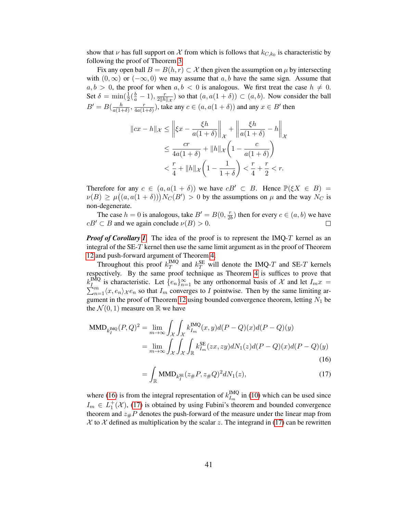show that  $\nu$  has full support on  $\mathcal X$  from which is follows that  $k_{C,k_0}$  is characteristic by following the proof of Theorem [3.](#page-11-1)

Fix any open ball  $B = B(h, r) \subset \mathcal{X}$  then given the assumption on  $\mu$  by intersecting with  $(0, \infty)$  or  $(-\infty, 0)$  we may assume that a, b have the same sign. Assume that  $a, b > 0$ , the proof for when  $a, b < 0$  is analogous. We first treat the case  $h \neq 0$ . Set  $\delta = \min(\frac{1}{2}(\frac{b}{a} - 1), \frac{r}{2\|h}$  $\frac{r}{2\|h\|_{\mathcal{X}}}$ ) so that  $(a, a(1 + \delta)) \subset (a, b)$ . Now consider the ball  $B' = B\left(\frac{h}{a(1)}\right)$  $\frac{h}{a(1+\delta)}$ ,  $\frac{r}{4a(1-\delta)}$  $\frac{r}{4a(1+\delta)}$ ), take any  $c \in (a, a(1+\delta))$  and any  $x \in B'$  then

$$
||cx - h||_{\mathcal{X}} \le ||\xi x - \frac{\xi h}{a(1+\delta)}||_{\mathcal{X}} + ||\frac{\xi h}{a(1+\delta)} - h||_{\mathcal{X}}
$$
  

$$
\le \frac{cr}{4a(1+\delta)} + ||h||_{\mathcal{X}} \left(1 - \frac{c}{a(1+\delta)}\right)
$$
  

$$
< \frac{r}{4} + ||h||_{\mathcal{X}} \left(1 - \frac{1}{1+\delta}\right) < \frac{r}{4} + \frac{r}{2} < r.
$$

Therefore for any  $c \in (a, a(1 + \delta))$  we have  $cB' \subset B$ . Hence  $\mathbb{P}(\xi X \in B) =$  $\nu(B) \ge \mu((a, a(1 + \delta)))N_C(B') > 0$  by the assumptions on  $\mu$  and the way  $N_C$  is non-degenerate.

The case  $h = 0$  is analogous, take  $B' = B(0, \frac{r}{2l})$  $\frac{r}{2b}$ ) then for every  $c \in (a, b)$  we have  $cB' \subset B$  and we again conclude  $\nu(B) > 0$ .

*Proof of Corollary [1](#page-13-3).* The idea of the proof is to represent the IMQ-T kernel as an integral of the SE-T kernel then use the same limit argument as in the proof of Theorem [12](#page-36-0) and push-forward argument of Theorem [4.](#page-11-0)

Throughout this proof  $k_T^{\text{IMQ}}$  $T_T^{\text{IMQ}}$  and  $k_T^{\text{SE}}$  will denote the IMQ-T and SE-T kernels respectively. By the same proof technique as Theorem [4](#page-11-0) is suffices to prove that  $k_I^{\rm IMQ}$  $k_I^{\text{IMQ}}$  is characteristic. Let  $\{e_n\}_{n=1}^{\infty}$ <br> $\sum_{n=1}^m \langle x, e_n \rangle_{\mathcal{X}} e_n$  so that  $I_m$  convergent <sup>nQ</sup> is characteristic. Let  $\{e_n\}_{n=1}^{\infty}$  be any orthonormal basis of  $\mathcal X$  and let  $I_mx =$ <br> $\binom{m}{n=1}\langle x, e_n \rangle_{\mathcal X}e_n$  so that  $I_m$  converges to I pointwise. Then by the same limiting ar-gument in the proof of Theorem [12](#page-36-0) using bounded convergence theorem, letting  $N_1$  be the  $\mathcal{N}(0, 1)$  measure on R we have

$$
\text{MMD}_{k_I^{\text{IMQ}}}(P,Q)^2 = \lim_{m \to \infty} \int_{\mathcal{X}} \int_{\mathcal{X}} k_{I_m}^{\text{IMQ}}(x,y) d(P-Q)(x) d(P-Q)(y)
$$
  
= 
$$
\lim_{m \to \infty} \int_{\mathcal{X}} \int_{\mathcal{X}} \int_{\mathbb{R}} k_{I_m}^{\text{SE}}(zx,zy) dN_1(z) d(P-Q)(x) d(P-Q)(y)
$$
(16)

<span id="page-40-1"></span><span id="page-40-0"></span>
$$
= \int_{\mathbb{R}} \text{MMD}_{k_{I}^{\text{SE}}}(z_{\#}P, z_{\#}Q)^{2}dN_{1}(z), \tag{17}
$$

where [\(16\)](#page-40-0) is from the integral representation of  $k_{L}^{\text{IMQ}}$  $I_m^{\text{IMQ}}$  in [\(10\)](#page-12-1) which can be used since  $I_m \in L_1^+(\mathcal{X})$ , [\(17\)](#page-40-1) is obtained by using Fubini's theorem and bounded convergence theorem and  $z_{\#}P$  denotes the push-forward of the measure under the linear map from  $\chi$  to  $\chi$  defined as multiplication by the scalar z. The integrand in [\(17\)](#page-40-1) can be rewritten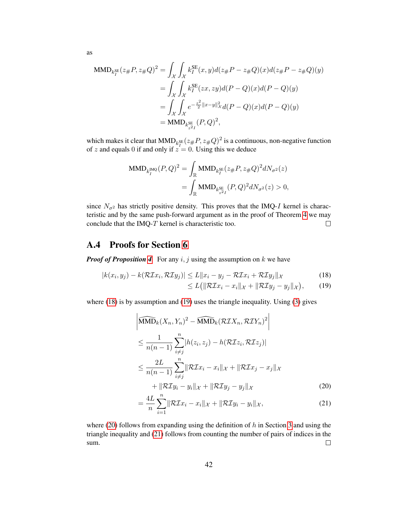$$
\begin{split} \text{MMD}_{k_{I}^{\text{SE}}}(z_{\#}P, z_{\#}Q)^{2} &= \int_{\mathcal{X}} \int_{\mathcal{X}} k_{I}^{\text{SE}}(x, y) d(z_{\#}P - z_{\#}Q)(x) d(z_{\#}P - z_{\#}Q)(y) \\ &= \int_{\mathcal{X}} \int_{\mathcal{X}} k_{I}^{\text{SE}}(zx, zy) d(P - Q)(x) d(P - Q)(y) \\ &= \int_{\mathcal{X}} \int_{\mathcal{X}} e^{-\frac{z^{2}}{2}||x - y||^{2}_{\mathcal{X}}} d(P - Q)(x) d(P - Q)(y) \\ &= \text{MMD}_{k_{z}^{\text{SE}}}(P, Q)^{2}, \end{split}
$$

which makes it clear that  $MMD_{k_l^{SE}}(z_{\#}P, z_{\#}Q)^2$  is a continuous, non-negative function of z and equals 0 if and only if  $z = 0$ . Using this we deduce

$$
\begin{split} \text{MMD}_{k_{I}^{\text{IMQ}}}(P,Q)^{2} &= \int_{\mathbb{R}} \text{MMD}_{k_{I}^{\text{SE}}}(z_{\#}P, z_{\#}Q)^{2}dN_{\sigma^{2}}(z) \\ &= \int_{\mathbb{R}} \text{MMD}_{k_{z^{2}I}^{\text{SE}}}(P,Q)^{2}dN_{\sigma^{2}}(z) > 0, \end{split}
$$

since  $N_{\sigma^2}$  has strictly positive density. This proves that the IMQ-I kernel is characteristic and by the same push-forward argument as in the proof of Theorem [4](#page-11-0) we may conclude that the IMQ-T kernel is characteristic too.  $\Box$ 

### A.4 Proofs for Section [6](#page-13-0)

*Proof of Proposition [4](#page-13-2).* For any  $i, j$  using the assumption on  $k$  we have

$$
|k(x_i, y_j) - k(\mathcal{R}\mathcal{I}x_i, \mathcal{R}\mathcal{I}y_j)| \le L \|x_i - y_j - \mathcal{R}\mathcal{I}x_i + \mathcal{R}\mathcal{I}y_j\|_{\mathcal{X}}
$$
(18)

<span id="page-41-3"></span><span id="page-41-2"></span><span id="page-41-1"></span><span id="page-41-0"></span>
$$
\leq L\big(\|\mathcal{R}\mathcal{I}x_i-x_i\|_{\mathcal{X}}+\|\mathcal{R}\mathcal{I}y_j-y_j\|_{\mathcal{X}}\big),\qquad(19)
$$

where [\(18\)](#page-41-0) is by assumption and [\(19\)](#page-41-1) uses the triangle inequality. Using [\(3\)](#page-6-2) gives

$$
\left| \widehat{\text{MMD}}_{k}(X_{n}, Y_{n})^{2} - \widehat{\text{MMD}}_{k}(\mathcal{RIX}_{n}, \mathcal{RIV}_{n})^{2} \right|
$$
\n
$$
\leq \frac{1}{n(n-1)} \sum_{i \neq j}^{n} |h(z_{i}, z_{j}) - h(\mathcal{RIZ}_{i}, \mathcal{RIZ}_{j})|
$$
\n
$$
\leq \frac{2L}{n(n-1)} \sum_{i \neq j}^{n} ||\mathcal{RIx}_{i} - x_{i}||_{\mathcal{X}} + ||\mathcal{RIx}_{j} - x_{j}||_{\mathcal{X}}
$$
\n
$$
+ ||\mathcal{RI}y_{i} - y_{i}||_{\mathcal{X}} + ||\mathcal{RI}y_{j} - y_{j}||_{\mathcal{X}}
$$
\n(20)

$$
= \frac{4L}{n} \sum_{i=1}^{n} \|\mathcal{R} \mathcal{I} x_i - x_i\|_{\mathcal{X}} + \|\mathcal{R} \mathcal{I} y_i - y_i\|_{\mathcal{X}}, \tag{21}
$$

where [\(20\)](#page-41-2) follows from expanding using the definition of  $h$  in Section [3](#page-4-0) and using the triangle inequality and [\(21\)](#page-41-3) follows from counting the number of pairs of indices in the sum.  $\Box$ 

as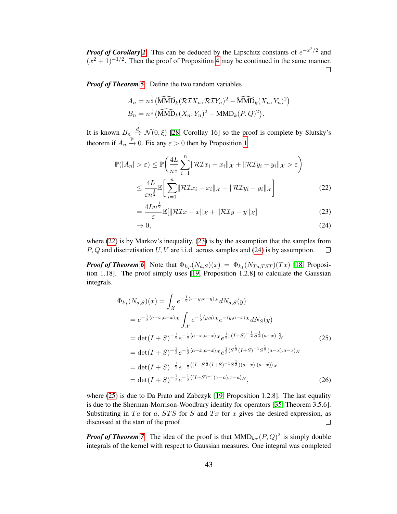*Proof of Corollary* [2](#page-14-1). This can be deduced by the Lipschitz constants of  $e^{-x^2/2}$  and  $(x^{2} + 1)^{-1/2}$ . Then the proof of Proposition [4](#page-13-2) may be continued in the same manner.  $\Box$ 

*Proof of Theorem [5](#page-14-0).* Define the two random variables

$$
A_n = n^{\frac{1}{2}} \left( \widehat{\text{MMD}}_k (\mathcal{R} \mathcal{I} X_n, \mathcal{R} \mathcal{I} Y_n)^2 - \widehat{\text{MMD}}_k (X_n, Y_n)^2 \right)
$$
  

$$
B_n = n^{\frac{1}{2}} \left( \widehat{\text{MMD}}_k (X_n, Y_n)^2 - \text{MMD}_k (P, Q)^2 \right).
$$

It is known  $B_n \stackrel{d}{\rightarrow} \mathcal{N}(0,\xi)$  [\[28,](#page-29-6) Corollay 16] so the proof is complete by Slutsky's theorem if  $A_n \stackrel{\mathbb{P}}{\rightarrow} 0$ . Fix any  $\varepsilon > 0$  then by Proposition [1](#page-8-2)

$$
\mathbb{P}(|A_n| > \varepsilon) \le \mathbb{P}\left(\frac{4L}{n^{\frac{1}{2}}} \sum_{i=1}^n \|\mathcal{R} \mathcal{I} x_i - x_i\|_{\mathcal{X}} + \|\mathcal{R} \mathcal{I} y_i - y_i\|_{\mathcal{X}} > \varepsilon\right)
$$
  

$$
\le \frac{4L}{\varepsilon n^{\frac{1}{2}}} \mathbb{E}\left[\sum_{i=1}^n \|\mathcal{R} \mathcal{I} x_i - x_i\|_{\mathcal{X}} + \|\mathcal{R} \mathcal{I} y_i - y_i\|_{\mathcal{X}}\right]
$$
(22)

<span id="page-42-1"></span><span id="page-42-0"></span>
$$
= \frac{4Ln^{\frac{1}{2}}}{\varepsilon} \mathbb{E}[\|\mathcal{R} \mathcal{I} x - x\|_{\mathcal{X}} + \|\mathcal{R} \mathcal{I} y - y\|_{\mathcal{X}}] \tag{23}
$$

<span id="page-42-2"></span>
$$
\to 0,\tag{24}
$$

where [\(22\)](#page-42-0) is by Markov's inequality, [\(23\)](#page-42-1) is by the assumption that the samples from  $P, Q$  and disctretisation  $U, V$  are i.i.d. across samples and [\(24\)](#page-42-2) is by assumption.  $\Box$ 

*Proof of Theorem [6](#page-16-2).* Note that  $\Phi_{k_T}(N_{a,S})(x) = \Phi_{k_I}(N_{Ta,TST})(Tx)$  [\[18,](#page-28-16) Proposition 1.18]. The proof simply uses [\[19,](#page-28-19) Proposition 1.2.8] to calculate the Gaussian integrals.

<span id="page-42-3"></span>
$$
\Phi_{k_I}(N_{a,S})(x) = \int_{\mathcal{X}} e^{-\frac{1}{2}\langle x-y, x-y\rangle \chi} dN_{a,S}(y)
$$
\n
$$
= e^{-\frac{1}{2}\langle a-x, a-x\rangle \chi} \int_{\mathcal{X}} e^{-\frac{1}{2}\langle y, y\rangle \chi} e^{-\langle y, a-x\rangle \chi} dN_S(y)
$$
\n
$$
= \det(I+S)^{-\frac{1}{2}} e^{-\frac{1}{2}\langle a-x, a-x\rangle \chi} e^{\frac{1}{2}\| (I+S)^{-\frac{1}{2}} S^{\frac{1}{2}}(a-x) \|_{\mathcal{X}}^2}
$$
\n
$$
= \det(I+S)^{-\frac{1}{2}} e^{-\frac{1}{2}\langle a-x, a-x\rangle \chi} e^{\frac{1}{2}\langle S^{\frac{1}{2}}(I+S)^{-1} S^{\frac{1}{2}}(a-x), a-x\rangle \chi}
$$
\n
$$
= \det(I+S)^{-\frac{1}{2}} e^{-\frac{1}{2}\langle (I-S^{\frac{1}{2}}(I+S)^{-1} S^{\frac{1}{2}})(a-x), (a-x)\rangle \chi}
$$
\n
$$
= \det(I+S)^{-\frac{1}{2}} e^{-\frac{1}{2}\langle (I+S)^{-1}(x-a), x-a\rangle \chi}, \qquad (26)
$$

where [\(25\)](#page-42-3) is due to Da Prato and Zabczyk [\[19,](#page-28-19) Proposition 1.2.8]. The last equality is due to the Sherman-Morrison-Woodbury identity for operators [\[35,](#page-29-2) Theorem 3.5.6]. Substituting in Ta for a,  $STS$  for S and Tx for x gives the desired expression, as discussed at the start of the proof.  $\Box$ 

*Proof of Theorem* [7](#page-16-0). The idea of the proof is that  $MMD_{k}(P,Q)^2$  is simply double integrals of the kernel with respect to Gaussian measures. One integral was completed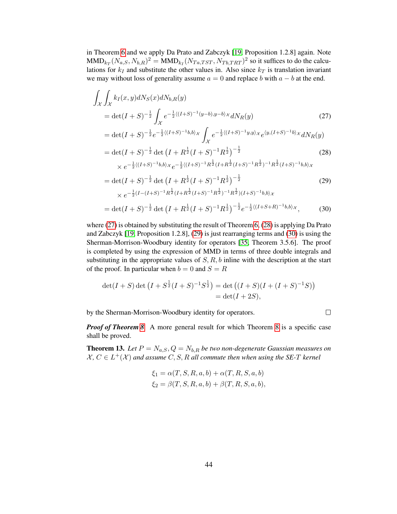in Theorem [6](#page-16-2) and we apply Da Prato and Zabczyk [\[19,](#page-28-19) Proposition 1.2.8] again. Note  $\text{MMD}_{k_T}(N_{a,S}, N_{b,R})^2 = \text{MMD}_{k_I}(N_{Ta,TST}, N_{Tb,TRT})^2$  so it suffices to do the calculations for  $k_I$  and substitute the other values in. Also since  $k_T$  is translation invariant we may without loss of generality assume  $a = 0$  and replace b with  $a - b$  at the end.

$$
\int_{\mathcal{X}} \int_{\mathcal{X}} k_I(x, y) dN_S(x) dN_{b,R}(y) \n= det(I + S)^{-\frac{1}{2}} \int_{\mathcal{X}} e^{-\frac{1}{2}\langle (I+S)^{-1}(y-b), y-b\rangle x} dN_R(y) \tag{27}\n= det(I + S)^{-\frac{1}{2}} e^{-\frac{1}{2}\langle (I+S)^{-1}b, b\rangle x} \int_{\mathcal{X}} e^{-\frac{1}{2}\langle (I+S)^{-1}y, y\rangle x} e^{\langle y, (I+S)^{-1}b\rangle x} dN_R(y) \n= det(I + S)^{-\frac{1}{2}} det (I + R^{\frac{1}{2}}(I + S)^{-1}R^{\frac{1}{2}})^{-\frac{1}{2}} \tag{28}\n\times e^{-\frac{1}{2}\langle (I+S)^{-1}b, b\rangle x} e^{-\frac{1}{2}\langle (I+S)^{-1}R^{\frac{1}{2}}(I + S)^{-1}R^{\frac{1}{2}}(I+S)^{-1}R^{\frac{1}{2}}(I+S)^{-1}b, b\rangle x \n= det(I + S)^{-\frac{1}{2}} det (I + R^{\frac{1}{2}}(I + S)^{-1}R^{\frac{1}{2}})^{-\frac{1}{2}} \tag{29}\n\times e^{-\frac{1}{2}(I - (I+S)^{-1}R^{\frac{1}{2}}(I + R^{\frac{1}{2}}(I + S)^{-1}R^{\frac{1}{2}})^{-1}R^{\frac{1}{2}}\rangle (I+S)^{-1}b, b\rangle x \n= det(I + S)^{-\frac{1}{2}} det (I + R^{\frac{1}{2}}(I + S)^{-1}R^{\frac{1}{2}})^{-\frac{1}{2}} e^{-\frac{1}{2}\langle (I + S + R)^{-1}b, b\rangle x}, \tag{30}
$$

where [\(27\)](#page-43-1) is obtained by substituting the result of Theorem [6,](#page-16-2) [\(28\)](#page-43-2) is applying Da Prato and Zabczyk [\[19,](#page-28-19) Proposition 1.2.8], [\(29\)](#page-43-3) is just rearranging terms and [\(30\)](#page-43-4) is using the Sherman-Morrison-Woodbury identity for operators [\[35,](#page-29-2) Theorem 3.5.6]. The proof is completed by using the expression of MMD in terms of three double integrals and substituting in the appropriate values of  $S, R, b$  inline with the description at the start of the proof. In particular when  $b = 0$  and  $S = R$ 

$$
det(I + S) det (I + S^{\frac{1}{2}}(I + S)^{-1}S^{\frac{1}{2}}) = det ((I + S)(I + (I + S)^{-1}S))
$$
  
= det(I + 2S),

by the Sherman-Morrison-Woodbury identity for operators.

<span id="page-43-4"></span><span id="page-43-3"></span><span id="page-43-2"></span><span id="page-43-1"></span> $\Box$ 

*Proof of Theorem [8](#page-17-1).* A more general result for which Theorem [8](#page-17-1) is a specific case shall be proved.

<span id="page-43-0"></span>**Theorem 13.** Let  $P = N_{a,S}, Q = N_{b,R}$  be two non-degenerate Gaussian measures on  $X, C \in L^+(\mathcal{X})$  and assume  $C, S, R$  all commute then when using the SE-T kernel

$$
\xi_1 = \alpha(T, S, R, a, b) + \alpha(T, R, S, a, b)
$$
  

$$
\xi_2 = \beta(T, S, R, a, b) + \beta(T, R, S, a, b),
$$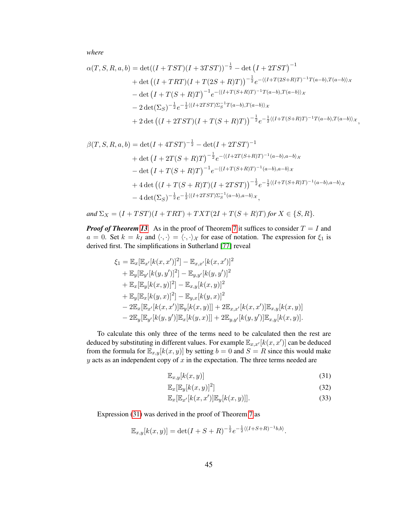*where*

$$
\alpha(T, S, R, a, b) = \det((I + TST)(I + 3TST))^{-\frac{1}{2}} - \det(I + 2TST)^{-1}
$$
  
+ 
$$
\det((I + TRT)(I + T(2S + R)T))^{-\frac{1}{2}}e^{-\langle (I + T(2S + R)T)^{-1}T(a - b), T(a - b)\rangle_{\mathcal{X}}}
$$

$$
- \det(I + T(S + R)T)^{-1}e^{-\langle (I + T(S + R)T)^{-1}T(a - b), T(a - b)\rangle_{\mathcal{X}}}
$$

$$
- 2 \det(\Sigma_{S})^{-\frac{1}{2}}e^{-\frac{1}{2}\langle (I + 2TST)\Sigma_{S}^{-1}T(a - b), T(a - b)\rangle_{\mathcal{X}}}
$$

$$
+ 2 \det((I + 2TST)(I + T(S + R)T))^{-\frac{1}{2}}e^{-\frac{1}{2}\langle (I + T(S + R)T)^{-1}T(a - b), T(a - b)\rangle_{\mathcal{X}}},
$$

$$
\beta(T, S, R, a, b) = \det(I + 4TST)^{-\frac{1}{2}} - \det(I + 2TST)^{-1}
$$
  
+ 
$$
\det(I + 2T(S + R)T)^{-\frac{1}{2}}e^{-\langle (I + 2T(S + R)T)^{-1}(a - b), a - b \rangle \chi}
$$
  
- 
$$
\det(I + T(S + R)T)^{-1}e^{-\langle (I + T(S + R)T)^{-1}(a - b), a - b \rangle \chi}
$$
  
+ 
$$
4 \det((I + T(S + R)T)(I + 2TST))^{-\frac{1}{2}}e^{-\frac{1}{2}\langle (I + T(S + R)T)^{-1}(a - b), a - b \rangle \chi}
$$
  
- 
$$
4 \det(\Sigma_S)^{-\frac{1}{2}}e^{-\frac{1}{2}\langle (I + 2TST)\Sigma_S^{-1}(a - b), a - b \rangle \chi},
$$

and 
$$
\Sigma_X = (I + TST)(I + TRT) + TXT(2I + T(S + R)T)
$$
 for  $X \in \{S, R\}.$ 

*Proof of Theorem [13](#page-43-0).* As in the proof of Theorem [7](#page-16-0) it suffices to consider  $T = I$  and  $a = 0$ . Set  $k = k_I$  and  $\langle \cdot, \cdot \rangle = \langle \cdot, \cdot \rangle_{\mathcal{X}}$  for ease of notation. The expression for  $\xi_1$  is derived first. The simplifications in Sutherland [\[77\]](#page-30-20) reveal

$$
\xi_1 = \mathbb{E}_x[\mathbb{E}_{x'}[k(x, x')]^2] - \mathbb{E}_{x, x'}[k(x, x')]^2 \n+ \mathbb{E}_y[\mathbb{E}_{y'}[k(y, y')]^2] - \mathbb{E}_{y, y'}[k(y, y')]^2 \n+ \mathbb{E}_x[\mathbb{E}_y[k(x, y)]^2] - \mathbb{E}_{x, y}[k(x, y)]^2 \n+ \mathbb{E}_y[\mathbb{E}_x[k(y, x)]^2] - \mathbb{E}_{y, x}[k(y, x)]^2 \n- 2\mathbb{E}_x[\mathbb{E}_{x'}[k(x, x')] \mathbb{E}_y[k(x, y)]] + 2\mathbb{E}_{x, x'}[k(x, x')] \mathbb{E}_{x, y}[k(x, y)] \n- 2\mathbb{E}_y[\mathbb{E}_{y'}[k(y, y')] \mathbb{E}_x[k(y, x)]] + 2\mathbb{E}_{y, y'}[k(y, y')] \mathbb{E}_{x, y}[k(x, y)].
$$

To calculate this only three of the terms need to be calculated then the rest are deduced by substituting in different values. For example  $\mathbb{E}_{x,x'}[k(x,x')]$  can be deduced from the formula for  $\mathbb{E}_{x,y}[k(x, y)]$  by setting  $b = 0$  and  $S = R$  since this would make  $y$  acts as an independent copy of  $x$  in the expectation. The three terms needed are

<span id="page-44-0"></span>
$$
\mathbb{E}_{x,y}[k(x,y)]\tag{31}
$$

<span id="page-44-2"></span><span id="page-44-1"></span>
$$
\mathbb{E}_x[\mathbb{E}_y[k(x,y)]^2] \tag{32}
$$

$$
\mathbb{E}_x[\mathbb{E}_{x'}[k(x,x')] \mathbb{E}_y[k(x,y)]].
$$
\n(33)

Expression [\(31\)](#page-44-0) was derived in the proof of Theorem [7](#page-16-0) as

$$
\mathbb{E}_{x,y}[k(x,y)] = \det(I+S+R)^{-\frac{1}{2}}e^{-\frac{1}{2}\langle (I+S+R)^{-1}b,b\rangle}.
$$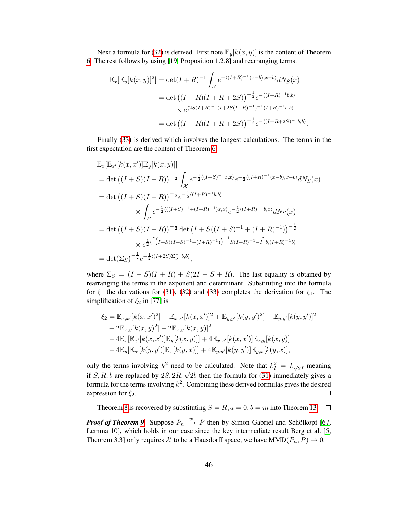Next a formula for [\(32\)](#page-44-1) is derived. First note  $\mathbb{E}_y[k(x, y)]$  is the content of Theorem [6.](#page-16-2) The rest follows by using [\[19,](#page-28-19) Proposition 1.2.8] and rearranging terms.

$$
\mathbb{E}_x[\mathbb{E}_y[k(x,y)]^2] = \det(I+R)^{-1} \int_{\mathcal{X}} e^{-\langle (I+R)^{-1}(x-b), x-b \rangle} dN_S(x)
$$
  
= 
$$
\det \left( (I+R)(I+R+2S) \right)^{-\frac{1}{2}} e^{-\langle (I+R)^{-1}b, b \rangle}
$$
  

$$
\times e^{\langle 2S(I+R)^{-1}(I+2S(I+R)^{-1})^{-1}(I+R)^{-1}b, b \rangle}
$$
  
= 
$$
\det \left( (I+R)(I+R+2S) \right)^{-\frac{1}{2}} e^{-\langle (I+R+2S)^{-1}b, b \rangle}.
$$

Finally [\(33\)](#page-44-2) is derived which involves the longest calculations. The terms in the first expectation are the content of Theorem [6.](#page-16-2)

$$
\mathbb{E}_{x}[\mathbb{E}_{x'}[k(x, x')] \mathbb{E}_{y}[k(x, y)]]
$$
\n
$$
= \det ((I + S)(I + R))^{-\frac{1}{2}} \int_{\mathcal{X}} e^{-\frac{1}{2}\langle (I + S)^{-1}x, x \rangle} e^{-\frac{1}{2}\langle (I + R)^{-1}(x - b), x - b \rangle} dN_{S}(x)
$$
\n
$$
= \det ((I + S)(I + R))^{-\frac{1}{2}} e^{-\frac{1}{2}\langle (I + R)^{-1}b, b \rangle}
$$
\n
$$
\times \int_{\mathcal{X}} e^{-\frac{1}{2}\langle ((I + S)^{-1} + (I + R)^{-1})x, x \rangle} e^{-\frac{1}{2}\langle (I + R)^{-1}b, x \rangle} dN_{S}(x)
$$
\n
$$
= \det ((I + S)(I + R))^{-\frac{1}{2}} \det (I + S((I + S)^{-1} + (I + R)^{-1}))^{-\frac{1}{2}}
$$
\n
$$
\times e^{\frac{1}{2}\langle \left[ (I + S((I + S)^{-1} + (I + R)^{-1}))^{-1} S(I + R)^{-1} - I \right] b, (I + R)^{-1} b \rangle}
$$
\n
$$
= \det (\Sigma_{S})^{-\frac{1}{2}} e^{-\frac{1}{2}\langle (I + 2S)\Sigma_{S}^{-1}b, b \rangle},
$$

where  $\Sigma_S = (I + S)(I + R) + S(2I + S + R)$ . The last equality is obtained by rearranging the terms in the exponent and determinant. Substituting into the formula for  $\xi_1$  the derivations for [\(31\)](#page-44-0), [\(32\)](#page-44-1) and [\(33\)](#page-44-2) completes the derivation for  $\xi_1$ . The simplification of  $\xi_2$  in [\[77\]](#page-30-20) is

$$
\xi_2 = \mathbb{E}_{x,x'}[k(x,x')^2] - \mathbb{E}_{x,x'}[k(x,x')]^2 + \mathbb{E}_{y,y'}[k(y,y')^2] - \mathbb{E}_{y,y'}[k(y,y')]^2 + 2\mathbb{E}_{x,y}[k(x,y)^2] - 2\mathbb{E}_{x,y}[k(x,y)]^2 - 4\mathbb{E}_{x}[\mathbb{E}_{x'}[k(x,x')] \mathbb{E}_{y}[k(x,y)]] + 4\mathbb{E}_{x,x'}[k(x,x')] \mathbb{E}_{x,y}[k(x,y)] - 4\mathbb{E}_{y}[\mathbb{E}_{y'}[k(y,y')] \mathbb{E}_{x}[k(y,x)]] + 4\mathbb{E}_{y,y'}[k(y,y')] \mathbb{E}_{y,x}[k(y,x)],
$$

only the terms involving  $k^2$  need to be calculated. Note that  $k_I^2 = k_{\sqrt{2}I}$  meaning if S, R, b are replaced by  $2S$ ,  $2R$ ,  $\sqrt{2}b$  then the formula for [\(31\)](#page-44-0) immediately gives a formula for the terms involving  $k^2$ . Combining these derived formulas gives the desired expression for  $\xi_2$ .  $\Box$ 

Theorem [8](#page-17-1) is recovered by substituting  $S = R$ ,  $a = 0$ ,  $b = m$  into Theorem [13.](#page-43-0)  $\Box$ 

*Proof of Theorem [9](#page-17-4).* Suppose  $P_n \stackrel{w}{\rightarrow} P$  then by Simon-Gabriel and Schölkopf [\[67,](#page-30-12) Lemma 10], which holds in our case since the key intermediate result Berg et al. [\[5,](#page-28-24) Theorem 3.3] only requires X to be a Hausdorff space, we have  $MMD(P_n, P) \rightarrow 0$ .